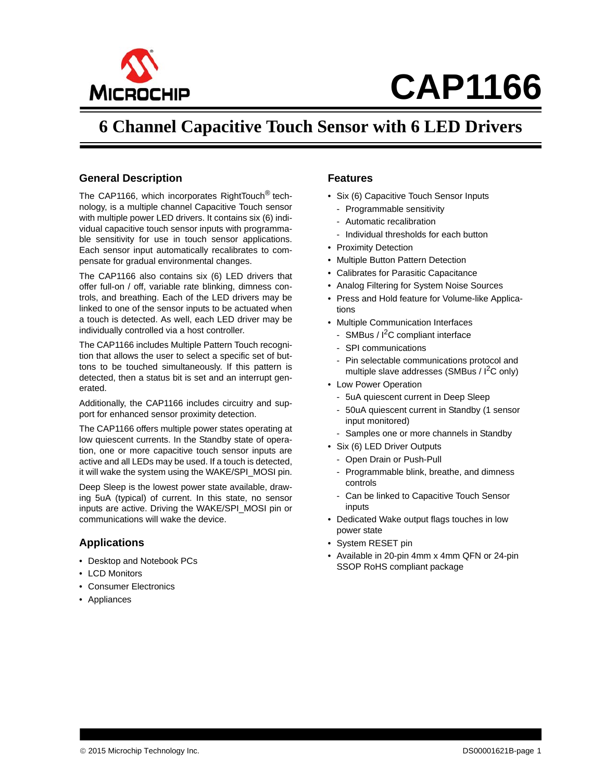

# **CAP1166**

### **6 Channel Capacitive Touch Sensor with 6 LED Drivers**

#### **General Description**

The CAP1166, which incorporates RightTouch<sup>®</sup> technology, is a multiple channel Capacitive Touch sensor with multiple power LED drivers. It contains six (6) individual capacitive touch sensor inputs with programmable sensitivity for use in touch sensor applications. Each sensor input automatically recalibrates to compensate for gradual environmental changes.

The CAP1166 also contains six (6) LED drivers that offer full-on / off, variable rate blinking, dimness controls, and breathing. Each of the LED drivers may be linked to one of the sensor inputs to be actuated when a touch is detected. As well, each LED driver may be individually controlled via a host controller.

The CAP1166 includes Multiple Pattern Touch recognition that allows the user to select a specific set of buttons to be touched simultaneously. If this pattern is detected, then a status bit is set and an interrupt generated.

Additionally, the CAP1166 includes circuitry and support for enhanced sensor proximity detection.

The CAP1166 offers multiple power states operating at low quiescent currents. In the Standby state of operation, one or more capacitive touch sensor inputs are active and all LEDs may be used. If a touch is detected, it will wake the system using the WAKE/SPI\_MOSI pin.

Deep Sleep is the lowest power state available, drawing 5uA (typical) of current. In this state, no sensor inputs are active. Driving the WAKE/SPI\_MOSI pin or communications will wake the device.

#### **Applications**

- Desktop and Notebook PCs
- LCD Monitors
- Consumer Electronics
- Appliances

#### **Features**

- Six (6) Capacitive Touch Sensor Inputs
	- Programmable sensitivity
	- Automatic recalibration
	- Individual thresholds for each button
- Proximity Detection
- Multiple Button Pattern Detection
- Calibrates for Parasitic Capacitance
- Analog Filtering for System Noise Sources
- Press and Hold feature for Volume-like Applications
- Multiple Communication Interfaces
	- SMBus /  $I^2C$  compliant interface
	- SPI communications
	- Pin selectable communications protocol and multiple slave addresses (SMBus /  $I<sup>2</sup>C$  only)
- Low Power Operation
	- 5uA quiescent current in Deep Sleep
	- 50uA quiescent current in Standby (1 sensor input monitored)
	- Samples one or more channels in Standby
- Six (6) LED Driver Outputs
	- Open Drain or Push-Pull
	- Programmable blink, breathe, and dimness controls
	- Can be linked to Capacitive Touch Sensor inputs
- Dedicated Wake output flags touches in low power state
- System RESET pin
- Available in 20-pin 4mm x 4mm QFN or 24-pin SSOP RoHS compliant package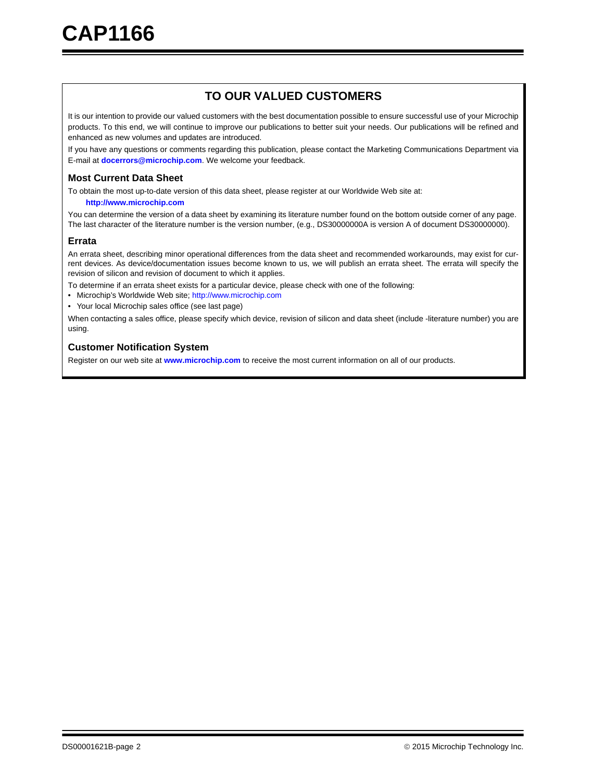#### **TO OUR VALUED CUSTOMERS**

It is our intention to provide our valued customers with the best documentation possible to ensure successful use of your Microchip products. To this end, we will continue to improve our publications to better suit your needs. Our publications will be refined and enhanced as new volumes and updates are introduced.

If you have any questions or comments regarding this publication, please contact the Marketing Communications Department via E-mail at **[docerrors@microchip.com](mailto:docerrors@microchip.com)**. We welcome your feedback.

#### **Most Current Data Sheet**

To obtain the most up-to-date version of this data sheet, please register at our Worldwide Web site at:

#### **http://www.microchip.com**

You can determine the version of a data sheet by examining its literature number found on the bottom outside corner of any page. The last character of the literature number is the version number, (e.g., DS30000000A is version A of document DS30000000).

#### **Errata**

An errata sheet, describing minor operational differences from the data sheet and recommended workarounds, may exist for current devices. As device/documentation issues become known to us, we will publish an errata sheet. The errata will specify the revision of silicon and revision of document to which it applies.

To determine if an errata sheet exists for a particular device, please check with one of the following:

- • [Microchip's Worldwide Web site; h](http://www.microchip.com)ttp://www.microchip.com
- Your local Microchip sales office (see last page)

When contacting a sales office, please specify which device, revision of silicon and data sheet (include -literature number) you are using.

#### **Customer Notification System**

Register on our web site at **[www.microchip.com](http://www.microchip.com)** to receive the most current information on all of our products.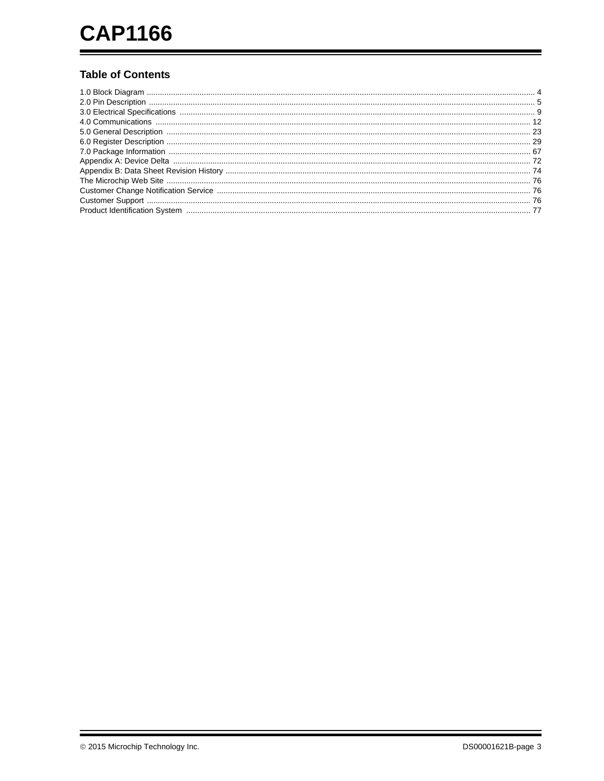#### **Table of Contents**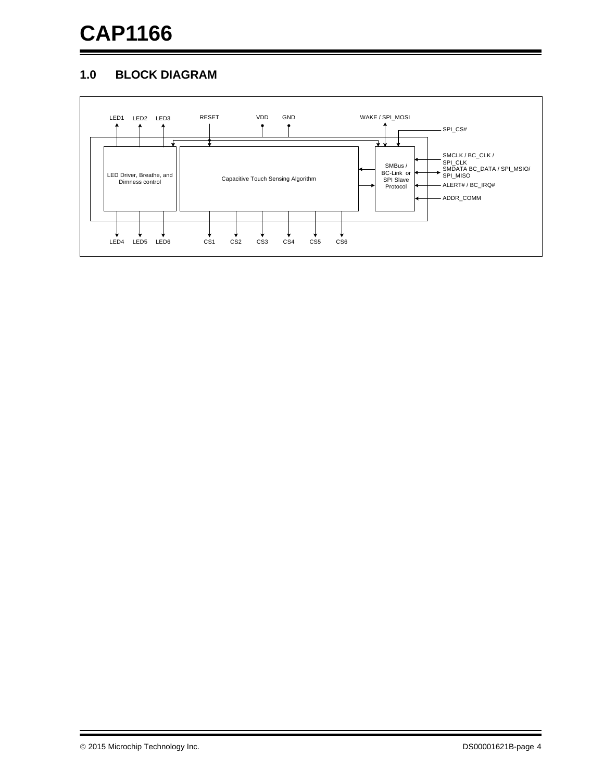#### <span id="page-3-0"></span>**1.0 BLOCK DIAGRAM**

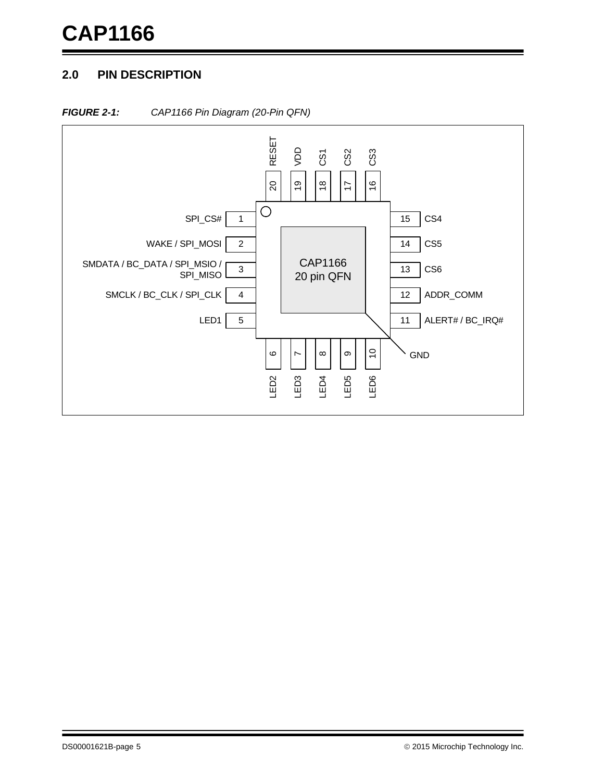## **CAP1166**

#### <span id="page-4-0"></span>**2.0 PIN DESCRIPTION**



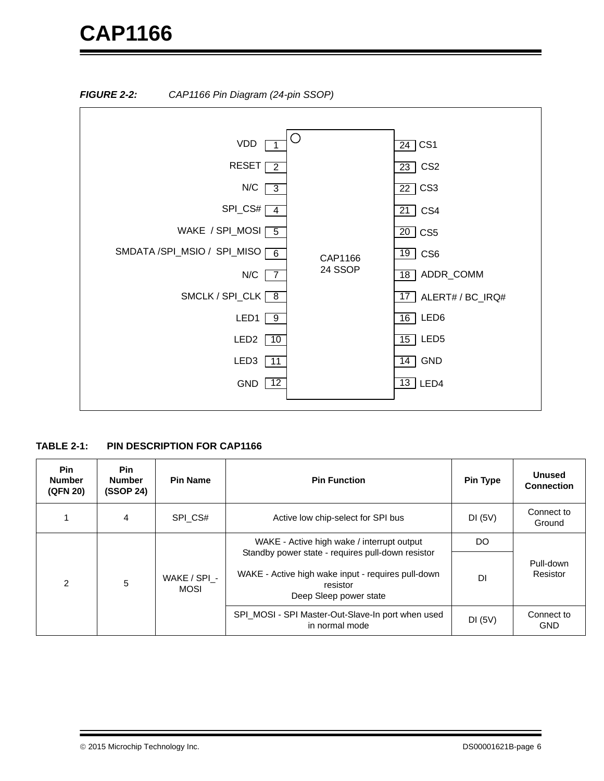

#### *FIGURE 2-2: CAP1166 Pin Diagram (24-pin SSOP)*

#### **TABLE 2-1: PIN DESCRIPTION FOR CAP1166**

| Pin<br><b>Number</b><br>(QFN 20) | <b>Pin</b><br><b>Number</b><br>(SSOP 24) | <b>Pin Name</b>             | <b>Pin Function</b>                                                                                                                           | <b>Pin Type</b> | <b>Unused</b><br><b>Connection</b> |
|----------------------------------|------------------------------------------|-----------------------------|-----------------------------------------------------------------------------------------------------------------------------------------------|-----------------|------------------------------------|
|                                  | 4                                        | SPI_CS#                     | Active low chip-select for SPI bus                                                                                                            | DI(5V)          | Connect to<br>Ground               |
|                                  |                                          |                             | WAKE - Active high wake / interrupt output                                                                                                    | DO              |                                    |
| $\mathcal{P}$                    | 5                                        | WAKE / SPI_-<br><b>MOSI</b> | Standby power state - requires pull-down resistor<br>WAKE - Active high wake input - requires pull-down<br>resistor<br>Deep Sleep power state | <b>DI</b>       | Pull-down<br>Resistor              |
|                                  |                                          |                             | SPI_MOSI - SPI Master-Out-Slave-In port when used<br>in normal mode                                                                           | DI(5V)          | Connect to<br><b>GND</b>           |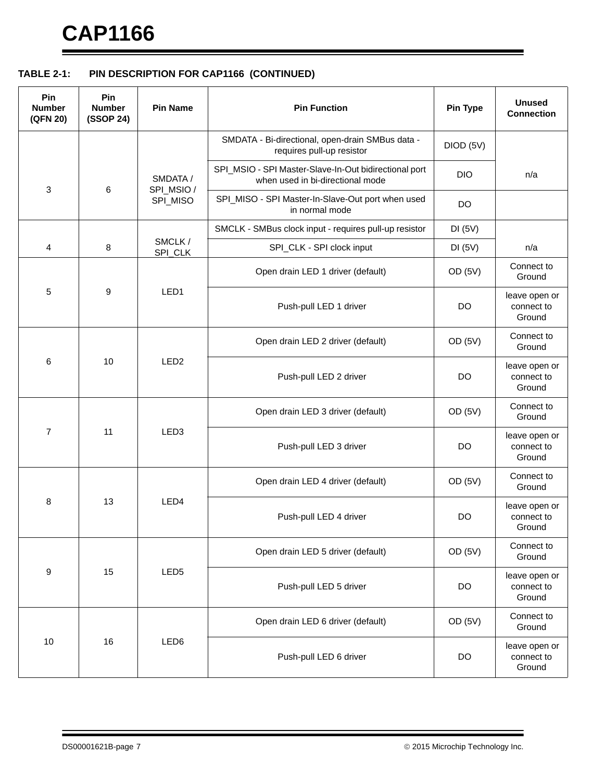#### **TABLE 2-1: PIN DESCRIPTION FOR CAP1166 (CONTINUED)**

| Pin<br><b>Number</b><br>(QFN 20) | Pin<br><b>Number</b><br>(SSOP 24) | <b>Pin Name</b>       | <b>Pin Function</b>                                                                       | <b>Pin Type</b> | <b>Unused</b><br><b>Connection</b>    |
|----------------------------------|-----------------------------------|-----------------------|-------------------------------------------------------------------------------------------|-----------------|---------------------------------------|
|                                  |                                   |                       | SMDATA - Bi-directional, open-drain SMBus data -<br>requires pull-up resistor             | DIOD (5V)       |                                       |
| 3                                | 6                                 | SMDATA /<br>SPI_MSIO/ | SPI_MSIO - SPI Master-Slave-In-Out bidirectional port<br>when used in bi-directional mode | <b>DIO</b>      | n/a                                   |
|                                  |                                   | SPI_MISO              | SPI_MISO - SPI Master-In-Slave-Out port when used<br>in normal mode                       | DO              |                                       |
|                                  |                                   |                       | SMCLK - SMBus clock input - requires pull-up resistor                                     | DI(5V)          |                                       |
| 4                                | 8                                 | SMCLK/<br>SPI_CLK     | SPI_CLK - SPI clock input                                                                 | DI(5V)          | n/a                                   |
|                                  |                                   |                       | Open drain LED 1 driver (default)                                                         | OD (5V)         | Connect to<br>Ground                  |
| 5                                | 9                                 | LED1                  | Push-pull LED 1 driver                                                                    | <b>DO</b>       | leave open or<br>connect to<br>Ground |
|                                  |                                   |                       | Open drain LED 2 driver (default)                                                         | OD (5V)         | Connect to<br>Ground                  |
| 6                                | LED <sub>2</sub><br>10            |                       | Push-pull LED 2 driver                                                                    | DO              | leave open or<br>connect to<br>Ground |
|                                  |                                   |                       | Open drain LED 3 driver (default)                                                         | OD (5V)         | Connect to<br>Ground                  |
| $\overline{7}$                   | 11                                | LED <sub>3</sub>      | Push-pull LED 3 driver                                                                    | DO              | leave open or<br>connect to<br>Ground |
|                                  |                                   |                       | Open drain LED 4 driver (default)                                                         | OD (5V)         | Connect to<br>Ground                  |
| 8                                | 13                                | LED4                  | Push-pull LED 4 driver                                                                    | <b>DO</b>       | leave open or<br>connect to<br>Ground |
|                                  |                                   |                       | Open drain LED 5 driver (default)                                                         | OD (5V)         | Connect to<br>Ground                  |
| 9                                | 15                                | LED <sub>5</sub>      | Push-pull LED 5 driver                                                                    | DO              | leave open or<br>connect to<br>Ground |
|                                  |                                   |                       | Open drain LED 6 driver (default)                                                         | OD (5V)         | Connect to<br>Ground                  |
| 10                               | 16                                | LED6                  | Push-pull LED 6 driver                                                                    | DO              | leave open or<br>connect to<br>Ground |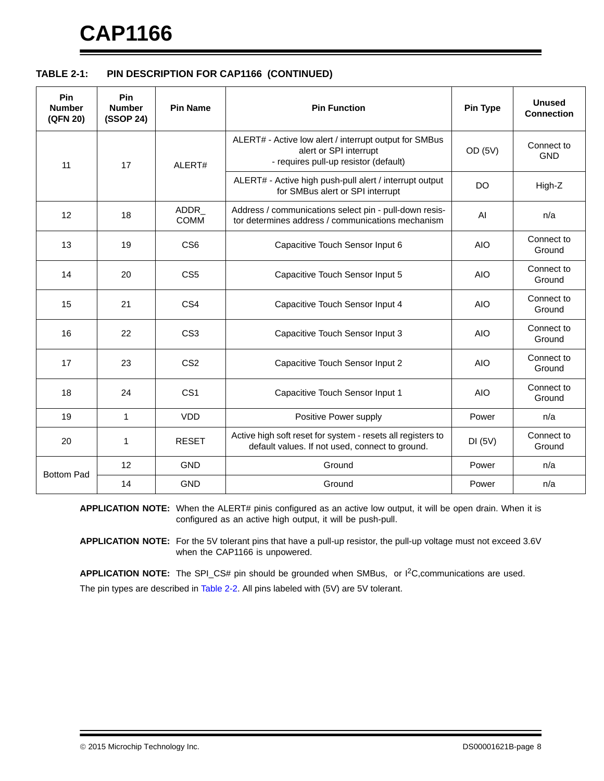### **CAP1166**

#### **TABLE 2-1: PIN DESCRIPTION FOR CAP1166 (CONTINUED)**

| Pin<br><b>Number</b><br>(QFN 20) | Pin<br><b>Number</b><br>(SSOP 24) | <b>Pin Name</b>      | <b>Pin Function</b>                                                                                                       | <b>Pin Type</b> | <b>Unused</b><br><b>Connection</b> |
|----------------------------------|-----------------------------------|----------------------|---------------------------------------------------------------------------------------------------------------------------|-----------------|------------------------------------|
| 11                               | 17                                | ALERT#               | ALERT# - Active low alert / interrupt output for SMBus<br>alert or SPI interrupt<br>- requires pull-up resistor (default) | OD (5V)         | Connect to<br><b>GND</b>           |
|                                  |                                   |                      | ALERT# - Active high push-pull alert / interrupt output<br>for SMBus alert or SPI interrupt                               | <b>DO</b>       | High-Z                             |
| 12                               | 18                                | ADDR_<br><b>COMM</b> | Address / communications select pin - pull-down resis-<br>tor determines address / communications mechanism               | AI              | n/a                                |
| 13                               | 19                                | C <sub>S6</sub>      | Capacitive Touch Sensor Input 6                                                                                           | <b>AIO</b>      | Connect to<br>Ground               |
| 14                               | 20                                | CS <sub>5</sub>      | Capacitive Touch Sensor Input 5                                                                                           | <b>AIO</b>      | Connect to<br>Ground               |
| 15                               | 21                                | CS4                  | Capacitive Touch Sensor Input 4                                                                                           | <b>AIO</b>      | Connect to<br>Ground               |
| 16                               | 22                                | CS <sub>3</sub>      | Capacitive Touch Sensor Input 3                                                                                           | <b>AIO</b>      | Connect to<br>Ground               |
| 17                               | 23                                | CS <sub>2</sub>      | Capacitive Touch Sensor Input 2                                                                                           | <b>AIO</b>      | Connect to<br>Ground               |
| 18                               | 24                                | CS <sub>1</sub>      | Capacitive Touch Sensor Input 1                                                                                           | <b>AIO</b>      | Connect to<br>Ground               |
| 19                               | $\mathbf{1}$                      | <b>VDD</b>           | Positive Power supply                                                                                                     | Power           | n/a                                |
| 20                               | $\mathbf{1}$                      | <b>RESET</b>         | Active high soft reset for system - resets all registers to<br>default values. If not used, connect to ground.            | DI(5V)          | Connect to<br>Ground               |
| <b>Bottom Pad</b>                | 12                                | <b>GND</b>           | Ground                                                                                                                    | Power           | n/a                                |
|                                  | 14                                | <b>GND</b>           | Ground                                                                                                                    | Power           | n/a                                |

**APPLICATION NOTE:** When the ALERT# pinis configured as an active low output, it will be open drain. When it is configured as an active high output, it will be push-pull.

**APPLICATION NOTE:** For the 5V tolerant pins that have a pull-up resistor, the pull-up voltage must not exceed 3.6V when the CAP1166 is unpowered.

APPLICATION NOTE: The SPI\_CS# pin should be grounded when SMBus, or I<sup>2</sup>C, communications are used. The pin types are described in [Table 2-2.](#page-8-0) All pins labeled with (5V) are 5V tolerant.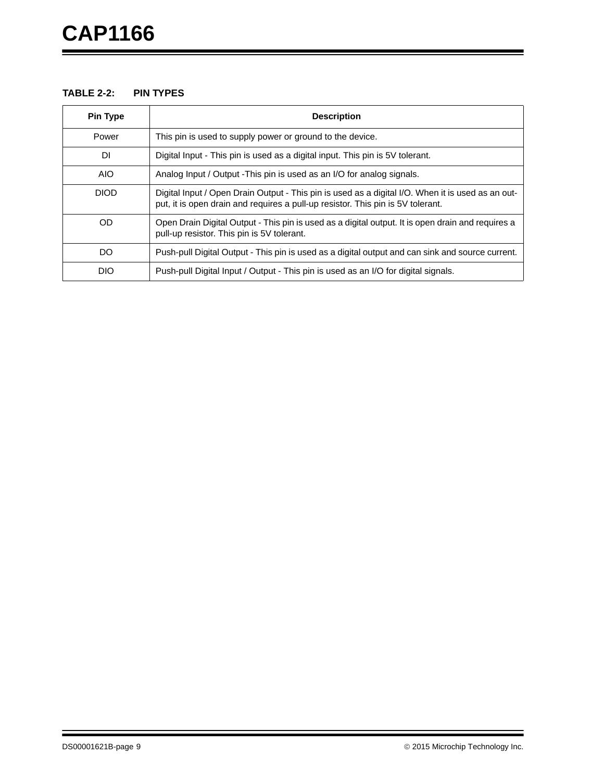#### <span id="page-8-0"></span>**TABLE 2-2: PIN TYPES**

| <b>Pin Type</b> | <b>Description</b>                                                                                                                                                                   |
|-----------------|--------------------------------------------------------------------------------------------------------------------------------------------------------------------------------------|
| Power           | This pin is used to supply power or ground to the device.                                                                                                                            |
| DI              | Digital Input - This pin is used as a digital input. This pin is 5V tolerant.                                                                                                        |
| <b>AIO</b>      | Analog Input / Output - This pin is used as an I/O for analog signals.                                                                                                               |
| DIOD.           | Digital Input / Open Drain Output - This pin is used as a digital I/O. When it is used as an out-<br>put, it is open drain and requires a pull-up resistor. This pin is 5V tolerant. |
| <b>OD</b>       | Open Drain Digital Output - This pin is used as a digital output. It is open drain and requires a<br>pull-up resistor. This pin is 5V tolerant.                                      |
| DO              | Push-pull Digital Output - This pin is used as a digital output and can sink and source current.                                                                                     |
| <b>DIO</b>      | Push-pull Digital Input / Output - This pin is used as an I/O for digital signals.                                                                                                   |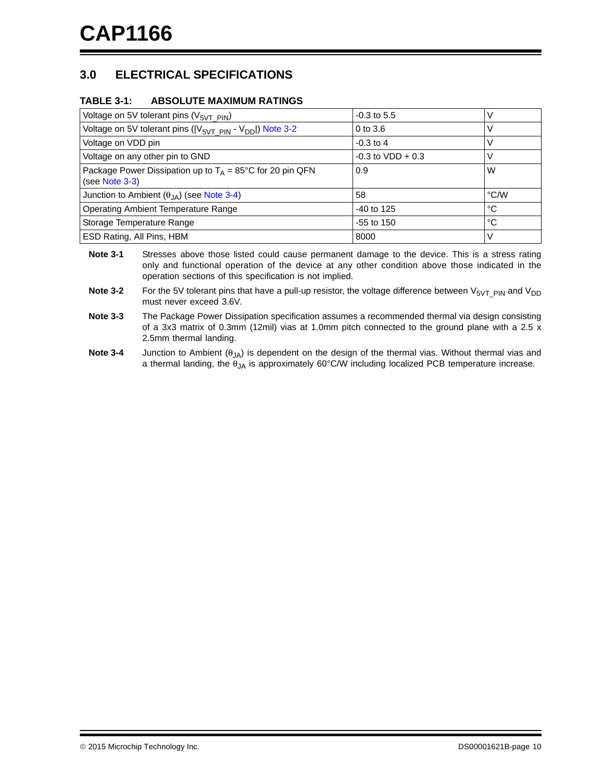### <span id="page-9-0"></span>**3.0 ELECTRICAL SPECIFICATIONS**

#### **TABLE 3-1: ABSOLUTE MAXIMUM RATINGS**

| Voltage on 5V tolerant pins $(V_{5VT}$ PIN)                                             | $-0.3$ to 5.5       |      |
|-----------------------------------------------------------------------------------------|---------------------|------|
| Voltage on 5V tolerant pins ( $ V_{5VT}$ PIN - $V_{DD}$ ) Note 3-2                      | $0$ to $3.6$        | ν    |
| Voltage on VDD pin                                                                      | $-0.3$ to 4         | ν    |
| Voltage on any other pin to GND                                                         | $-0.3$ to VDD + 0.3 |      |
| Package Power Dissipation up to $T_A = 85^{\circ}$ C for 20 pin QFN<br>$(see Note 3-3)$ | 0.9                 | W    |
| Junction to Ambient $(\theta_{JA})$ (see Note 3-4)                                      | 58                  | °C/W |
| Operating Ambient Temperature Range                                                     | $-40$ to 125        | °C   |
| Storage Temperature Range                                                               | $-55$ to 150        | °C   |
| ESD Rating, All Pins, HBM                                                               | 8000                | ν    |

**Note 3-1** Stresses above those listed could cause permanent damage to the device. This is a stress rating only and functional operation of the device at any other condition above those indicated in the operation sections of this specification is not implied.

<span id="page-9-1"></span>**Note 3-2** For the 5V tolerant pins that have a pull-up resistor, the voltage difference between  $V_{5VT-PIN}$  and  $V_{DD}$ must never exceed 3.6V.

<span id="page-9-2"></span>**Note 3-3** The Package Power Dissipation specification assumes a recommended thermal via design consisting of a 3x3 matrix of 0.3mm (12mil) vias at 1.0mm pitch connected to the ground plane with a 2.5 x 2.5mm thermal landing.

<span id="page-9-3"></span>**Note 3-4** Junction to Ambient (θ<sub>JA</sub>) is dependent on the design of the thermal vias. Without thermal vias and a thermal landing, the  $\theta_{JA}$  is approximately 60°C/W including localized PCB temperature increase.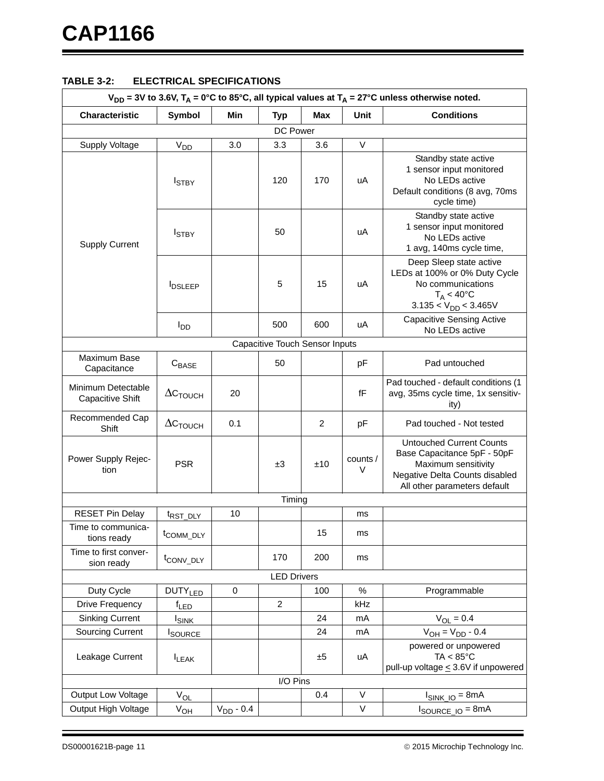|                                               | $V_{DD}$ = 3V to 3.6V, $T_A$ = 0°C to 85°C, all typical values at $T_A$ = 27°C unless otherwise noted. |                |                                       |                |               |                                                                                                                                                         |  |  |  |
|-----------------------------------------------|--------------------------------------------------------------------------------------------------------|----------------|---------------------------------------|----------------|---------------|---------------------------------------------------------------------------------------------------------------------------------------------------------|--|--|--|
| Characteristic                                | Symbol                                                                                                 | Min            | <b>Typ</b>                            | Max            | Unit          | <b>Conditions</b>                                                                                                                                       |  |  |  |
|                                               |                                                                                                        |                | DC Power                              |                |               |                                                                                                                                                         |  |  |  |
| <b>Supply Voltage</b>                         | $V_{DD}$                                                                                               | 3.0            | 3.3                                   | 3.6            | V             |                                                                                                                                                         |  |  |  |
|                                               | <b>I</b> STBY                                                                                          |                | 120                                   | 170            | uA            | Standby state active<br>1 sensor input monitored<br>No LEDs active<br>Default conditions (8 avg, 70ms<br>cycle time)                                    |  |  |  |
| <b>Supply Current</b>                         | $I_{STBY}$                                                                                             |                | 50                                    |                | uA            | Standby state active<br>1 sensor input monitored<br>No LEDs active<br>1 avg, 140ms cycle time,                                                          |  |  |  |
|                                               | <b>IDSLEEP</b>                                                                                         |                | 5                                     | 15             | uA            | Deep Sleep state active<br>LEDs at 100% or 0% Duty Cycle<br>No communications<br>$T_A < 40^{\circ}$ C<br>$3.135 < V_{DD} < 3.465V$                      |  |  |  |
|                                               | <b>I</b> <sub>DD</sub>                                                                                 |                | 500                                   | 600            | uA            | <b>Capacitive Sensing Active</b><br>No LEDs active                                                                                                      |  |  |  |
|                                               |                                                                                                        |                | <b>Capacitive Touch Sensor Inputs</b> |                |               |                                                                                                                                                         |  |  |  |
| Maximum Base<br>Capacitance                   | $C_{\text{BASE}}$                                                                                      |                | 50                                    |                | pF            | Pad untouched                                                                                                                                           |  |  |  |
| Minimum Detectable<br><b>Capacitive Shift</b> | $\Delta C$ TOUCH                                                                                       | 20             |                                       |                | fF            | Pad touched - default conditions (1<br>avg, 35ms cycle time, 1x sensitiv-<br>ity)                                                                       |  |  |  |
| Recommended Cap<br>Shift                      | $\Delta C$ TOUCH                                                                                       | 0.1            |                                       | $\overline{2}$ | рF            | Pad touched - Not tested                                                                                                                                |  |  |  |
| Power Supply Rejec-<br>tion                   | <b>PSR</b>                                                                                             |                | ±3                                    | ±10            | counts /<br>V | <b>Untouched Current Counts</b><br>Base Capacitance 5pF - 50pF<br>Maximum sensitivity<br>Negative Delta Counts disabled<br>All other parameters default |  |  |  |
|                                               |                                                                                                        |                | Timing                                |                |               |                                                                                                                                                         |  |  |  |
| <b>RESET Pin Delay</b>                        | t <sub>RST_DLY</sub>                                                                                   | 10             |                                       |                | ms            |                                                                                                                                                         |  |  |  |
| Time to communica-<br>tions ready             | t <sub>COMM_DLY</sub>                                                                                  |                |                                       | 15             | ms            |                                                                                                                                                         |  |  |  |
| Time to first conver-<br>sion ready           | t <sub>CONV_DLY</sub>                                                                                  |                | 170                                   | 200            | ms            |                                                                                                                                                         |  |  |  |
|                                               |                                                                                                        |                | <b>LED Drivers</b>                    |                |               |                                                                                                                                                         |  |  |  |
| Duty Cycle                                    | <b>DUTY<sub>LED</sub></b>                                                                              | 0              |                                       | 100            | %             | Programmable                                                                                                                                            |  |  |  |
| <b>Drive Frequency</b>                        | $f_{LED}$                                                                                              |                | $\overline{c}$                        |                | kHz           |                                                                                                                                                         |  |  |  |
| <b>Sinking Current</b>                        | <b>I</b> SINK                                                                                          |                |                                       | 24             | mA            | $V_{OL} = 0.4$                                                                                                                                          |  |  |  |
| <b>Sourcing Current</b>                       | <b>I</b> SOURCE                                                                                        |                |                                       | 24             | mA            | $V_{OH} = V_{DD} - 0.4$                                                                                                                                 |  |  |  |
| Leakage Current                               | <b>ILEAK</b>                                                                                           |                |                                       | ±5             | uA            | powered or unpowered<br>$TA < 85^{\circ}C$<br>pull-up voltage $\leq$ 3.6V if unpowered                                                                  |  |  |  |
|                                               |                                                                                                        |                | I/O Pins                              |                |               |                                                                                                                                                         |  |  |  |
| Output Low Voltage                            | $V_{OL}$                                                                                               |                |                                       | 0.4            | V             | $I_{SINK\_IO} = 8mA$                                                                                                                                    |  |  |  |
| Output High Voltage                           | $V_{OL}$                                                                                               | $V_{DD}$ - 0.4 |                                       |                | V             | $I_{\text{SOURCE\_IO}} = 8 \text{mA}$                                                                                                                   |  |  |  |

#### **TABLE 3-2: ELECTRICAL SPECIFICATIONS**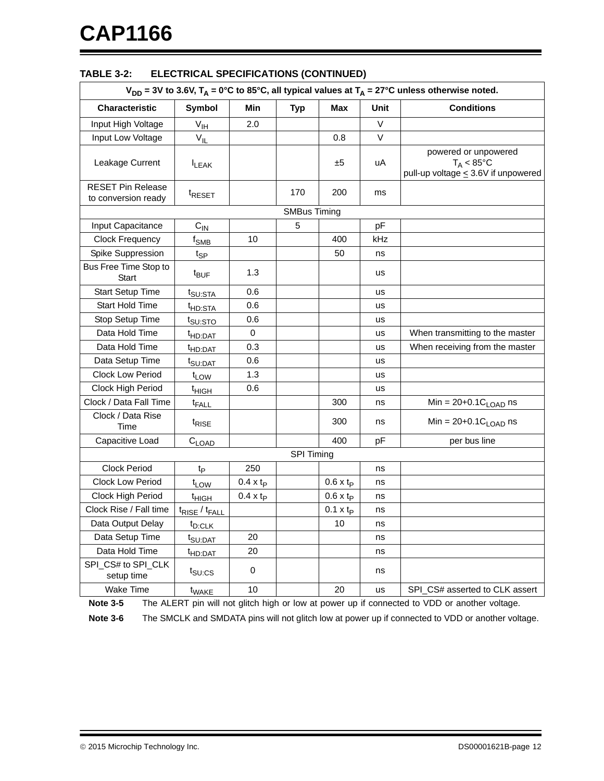#### **TABLE 3-2: ELECTRICAL SPECIFICATIONS (CONTINUED)**

|                                                 | $V_{DD}$ = 3V to 3.6V, $T_A$ = 0°C to 85°C, all typical values at $T_A$ = 27°C unless otherwise noted. |                           |                     |                           |             |                                                                                          |  |  |  |
|-------------------------------------------------|--------------------------------------------------------------------------------------------------------|---------------------------|---------------------|---------------------------|-------------|------------------------------------------------------------------------------------------|--|--|--|
| Characteristic                                  | <b>Symbol</b>                                                                                          | Min                       | <b>Typ</b>          | Max                       | <b>Unit</b> | <b>Conditions</b>                                                                        |  |  |  |
| Input High Voltage                              | $V_{\text{IH}}$                                                                                        | 2.0                       |                     |                           | V           |                                                                                          |  |  |  |
| Input Low Voltage                               | $V_{IL}$                                                                                               |                           |                     | 0.8                       | V           |                                                                                          |  |  |  |
| Leakage Current                                 | <b>ILEAK</b>                                                                                           |                           |                     | ±5                        | uA          | powered or unpowered<br>$T_A < 85^{\circ}$ C<br>pull-up voltage $\leq$ 3.6V if unpowered |  |  |  |
| <b>RESET Pin Release</b><br>to conversion ready | <sup>t</sup> RESET                                                                                     |                           | 170                 | 200                       | ms          |                                                                                          |  |  |  |
|                                                 |                                                                                                        |                           | <b>SMBus Timing</b> |                           |             |                                                                                          |  |  |  |
| Input Capacitance                               | $\mathrm{C_{IN}}$                                                                                      |                           | 5                   |                           | рF          |                                                                                          |  |  |  |
| <b>Clock Frequency</b>                          | $f_{\mathsf{SMB}}$                                                                                     | 10                        |                     | 400                       | kHz         |                                                                                          |  |  |  |
| Spike Suppression                               | $t_{SP}$                                                                                               |                           |                     | 50                        | ns          |                                                                                          |  |  |  |
| Bus Free Time Stop to<br><b>Start</b>           | $t_{\text{BUF}}$                                                                                       | 1.3                       |                     |                           | <b>us</b>   |                                                                                          |  |  |  |
| <b>Start Setup Time</b>                         | t <sub>SU:STA</sub>                                                                                    | 0.6                       |                     |                           | us          |                                                                                          |  |  |  |
| <b>Start Hold Time</b>                          | <sup>t</sup> HD:STA                                                                                    | 0.6                       |                     |                           | us          |                                                                                          |  |  |  |
| Stop Setup Time                                 | <sup>t</sup> s∪:sтo                                                                                    | 0.6                       |                     |                           | us          |                                                                                          |  |  |  |
| Data Hold Time                                  | t <sub>HD:DAT</sub>                                                                                    | $\Omega$                  |                     |                           | us          | When transmitting to the master                                                          |  |  |  |
| Data Hold Time                                  | t <sub>HD:DAT</sub>                                                                                    | 0.3                       |                     |                           | us          | When receiving from the master                                                           |  |  |  |
| Data Setup Time                                 | t <sub>SU:DAT</sub>                                                                                    | 0.6                       |                     |                           | us          |                                                                                          |  |  |  |
| <b>Clock Low Period</b>                         | t <sub>LOW</sub>                                                                                       | 1.3                       |                     |                           | us          |                                                                                          |  |  |  |
| Clock High Period                               | <sup>t</sup> HIGH                                                                                      | 0.6                       |                     |                           | us          |                                                                                          |  |  |  |
| Clock / Data Fall Time                          | <b>t<sub>FALL</sub></b>                                                                                |                           |                     | 300                       | ns          | Min = $20+0.1C_{\text{LOAD}}$ ns                                                         |  |  |  |
| Clock / Data Rise<br>Time                       | <sup>t</sup> RISE                                                                                      |                           |                     | 300                       | ns          | $Min = 20+0.1C_{LOAD}$ ns                                                                |  |  |  |
| Capacitive Load                                 | $C_{LOAD}$                                                                                             |                           |                     | 400                       | pF          | per bus line                                                                             |  |  |  |
|                                                 |                                                                                                        |                           | SPI Timing          |                           |             |                                                                                          |  |  |  |
| <b>Clock Period</b>                             | tp                                                                                                     | 250                       |                     |                           | ns          |                                                                                          |  |  |  |
| <b>Clock Low Period</b>                         | t <sub>LOW</sub>                                                                                       | $0.4 \times t_{P}$        |                     | $0.6 \times t_{P}$        | ns          |                                                                                          |  |  |  |
| Clock High Period                               | $t_{HIGH}$                                                                                             | $0.4 \times t_{\text{P}}$ |                     | $0.6 \times t_{P}$        | ns          |                                                                                          |  |  |  |
| Clock Rise / Fall time                          | $t_{\text{RISE}}$ / $t_{\text{FALL}}$                                                                  |                           |                     | $0.1 \times t_{\text{P}}$ | ns          |                                                                                          |  |  |  |
| Data Output Delay                               | $t_{D:CLK}$                                                                                            |                           |                     | 10                        | ns          |                                                                                          |  |  |  |
| Data Setup Time                                 | t <sub>SU:DAT</sub>                                                                                    | 20                        |                     |                           | ns          |                                                                                          |  |  |  |
| Data Hold Time                                  | <sup>t</sup> HD:DAT                                                                                    | 20                        |                     |                           | ns          |                                                                                          |  |  |  |
| SPI_CS# to SPI_CLK<br>setup time                | t <sub>SU:CS</sub>                                                                                     | 0                         |                     |                           | ns          |                                                                                          |  |  |  |
| Wake Time                                       | t <sub>WAKE</sub>                                                                                      | 10                        |                     | 20                        | <b>us</b>   | SPI CS# asserted to CLK assert                                                           |  |  |  |

**Note 3-5** The ALERT pin will not glitch high or low at power up if connected to VDD or another voltage.

**Note 3-6** The SMCLK and SMDATA pins will not glitch low at power up if connected to VDD or another voltage.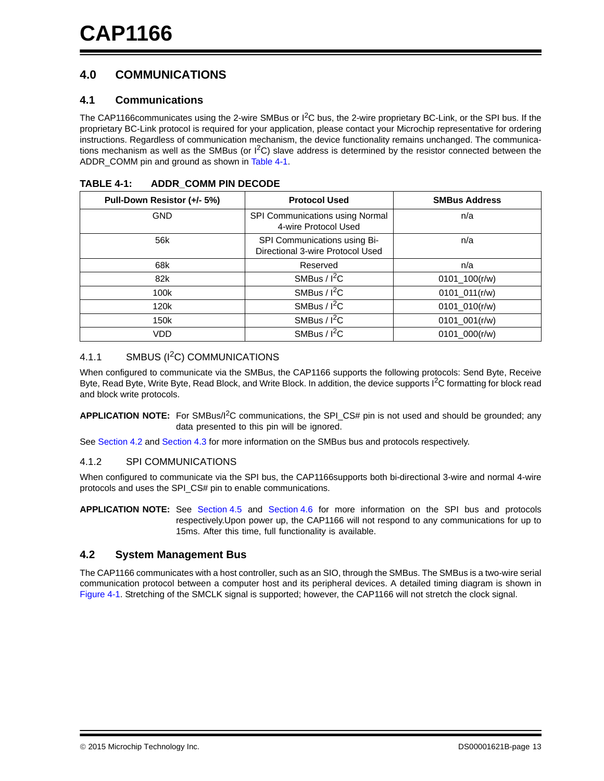#### <span id="page-12-0"></span>**4.0 COMMUNICATIONS**

#### **4.1 Communications**

The CAP1166communicates using the 2-wire SMBus or  $I^2C$  bus, the 2-wire proprietary BC-Link, or the SPI bus. If the proprietary BC-Link protocol is required for your application, please contact your Microchip representative for ordering instructions. Regardless of communication mechanism, the device functionality remains unchanged. The communications mechanism as well as the SMBus (or  $I^2C$ ) slave address is determined by the resistor connected between the ADDR\_COMM pin and ground as shown in [Table 4-1.](#page-12-1)

<span id="page-12-1"></span>

| Pull-Down Resistor (+/- 5%) | <b>Protocol Used</b>                                             | <b>SMBus Address</b> |
|-----------------------------|------------------------------------------------------------------|----------------------|
| <b>GND</b>                  | SPI Communications using Normal<br>4-wire Protocol Used          | n/a                  |
| 56k                         | SPI Communications using Bi-<br>Directional 3-wire Protocol Used | n/a                  |
| 68k                         | Reserved                                                         | n/a                  |
| 82k                         | SMBus / $I^2C$                                                   | $0101\_100(r/w)$     |
| 100k                        | SMBus / $I^2C$                                                   | 0101_011(r/w)        |
| 120k                        | SMBus / $I^2C$                                                   | $0101_010(r/w)$      |
| 150 <sub>k</sub>            | SMBus / $I^2C$                                                   | $0101_001(r/w)$      |
| VDD                         | SMBus / $I^2C$                                                   | $0101_000(r/w)$      |

#### 4.1.1 SMBUS (I<sup>2</sup>C) COMMUNICATIONS

When configured to communicate via the SMBus, the CAP1166 supports the following protocols: Send Byte, Receive Byte, Read Byte, Write Byte, Read Block, and Write Block. In addition, the device supports I<sup>2</sup>C formatting for block read and block write protocols.

**APPLICATION NOTE:** For SMBus/I2C communications, the SPI\_CS# pin is not used and should be grounded; any data presented to this pin will be ignored.

See [Section 4.2](#page-12-2) and [Section 4.3](#page-14-0) for more information on the SMBus bus and protocols respectively.

#### 4.1.2 SPI COMMUNICATIONS

When configured to communicate via the SPI bus, the CAP1166supports both bi-directional 3-wire and normal 4-wire protocols and uses the SPI\_CS# pin to enable communications.

**APPLICATION NOTE:** See [Section 4.5](#page-15-0) and [Section 4.6](#page-17-0) for more information on the SPI bus and protocols respectively.Upon power up, the CAP1166 will not respond to any communications for up to 15ms. After this time, full functionality is available.

#### <span id="page-12-2"></span>**4.2 System Management Bus**

The CAP1166 communicates with a host controller, such as an SIO, through the SMBus. The SMBus is a two-wire serial communication protocol between a computer host and its peripheral devices. A detailed timing diagram is shown in [Figure 4-1.](#page-13-0) Stretching of the SMCLK signal is supported; however, the CAP1166 will not stretch the clock signal.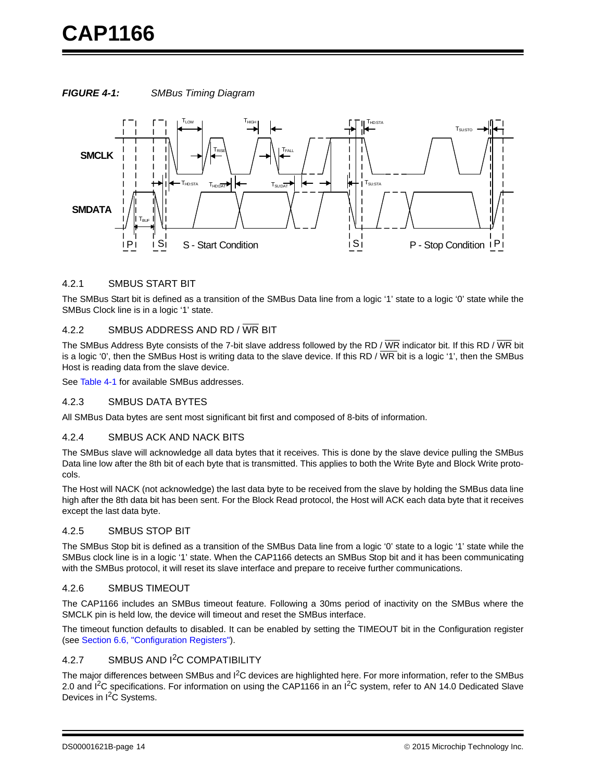

<span id="page-13-0"></span>

#### 4.2.1 SMBUS START BIT

The SMBus Start bit is defined as a transition of the SMBus Data line from a logic '1' state to a logic '0' state while the SMBus Clock line is in a logic '1' state.

#### 4.2.2 SMBUS ADDRESS AND RD / WR BIT

The SMBus Address Byte consists of the 7-bit slave address followed by the RD /  $\overline{\text{WR}}$  indicator bit. If this RD /  $\overline{\text{WR}}$  bit is a logic '0', then the SMBus Host is writing data to the slave device. If this RD / WR bit is a logic '1', then the SMBus Host is reading data from the slave device.

See [Table 4-1](#page-12-1) for available SMBus addresses.

#### 4.2.3 SMBUS DATA BYTES

All SMBus Data bytes are sent most significant bit first and composed of 8-bits of information.

#### 4.2.4 SMBUS ACK AND NACK BITS

The SMBus slave will acknowledge all data bytes that it receives. This is done by the slave device pulling the SMBus Data line low after the 8th bit of each byte that is transmitted. This applies to both the Write Byte and Block Write protocols.

The Host will NACK (not acknowledge) the last data byte to be received from the slave by holding the SMBus data line high after the 8th data bit has been sent. For the Block Read protocol, the Host will ACK each data byte that it receives except the last data byte.

#### 4.2.5 SMBUS STOP BIT

The SMBus Stop bit is defined as a transition of the SMBus Data line from a logic '0' state to a logic '1' state while the SMBus clock line is in a logic '1' state. When the CAP1166 detects an SMBus Stop bit and it has been communicating with the SMBus protocol, it will reset its slave interface and prepare to receive further communications.

#### 4.2.6 SMBUS TIMEOUT

The CAP1166 includes an SMBus timeout feature. Following a 30ms period of inactivity on the SMBus where the SMCLK pin is held low, the device will timeout and reset the SMBus interface.

The timeout function defaults to disabled. It can be enabled by setting the TIMEOUT bit in the Configuration register (see [Section 6.6, "Configuration Registers"](#page-36-0)).

#### 4.2.7 SMBUS AND <sup>2</sup>C COMPATIBILITY

The major differences between SMBus and  $I<sup>2</sup>C$  devices are highlighted here. For more information, refer to the SMBus 2.0 and I<sup>2</sup>C specifications. For information on using the CAP1166 in an I<sup>2</sup>C system, refer to AN 14.0 Dedicated Slave Devices in I<sup>2</sup>C Systems.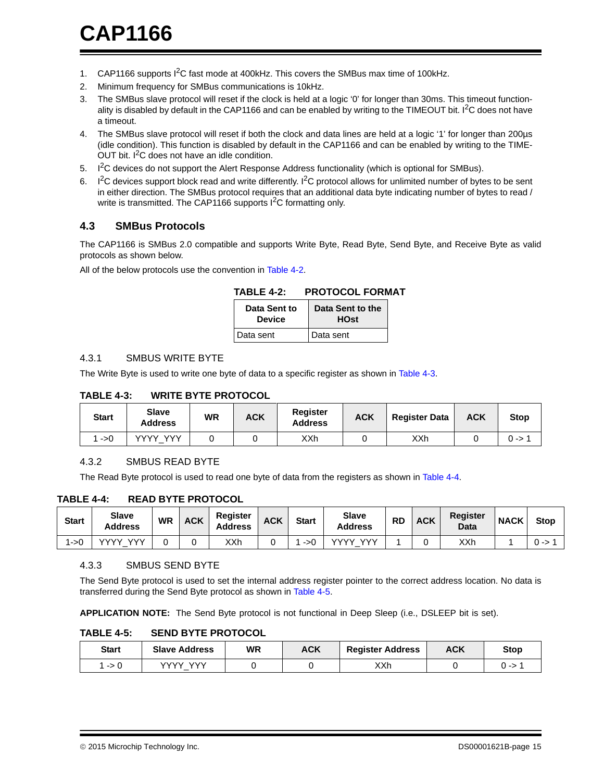- 1. CAP1166 supports I<sup>2</sup>C fast mode at 400kHz. This covers the SMBus max time of 100kHz.
- 2. Minimum frequency for SMBus communications is 10kHz.
- 3. The SMBus slave protocol will reset if the clock is held at a logic '0' for longer than 30ms. This timeout functionality is disabled by default in the CAP1166 and can be enabled by writing to the TIMEOUT bit.  $I^2C$  does not have a timeout.
- 4. The SMBus slave protocol will reset if both the clock and data lines are held at a logic '1' for longer than 200µs (idle condition). This function is disabled by default in the CAP1166 and can be enabled by writing to the TIME-OUT bit.  $I^2C$  does not have an idle condition.
- 5. I<sup>2</sup>C devices do not support the Alert Response Address functionality (which is optional for SMBus).
- 6. I<sup>2</sup>C devices support block read and write differently. I<sup>2</sup>C protocol allows for unlimited number of bytes to be sent in either direction. The SMBus protocol requires that an additional data byte indicating number of bytes to read / write is transmitted. The CAP1166 supports I<sup>2</sup>C formatting only.

#### <span id="page-14-0"></span>**4.3 SMBus Protocols**

The CAP1166 is SMBus 2.0 compatible and supports Write Byte, Read Byte, Send Byte, and Receive Byte as valid protocols as shown below.

All of the below protocols use the convention in [Table 4-2.](#page-14-1)

<span id="page-14-1"></span>

| <b>TABLE 4-2:</b>             | <b>PROTOCOL FORMAT</b>          |  |
|-------------------------------|---------------------------------|--|
| Data Sent to<br><b>Device</b> | Data Sent to the<br><b>HOst</b> |  |
| Data sent                     | Data sent                       |  |

#### 4.3.1 SMBUS WRITE BYTE

The Write Byte is used to write one byte of data to a specific register as shown in [Table 4-3](#page-14-2).

#### <span id="page-14-2"></span>**TABLE 4-3: WRITE BYTE PROTOCOL**

| <b>Start</b> | <b>Slave</b><br><b>Address</b> | <b>WR</b> | <b>ACK</b> | Register<br><b>Address</b> | ACK | <b>Register Data</b> | <b>ACK</b> | <b>Stop</b> |
|--------------|--------------------------------|-----------|------------|----------------------------|-----|----------------------|------------|-------------|
| $\sim 0$     | vvv<br>vvvv                    |           |            | XXh                        |     | XXh                  |            | <- ل        |

#### 4.3.2 SMBUS READ BYTE

The Read Byte protocol is used to read one byte of data from the registers as shown in [Table 4-4.](#page-14-3)

#### <span id="page-14-3"></span>**TABLE 4-4: READ BYTE PROTOCOL**

| <b>Start</b> | <b>Slave</b><br><b>Address</b> | <b>WR</b> | <b>ACK</b> | <b>Register</b><br><b>Address</b> | <b>ACK</b> | <b>Start</b> | <b>Slave</b><br>Address | <b>RD</b> | <b>ACK</b> | <b>Register</b><br><b>Data</b> | <b>NACK</b> | <b>Stop</b> |
|--------------|--------------------------------|-----------|------------|-----------------------------------|------------|--------------|-------------------------|-----------|------------|--------------------------------|-------------|-------------|
| 1->0         | <b>VVV</b><br><b>VVVV</b>      | $\sim$    |            | XXh                               |            | ->0          | <b>VVV</b><br>vvvv      |           |            | XXh                            |             | <- ل        |

#### 4.3.3 SMBUS SEND BYTE

The Send Byte protocol is used to set the internal address register pointer to the correct address location. No data is transferred during the Send Byte protocol as shown in [Table 4-5.](#page-14-4)

**APPLICATION NOTE:** The Send Byte protocol is not functional in Deep Sleep (i.e., DSLEEP bit is set).

<span id="page-14-4"></span>**TABLE 4-5: SEND BYTE PROTOCOL**

| <b>Start</b> | <b>Slave Address</b> | <b>WR</b> | ACK | <b>Register Address</b> | <b>ACK</b> | Stop |
|--------------|----------------------|-----------|-----|-------------------------|------------|------|
| -> 0         | vvv<br><b>VVVV</b>   |           |     | XXh                     |            | د- ۱ |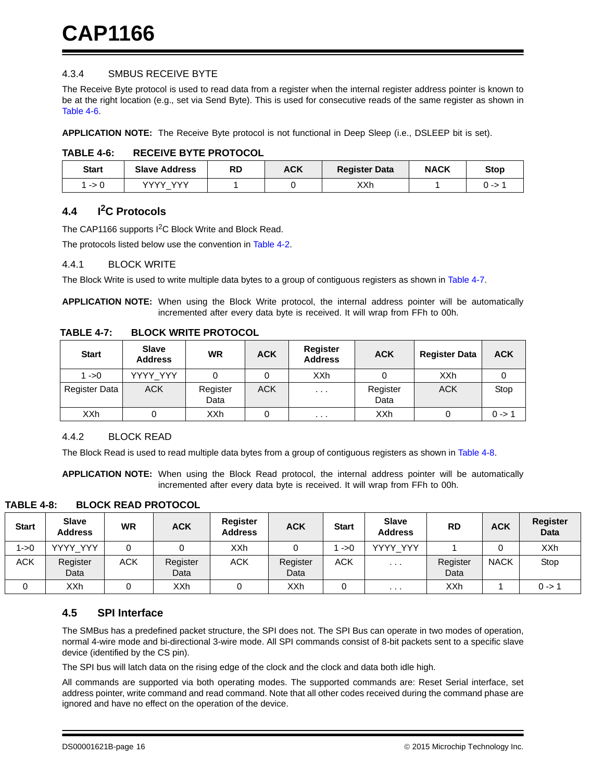## **CAP1166**

#### 4.3.4 SMBUS RECEIVE BYTE

The Receive Byte protocol is used to read data from a register when the internal register address pointer is known to be at the right location (e.g., set via Send Byte). This is used for consecutive reads of the same register as shown in [Table 4-6.](#page-15-3)

**APPLICATION NOTE:** The Receive Byte protocol is not functional in Deep Sleep (i.e., DSLEEP bit is set).

<span id="page-15-3"></span>

| <b>TABLE 4-6:</b> | <b>RECEIVE BYTE PROTOCOL</b> |
|-------------------|------------------------------|
|                   |                              |

| <b>Start</b> | <b>Slave Address</b>      | <b>ACK</b><br>RD |  | <b>Register Data</b> | <b>NACK</b> | <b>Stop</b> |
|--------------|---------------------------|------------------|--|----------------------|-------------|-------------|
| ر) --        | <b>VVV</b><br><b>VVVV</b> |                  |  | XXh                  |             | <- ل        |

#### **4.4 I2C Protocols**

The CAP1166 supports I<sup>2</sup>C Block Write and Block Read.

<span id="page-15-2"></span>**TABLE 4-7: BLOCK WRITE PROTOCOL**

The protocols listed below use the convention in [Table 4-2.](#page-14-1)

#### 4.4.1 BLOCK WRITE

The Block Write is used to write multiple data bytes to a group of contiguous registers as shown in [Table 4-7](#page-15-2).

**APPLICATION NOTE:** When using the Block Write protocol, the internal address pointer will be automatically incremented after every data byte is received. It will wrap from FFh to 00h.

| 18955-1-1. |                         | <b>DLOGR WRITE FROTOGOL</b> |            |                     |  |
|------------|-------------------------|-----------------------------|------------|---------------------|--|
| Start      | Slave<br><b>Address</b> | <b>WR</b>                   | <b>ACK</b> | Register<br>Address |  |

| <b>Start</b>  | <b>Slave</b><br><b>Address</b> | <b>WR</b>        | <b>ACK</b> | <b>Register</b><br><b>Address</b> | <b>ACK</b>       | <b>Register Data</b> | <b>ACK</b> |
|---------------|--------------------------------|------------------|------------|-----------------------------------|------------------|----------------------|------------|
| 1 ->0         | YYYY YYY                       |                  |            | <b>XXh</b>                        |                  | <b>XXh</b>           |            |
| Register Data | <b>ACK</b>                     | Register<br>Data | <b>ACK</b> | $\cdots$                          | Register<br>Data | <b>ACK</b>           | Stop       |
| XXh           |                                | XXh              |            | $\cdots$                          | XXh              |                      | $0 - 1$    |

#### 4.4.2 BLOCK READ

The Block Read is used to read multiple data bytes from a group of contiguous registers as shown in [Table 4-8](#page-15-1).

**APPLICATION NOTE:** When using the Block Read protocol, the internal address pointer will be automatically incremented after every data byte is received. It will wrap from FFh to 00h.

<span id="page-15-1"></span>**TABLE 4-8: BLOCK READ PROTOCOL**

| <b>Start</b> | <b>Slave</b><br><b>Address</b> | <b>WR</b>  | <b>ACK</b>       | Register<br><b>Address</b> | <b>ACK</b>       | <b>Start</b> | <b>Slave</b><br><b>Address</b> | <b>RD</b>        | <b>ACK</b>  | <b>Register</b><br><b>Data</b> |
|--------------|--------------------------------|------------|------------------|----------------------------|------------------|--------------|--------------------------------|------------------|-------------|--------------------------------|
| $1 - 0$      | YYYY YYY                       |            |                  | XXh                        |                  | $\sim 0$     | YYYY YYY                       |                  |             | <b>XXh</b>                     |
| <b>ACK</b>   | Register<br>Data               | <b>ACK</b> | Register<br>Data | <b>ACK</b>                 | Register<br>Data | ACK          | $\cdots$                       | Register<br>Data | <b>NACK</b> | Stop                           |
|              | <b>XXh</b>                     |            | <b>XXh</b>       |                            | <b>XXh</b>       | 0            | .                              | XXh              |             | $0 - > 1$                      |

#### <span id="page-15-0"></span>**4.5 SPI Interface**

The SMBus has a predefined packet structure, the SPI does not. The SPI Bus can operate in two modes of operation, normal 4-wire mode and bi-directional 3-wire mode. All SPI commands consist of 8-bit packets sent to a specific slave device (identified by the CS pin).

The SPI bus will latch data on the rising edge of the clock and the clock and data both idle high.

All commands are supported via both operating modes. The supported commands are: Reset Serial interface, set address pointer, write command and read command. Note that all other codes received during the command phase are ignored and have no effect on the operation of the device.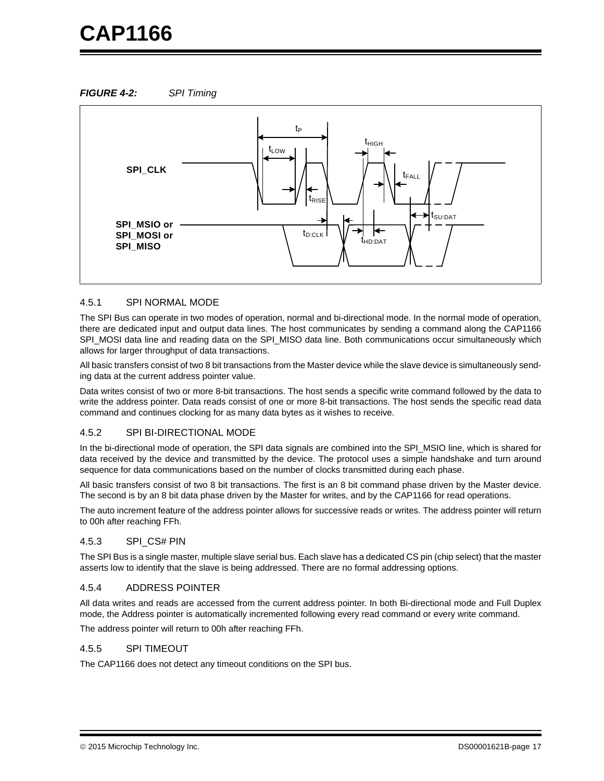



#### 4.5.1 SPI NORMAL MODE

The SPI Bus can operate in two modes of operation, normal and bi-directional mode. In the normal mode of operation, there are dedicated input and output data lines. The host communicates by sending a command along the CAP1166 SPI\_MOSI data line and reading data on the SPI\_MISO data line. Both communications occur simultaneously which allows for larger throughput of data transactions.

All basic transfers consist of two 8 bit transactions from the Master device while the slave device is simultaneously sending data at the current address pointer value.

Data writes consist of two or more 8-bit transactions. The host sends a specific write command followed by the data to write the address pointer. Data reads consist of one or more 8-bit transactions. The host sends the specific read data command and continues clocking for as many data bytes as it wishes to receive.

#### 4.5.2 SPI BI-DIRECTIONAL MODE

In the bi-directional mode of operation, the SPI data signals are combined into the SPI\_MSIO line, which is shared for data received by the device and transmitted by the device. The protocol uses a simple handshake and turn around sequence for data communications based on the number of clocks transmitted during each phase.

All basic transfers consist of two 8 bit transactions. The first is an 8 bit command phase driven by the Master device. The second is by an 8 bit data phase driven by the Master for writes, and by the CAP1166 for read operations.

The auto increment feature of the address pointer allows for successive reads or writes. The address pointer will return to 00h after reaching FFh.

#### 4.5.3 SPI\_CS# PIN

The SPI Bus is a single master, multiple slave serial bus. Each slave has a dedicated CS pin (chip select) that the master asserts low to identify that the slave is being addressed. There are no formal addressing options.

#### 4.5.4 ADDRESS POINTER

All data writes and reads are accessed from the current address pointer. In both Bi-directional mode and Full Duplex mode, the Address pointer is automatically incremented following every read command or every write command.

The address pointer will return to 00h after reaching FFh.

#### 4.5.5 SPI TIMEOUT

The CAP1166 does not detect any timeout conditions on the SPI bus.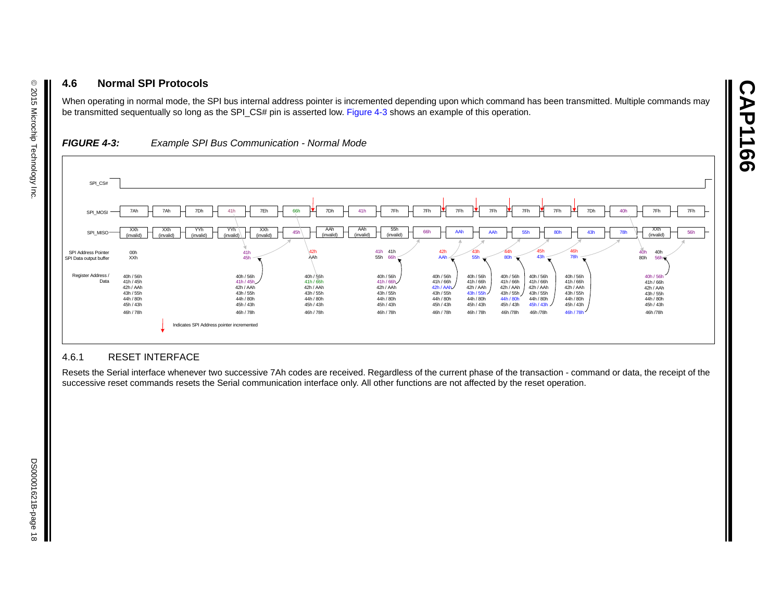<span id="page-17-1"></span>



#### 4.6.1 RESET INTERFACE

<span id="page-17-0"></span>Resets the Serial interface whenever two successive 7Ah codes are received. Regardless of the current phase of the transaction - command or data, the receipt of the successive reset commands resets the Serial communication interface only. All other functions are not affected by the reset operation.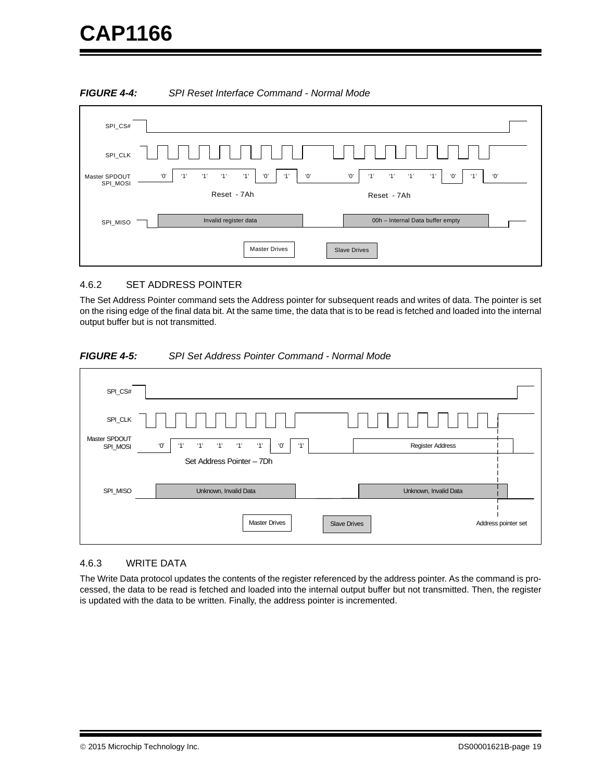



#### 4.6.2 SET ADDRESS POINTER

The Set Address Pointer command sets the Address pointer for subsequent reads and writes of data. The pointer is set on the rising edge of the final data bit. At the same time, the data that is to be read is fetched and loaded into the internal output buffer but is not transmitted.

#### *FIGURE 4-5: SPI Set Address Pointer Command - Normal Mode*



#### 4.6.3 WRITE DATA

The Write Data protocol updates the contents of the register referenced by the address pointer. As the command is processed, the data to be read is fetched and loaded into the internal output buffer but not transmitted. Then, the register is updated with the data to be written. Finally, the address pointer is incremented.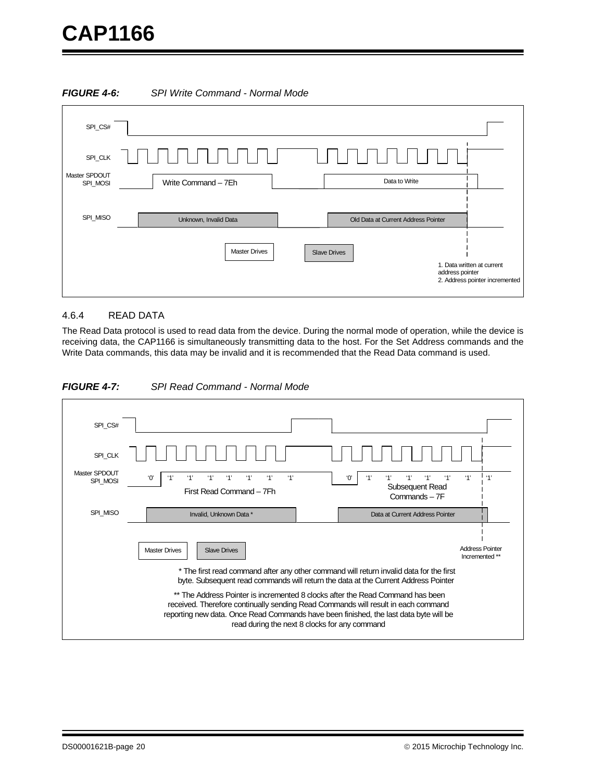| SPI_CS#                   |                                                              |                                                                                 |
|---------------------------|--------------------------------------------------------------|---------------------------------------------------------------------------------|
| SPI_CLK                   |                                                              |                                                                                 |
| Master SPDOUT<br>SPI_MOSI | Data to Write<br>Write Command - 7Eh                         |                                                                                 |
|                           |                                                              |                                                                                 |
| SPI_MISO                  | Unknown, Invalid Data<br>Old Data at Current Address Pointer |                                                                                 |
|                           | <b>Master Drives</b><br><b>Slave Drives</b>                  |                                                                                 |
|                           |                                                              | 1. Data written at current<br>address pointer<br>2. Address pointer incremented |

#### *FIGURE 4-6: SPI Write Command - Normal Mode*

#### 4.6.4 READ DATA

The Read Data protocol is used to read data from the device. During the normal mode of operation, while the device is receiving data, the CAP1166 is simultaneously transmitting data to the host. For the Set Address commands and the Write Data commands, this data may be invalid and it is recommended that the Read Data command is used.



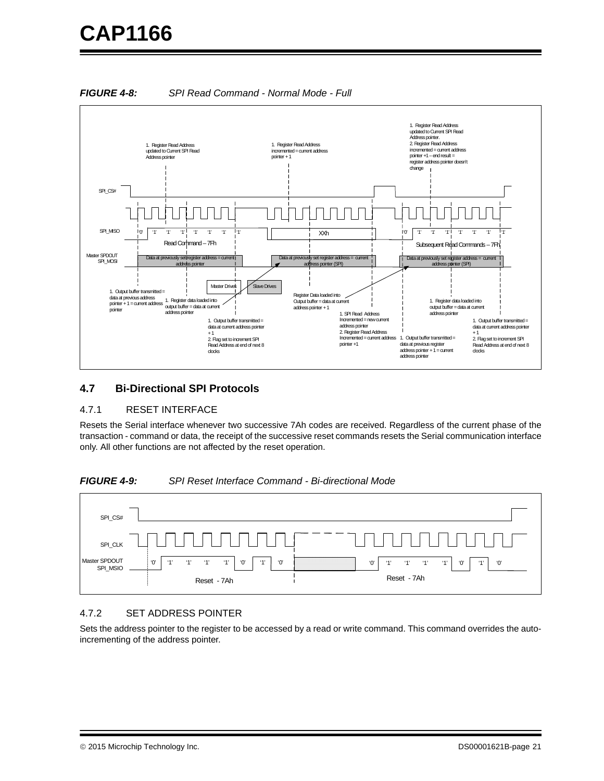

#### *FIGURE 4-8: SPI Read Command - Normal Mode - Full*

#### **4.7 Bi-Directional SPI Protocols**

#### 4.7.1 RESET INTERFACE

Resets the Serial interface whenever two successive 7Ah codes are received. Regardless of the current phase of the transaction - command or data, the receipt of the successive reset commands resets the Serial communication interface only. All other functions are not affected by the reset operation.

#### *FIGURE 4-9: SPI Reset Interface Command - Bi-directional Mode*



#### 4.7.2 SET ADDRESS POINTER

Sets the address pointer to the register to be accessed by a read or write command. This command overrides the autoincrementing of the address pointer.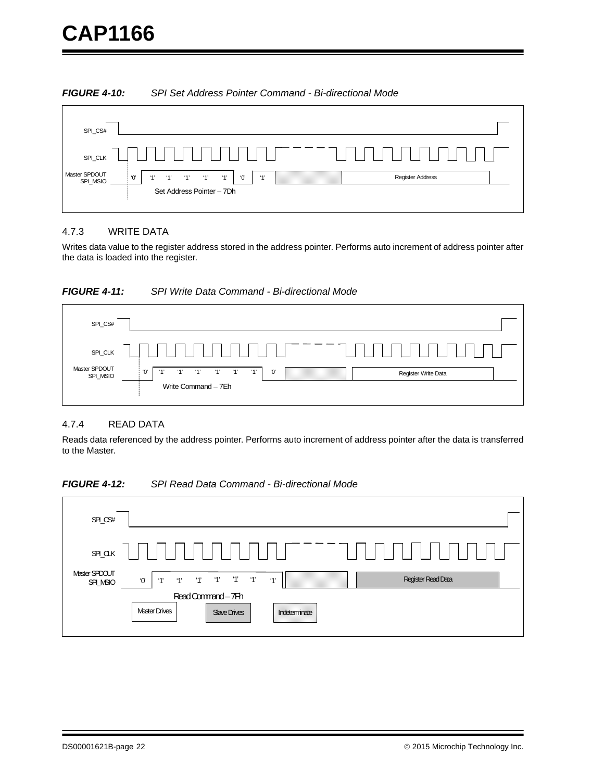#### *FIGURE 4-10: SPI Set Address Pointer Command - Bi-directional Mode*

| SPI_CS#                   |                                                                                                                     |
|---------------------------|---------------------------------------------------------------------------------------------------------------------|
| SPI_CLK                   |                                                                                                                     |
| Master SPDOUT<br>SPI_MSIO | <b>Register Address</b><br>4'<br>$^{\prime}1'$<br>'0'<br>4'<br>'1'<br>'1'<br>41<br>'0'<br>Set Address Pointer - 7Dh |

#### 4.7.3 WRITE DATA

Writes data value to the register address stored in the address pointer. Performs auto increment of address pointer after the data is loaded into the register.





#### 4.7.4 READ DATA

Reads data referenced by the address pointer. Performs auto increment of address pointer after the data is transferred to the Master.

#### *FIGURE 4-12: SPI Read Data Command - Bi-directional Mode*

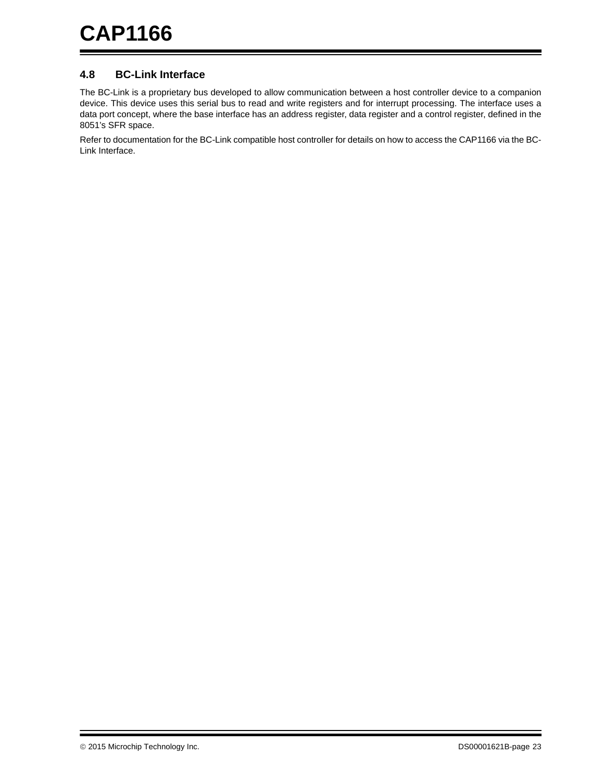#### **4.8 BC-Link Interface**

The BC-Link is a proprietary bus developed to allow communication between a host controller device to a companion device. This device uses this serial bus to read and write registers and for interrupt processing. The interface uses a data port concept, where the base interface has an address register, data register and a control register, defined in the 8051's SFR space.

Refer to documentation for the BC-Link compatible host controller for details on how to access the CAP1166 via the BC-Link Interface.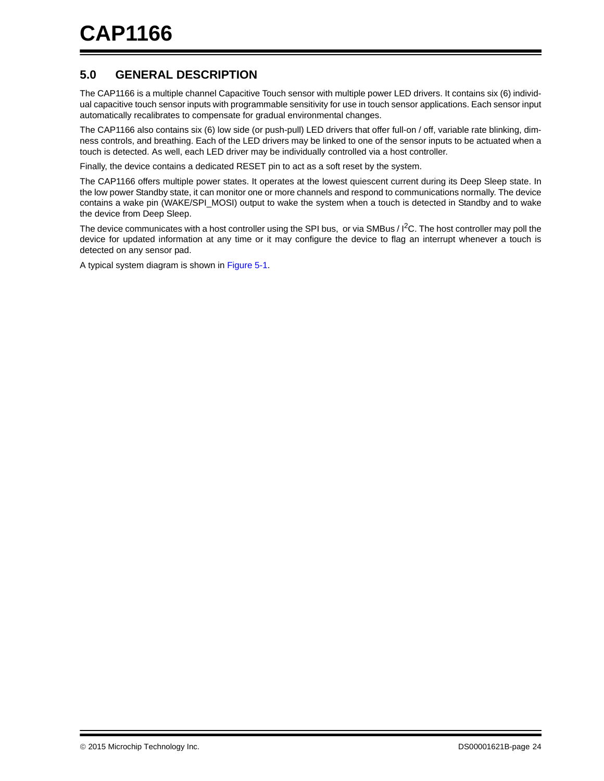#### <span id="page-23-0"></span>**5.0 GENERAL DESCRIPTION**

The CAP1166 is a multiple channel Capacitive Touch sensor with multiple power LED drivers. It contains six (6) individual capacitive touch sensor inputs with programmable sensitivity for use in touch sensor applications. Each sensor input automatically recalibrates to compensate for gradual environmental changes.

The CAP1166 also contains six (6) low side (or push-pull) LED drivers that offer full-on / off, variable rate blinking, dimness controls, and breathing. Each of the LED drivers may be linked to one of the sensor inputs to be actuated when a touch is detected. As well, each LED driver may be individually controlled via a host controller.

Finally, the device contains a dedicated RESET pin to act as a soft reset by the system.

The CAP1166 offers multiple power states. It operates at the lowest quiescent current during its Deep Sleep state. In the low power Standby state, it can monitor one or more channels and respond to communications normally. The device contains a wake pin (WAKE/SPI\_MOSI) output to wake the system when a touch is detected in Standby and to wake the device from Deep Sleep.

The device communicates with a host controller using the SPI bus, or via SMBus  $/1<sup>2</sup>C$ . The host controller may poll the device for updated information at any time or it may configure the device to flag an interrupt whenever a touch is detected on any sensor pad.

A typical system diagram is shown in [Figure 5-1](#page-24-0).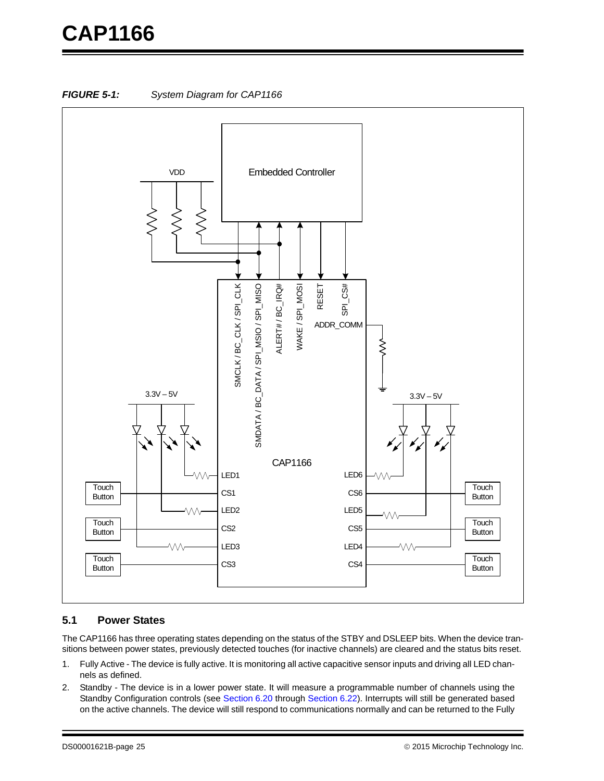

<span id="page-24-0"></span>*FIGURE 5-1: System Diagram for CAP1166*

#### **5.1 Power States**

The CAP1166 has three operating states depending on the status of the STBY and DSLEEP bits. When the device transitions between power states, previously detected touches (for inactive channels) are cleared and the status bits reset.

- 1. Fully Active The device is fully active. It is monitoring all active capacitive sensor inputs and driving all LED channels as defined.
- 2. Standby The device is in a lower power state. It will measure a programmable number of channels using the Standby Configuration controls (see [Section 6.20](#page-46-0) through [Section 6.22](#page-48-0)). Interrupts will still be generated based on the active channels. The device will still respond to communications normally and can be returned to the Fully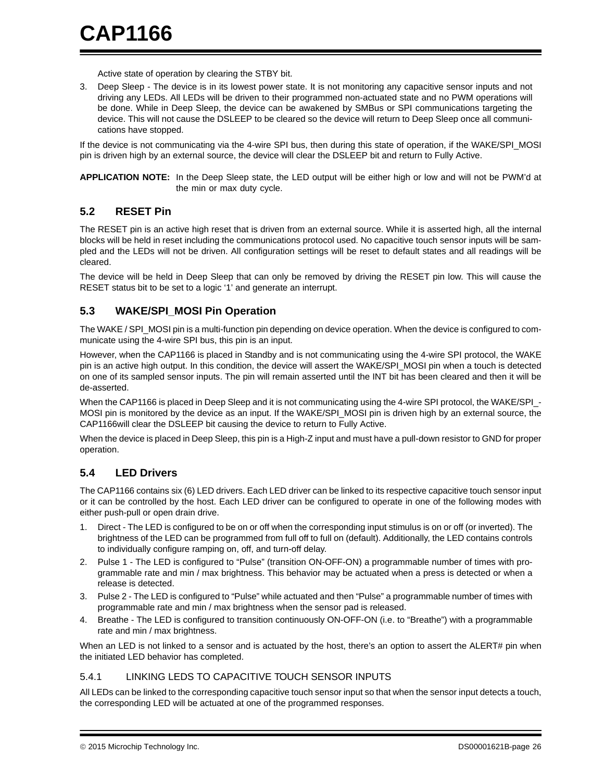Active state of operation by clearing the STBY bit.

3. Deep Sleep - The device is in its lowest power state. It is not monitoring any capacitive sensor inputs and not driving any LEDs. All LEDs will be driven to their programmed non-actuated state and no PWM operations will be done. While in Deep Sleep, the device can be awakened by SMBus or SPI communications targeting the device. This will not cause the DSLEEP to be cleared so the device will return to Deep Sleep once all communications have stopped.

If the device is not communicating via the 4-wire SPI bus, then during this state of operation, if the WAKE/SPI\_MOSI pin is driven high by an external source, the device will clear the DSLEEP bit and return to Fully Active.

**APPLICATION NOTE:** In the Deep Sleep state, the LED output will be either high or low and will not be PWM'd at the min or max duty cycle.

#### <span id="page-25-0"></span>**5.2 RESET Pin**

The RESET pin is an active high reset that is driven from an external source. While it is asserted high, all the internal blocks will be held in reset including the communications protocol used. No capacitive touch sensor inputs will be sampled and the LEDs will not be driven. All configuration settings will be reset to default states and all readings will be cleared.

The device will be held in Deep Sleep that can only be removed by driving the RESET pin low. This will cause the RESET status bit to be set to a logic '1' and generate an interrupt.

#### **5.3 WAKE/SPI\_MOSI Pin Operation**

The WAKE / SPI\_MOSI pin is a multi-function pin depending on device operation. When the device is configured to communicate using the 4-wire SPI bus, this pin is an input.

However, when the CAP1166 is placed in Standby and is not communicating using the 4-wire SPI protocol, the WAKE pin is an active high output. In this condition, the device will assert the WAKE/SPI\_MOSI pin when a touch is detected on one of its sampled sensor inputs. The pin will remain asserted until the INT bit has been cleared and then it will be de-asserted.

When the CAP1166 is placed in Deep Sleep and it is not communicating using the 4-wire SPI protocol, the WAKE/SPI\_- MOSI pin is monitored by the device as an input. If the WAKE/SPI\_MOSI pin is driven high by an external source, the CAP1166will clear the DSLEEP bit causing the device to return to Fully Active.

When the device is placed in Deep Sleep, this pin is a High-Z input and must have a pull-down resistor to GND for proper operation.

#### **5.4 LED Drivers**

The CAP1166 contains six (6) LED drivers. Each LED driver can be linked to its respective capacitive touch sensor input or it can be controlled by the host. Each LED driver can be configured to operate in one of the following modes with either push-pull or open drain drive.

- 1. Direct The LED is configured to be on or off when the corresponding input stimulus is on or off (or inverted). The brightness of the LED can be programmed from full off to full on (default). Additionally, the LED contains controls to individually configure ramping on, off, and turn-off delay.
- 2. Pulse 1 The LED is configured to "Pulse" (transition ON-OFF-ON) a programmable number of times with programmable rate and min / max brightness. This behavior may be actuated when a press is detected or when a release is detected.
- 3. Pulse 2 The LED is configured to "Pulse" while actuated and then "Pulse" a programmable number of times with programmable rate and min / max brightness when the sensor pad is released.
- 4. Breathe The LED is configured to transition continuously ON-OFF-ON (i.e. to "Breathe") with a programmable rate and min / max brightness.

When an LED is not linked to a sensor and is actuated by the host, there's an option to assert the ALERT# pin when the initiated LED behavior has completed.

#### 5.4.1 LINKING LEDS TO CAPACITIVE TOUCH SENSOR INPUTS

All LEDs can be linked to the corresponding capacitive touch sensor input so that when the sensor input detects a touch, the corresponding LED will be actuated at one of the programmed responses.

2015 Microchip Technology Inc. DS00001621B-page 26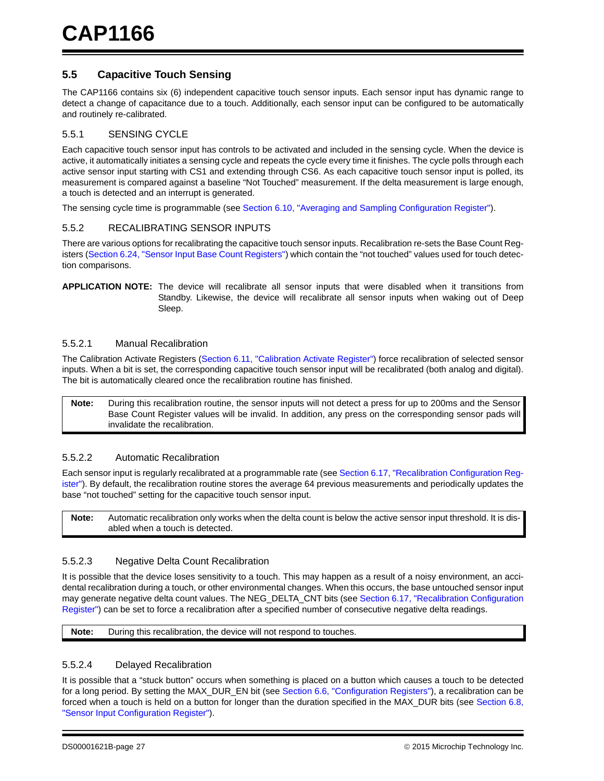#### **5.5 Capacitive Touch Sensing**

The CAP1166 contains six (6) independent capacitive touch sensor inputs. Each sensor input has dynamic range to detect a change of capacitance due to a touch. Additionally, each sensor input can be configured to be automatically and routinely re-calibrated.

#### <span id="page-26-0"></span>5.5.1 SENSING CYCLE

Each capacitive touch sensor input has controls to be activated and included in the sensing cycle. When the device is active, it automatically initiates a sensing cycle and repeats the cycle every time it finishes. The cycle polls through each active sensor input starting with CS1 and extending through CS6. As each capacitive touch sensor input is polled, its measurement is compared against a baseline "Not Touched" measurement. If the delta measurement is large enough, a touch is detected and an interrupt is generated.

The sensing cycle time is programmable (see [Section 6.10, "Averaging and Sampling Configuration Register"](#page-40-0)).

#### 5.5.2 RECALIBRATING SENSOR INPUTS

There are various options for recalibrating the capacitive touch sensor inputs. Recalibration re-sets the Base Count Registers ([Section 6.24, "Sensor Input Base Count Registers"](#page-49-0)) which contain the "not touched" values used for touch detection comparisons.

**APPLICATION NOTE:** The device will recalibrate all sensor inputs that were disabled when it transitions from Standby. Likewise, the device will recalibrate all sensor inputs when waking out of Deep Sleep.

#### 5.5.2.1 Manual Recalibration

The Calibration Activate Registers [\(Section 6.11, "Calibration Activate Register"\)](#page-41-0) force recalibration of selected sensor inputs. When a bit is set, the corresponding capacitive touch sensor input will be recalibrated (both analog and digital). The bit is automatically cleared once the recalibration routine has finished.

**Note:** During this recalibration routine, the sensor inputs will not detect a press for up to 200ms and the Sensor Base Count Register values will be invalid. In addition, any press on the corresponding sensor pads will invalidate the recalibration.

#### 5.5.2.2 Automatic Recalibration

Each sensor input is regularly recalibrated at a programmable rate (see [Section 6.17, "Recalibration Configuration Reg](#page-44-0)[ister"](#page-44-0)). By default, the recalibration routine stores the average 64 previous measurements and periodically updates the base "not touched" setting for the capacitive touch sensor input.

**Note:** Automatic recalibration only works when the delta count is below the active sensor input threshold. It is disabled when a touch is detected.

#### 5.5.2.3 Negative Delta Count Recalibration

It is possible that the device loses sensitivity to a touch. This may happen as a result of a noisy environment, an accidental recalibration during a touch, or other environmental changes. When this occurs, the base untouched sensor input may generate negative delta count values. The NEG DELTA CNT bits (see [Section 6.17, "Recalibration Configuration](#page-44-0) [Register"\)](#page-44-0) can be set to force a recalibration after a specified number of consecutive negative delta readings.

#### **Note:** During this recalibration, the device will not respond to touches.

#### 5.5.2.4 Delayed Recalibration

It is possible that a "stuck button" occurs when something is placed on a button which causes a touch to be detected for a long period. By setting the MAX\_DUR\_EN bit (see [Section 6.6, "Configuration Registers"\)](#page-36-0), a recalibration can be forced when a touch is held on a button for longer than the duration specified in the MAX\_DUR bits (see [Section 6.8,](#page-38-0) ["Sensor Input Configuration Register"](#page-38-0)).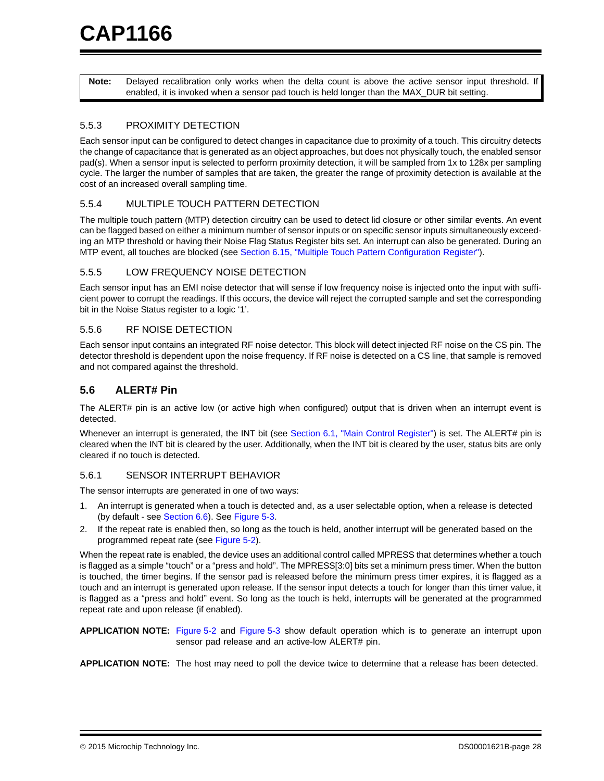**Note:** Delayed recalibration only works when the delta count is above the active sensor input threshold. If enabled, it is invoked when a sensor pad touch is held longer than the MAX\_DUR bit setting.

#### 5.5.3 PROXIMITY DETECTION

Each sensor input can be configured to detect changes in capacitance due to proximity of a touch. This circuitry detects the change of capacitance that is generated as an object approaches, but does not physically touch, the enabled sensor pad(s). When a sensor input is selected to perform proximity detection, it will be sampled from 1x to 128x per sampling cycle. The larger the number of samples that are taken, the greater the range of proximity detection is available at the cost of an increased overall sampling time.

#### <span id="page-27-0"></span>5.5.4 MULTIPLE TOUCH PATTERN DETECTION

The multiple touch pattern (MTP) detection circuitry can be used to detect lid closure or other similar events. An event can be flagged based on either a minimum number of sensor inputs or on specific sensor inputs simultaneously exceeding an MTP threshold or having their Noise Flag Status Register bits set. An interrupt can also be generated. During an MTP event, all touches are blocked (see [Section 6.15, "Multiple Touch Pattern Configuration Register"](#page-43-0)).

#### 5.5.5 LOW FREQUENCY NOISE DETECTION

Each sensor input has an EMI noise detector that will sense if low frequency noise is injected onto the input with sufficient power to corrupt the readings. If this occurs, the device will reject the corrupted sample and set the corresponding bit in the Noise Status register to a logic '1'.

#### 5.5.6 RF NOISE DETECTION

Each sensor input contains an integrated RF noise detector. This block will detect injected RF noise on the CS pin. The detector threshold is dependent upon the noise frequency. If RF noise is detected on a CS line, that sample is removed and not compared against the threshold.

#### **5.6 ALERT# Pin**

The ALERT# pin is an active low (or active high when configured) output that is driven when an interrupt event is detected.

Whenever an interrupt is generated, the INT bit (see [Section 6.1, "Main Control Register"\)](#page-32-0) is set. The ALERT# pin is cleared when the INT bit is cleared by the user. Additionally, when the INT bit is cleared by the user, status bits are only cleared if no touch is detected.

#### 5.6.1 SENSOR INTERRUPT BEHAVIOR

The sensor interrupts are generated in one of two ways:

- 1. An interrupt is generated when a touch is detected and, as a user selectable option, when a release is detected (by default - see [Section 6.6\)](#page-36-0). See [Figure 5-3](#page-28-1).
- 2. If the repeat rate is enabled then, so long as the touch is held, another interrupt will be generated based on the programmed repeat rate (see [Figure 5-2](#page-28-0)).

When the repeat rate is enabled, the device uses an additional control called MPRESS that determines whether a touch is flagged as a simple "touch" or a "press and hold". The MPRESS[3:0] bits set a minimum press timer. When the button is touched, the timer begins. If the sensor pad is released before the minimum press timer expires, it is flagged as a touch and an interrupt is generated upon release. If the sensor input detects a touch for longer than this timer value, it is flagged as a "press and hold" event. So long as the touch is held, interrupts will be generated at the programmed repeat rate and upon release (if enabled).

**APPLICATION NOTE:** [Figure 5-2](#page-28-0) and [Figure 5-3](#page-28-1) show default operation which is to generate an interrupt upon sensor pad release and an active-low ALERT# pin.

**APPLICATION NOTE:** The host may need to poll the device twice to determine that a release has been detected.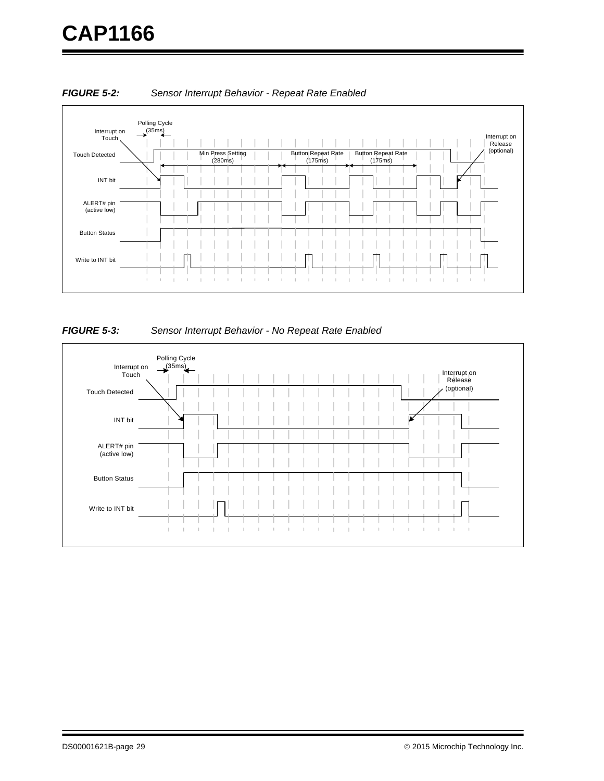

<span id="page-28-0"></span>*FIGURE 5-2: Sensor Interrupt Behavior - Repeat Rate Enabled* 

<span id="page-28-1"></span>

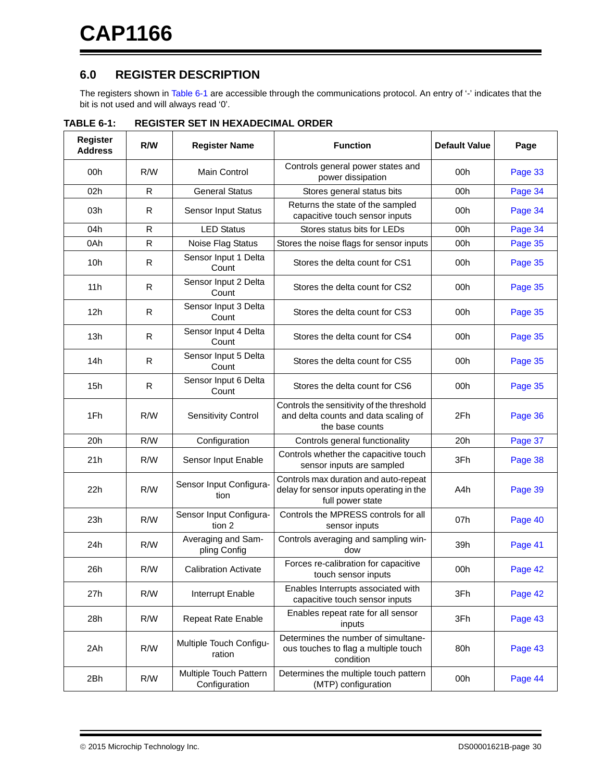#### <span id="page-29-0"></span>**6.0 REGISTER DESCRIPTION**

The registers shown in [Table 6-1](#page-29-1) are accessible through the communications protocol. An entry of '-' indicates that the bit is not used and will always read '0'.

| Register<br><b>Address</b> | R/W                                | <b>Register Name</b>                    | <b>Function</b>                                                                                       | <b>Default Value</b> | Page    |
|----------------------------|------------------------------------|-----------------------------------------|-------------------------------------------------------------------------------------------------------|----------------------|---------|
| 00h                        | R/W                                | Main Control                            | Controls general power states and<br>power dissipation                                                | 00h                  | Page 33 |
| 02h                        | R                                  | <b>General Status</b>                   | Stores general status bits                                                                            | 00h                  | Page 34 |
| 03h                        | R                                  | <b>Sensor Input Status</b>              | Returns the state of the sampled<br>capacitive touch sensor inputs                                    | 00h                  | Page 34 |
| 04h                        | $\mathsf{R}$                       | <b>LED Status</b>                       | Stores status bits for LEDs                                                                           | 00h                  | Page 34 |
| 0Ah                        | R                                  | Noise Flag Status                       | Stores the noise flags for sensor inputs                                                              | 00h                  | Page 35 |
| 10 <sub>h</sub>            | R                                  | Sensor Input 1 Delta<br>Count           | Stores the delta count for CS1                                                                        | 00h                  | Page 35 |
| 11h                        | R                                  | Sensor Input 2 Delta<br>Count           | Stores the delta count for CS2                                                                        | 00h                  | Page 35 |
| 12h                        | R                                  | Sensor Input 3 Delta<br>Count           | Stores the delta count for CS3                                                                        | 00h                  | Page 35 |
| 13h                        | R.                                 | Sensor Input 4 Delta<br>Count           | Stores the delta count for CS4                                                                        | 00h                  | Page 35 |
| 14h                        | Sensor Input 5 Delta<br>R<br>Count |                                         | Stores the delta count for CS5                                                                        | 00h                  | Page 35 |
| 15h                        | R                                  | Sensor Input 6 Delta<br>Count           | Stores the delta count for CS6                                                                        | 00h                  | Page 35 |
| 1Fh                        | R/W                                | <b>Sensitivity Control</b>              | Controls the sensitivity of the threshold<br>and delta counts and data scaling of<br>the base counts  | 2Fh                  | Page 36 |
| 20h                        | R/W                                | Configuration                           | Controls general functionality                                                                        | 20h                  | Page 37 |
| 21h                        | R/W                                | Sensor Input Enable                     | Controls whether the capacitive touch<br>sensor inputs are sampled                                    | 3Fh                  | Page 38 |
| 22h                        | R/W                                | Sensor Input Configura-<br>tion         | Controls max duration and auto-repeat<br>delay for sensor inputs operating in the<br>full power state | A4h                  | Page 39 |
| 23h                        | R/W                                | Sensor Input Configura-<br>tion 2       | Controls the MPRESS controls for all<br>sensor inputs                                                 | 07h                  | Page 40 |
| 24h                        | R/W                                | Averaging and Sam-<br>pling Config      | Controls averaging and sampling win-<br>dow                                                           | 39h                  | Page 41 |
| 26h                        | R/W                                | <b>Calibration Activate</b>             | Forces re-calibration for capacitive<br>touch sensor inputs                                           | 00h                  | Page 42 |
| 27h                        | R/W                                | Interrupt Enable                        | Enables Interrupts associated with<br>capacitive touch sensor inputs                                  | 3Fh                  | Page 42 |
| 28h                        | R/W                                | Repeat Rate Enable                      | Enables repeat rate for all sensor<br>inputs                                                          | 3Fh                  | Page 43 |
| 2Ah                        | R/W                                | Multiple Touch Configu-<br>ration       | Determines the number of simultane-<br>ous touches to flag a multiple touch<br>condition              | 80h                  | Page 43 |
| 2Bh                        | R/W                                | Multiple Touch Pattern<br>Configuration | Determines the multiple touch pattern<br>(MTP) configuration                                          | 00h                  | Page 44 |

<span id="page-29-1"></span>**TABLE 6-1: REGISTER SET IN HEXADECIMAL ORDER**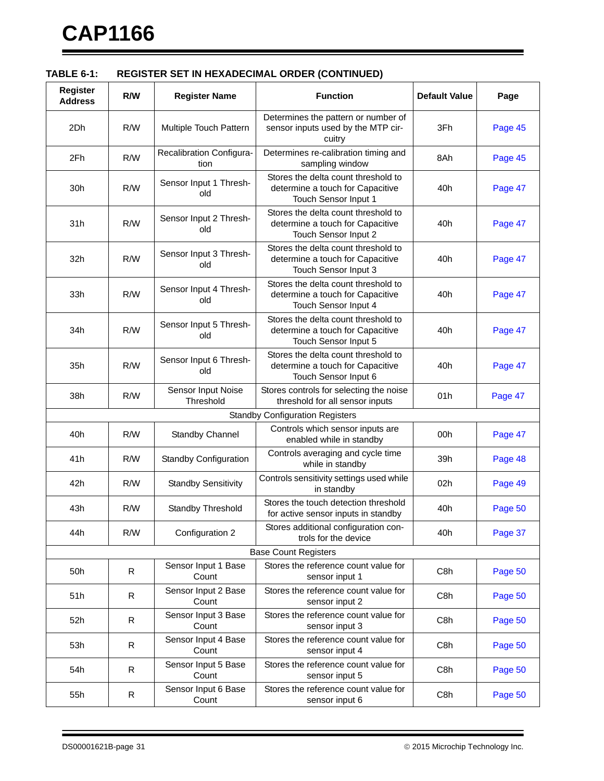### **CAP1166**

| <b>REGISTER SET IN HEXADECIMAL ORDER (CONTINUED)</b><br><b>TABLE 6-1:</b> |
|---------------------------------------------------------------------------|
|---------------------------------------------------------------------------|

| <b>Register</b><br><b>Address</b> | R/W          | <b>Register Name</b>             | <b>Function</b>                                                                                 | <b>Default Value</b> | Page    |
|-----------------------------------|--------------|----------------------------------|-------------------------------------------------------------------------------------------------|----------------------|---------|
| 2Dh                               | R/W          | Multiple Touch Pattern           | Determines the pattern or number of<br>sensor inputs used by the MTP cir-<br>cuitry             | 3Fh                  | Page 45 |
| 2Fh                               | R/W          | Recalibration Configura-<br>tion | Determines re-calibration timing and<br>sampling window                                         | 8Ah                  | Page 45 |
| 30h                               | R/W          | Sensor Input 1 Thresh-<br>old    | Stores the delta count threshold to<br>determine a touch for Capacitive<br>Touch Sensor Input 1 | 40h                  | Page 47 |
| 31h                               | R/W          | Sensor Input 2 Thresh-<br>old    | Stores the delta count threshold to<br>determine a touch for Capacitive<br>Touch Sensor Input 2 | 40h                  | Page 47 |
| 32 <sub>h</sub>                   | R/W          | Sensor Input 3 Thresh-<br>old    | Stores the delta count threshold to<br>determine a touch for Capacitive<br>Touch Sensor Input 3 | 40h                  | Page 47 |
| 33 <sub>h</sub>                   | R/W          | Sensor Input 4 Thresh-<br>old    | Stores the delta count threshold to<br>determine a touch for Capacitive<br>Touch Sensor Input 4 | 40h                  | Page 47 |
| 34h                               | R/W          | Sensor Input 5 Thresh-<br>old    | Stores the delta count threshold to<br>determine a touch for Capacitive<br>Touch Sensor Input 5 | 40h                  | Page 47 |
| 35h                               | R/W          | Sensor Input 6 Thresh-<br>old    | Stores the delta count threshold to<br>determine a touch for Capacitive<br>Touch Sensor Input 6 | 40h                  | Page 47 |
| 38h                               | R/W          | Sensor Input Noise<br>Threshold  | Stores controls for selecting the noise<br>threshold for all sensor inputs                      | 01h                  | Page 47 |
|                                   |              |                                  | <b>Standby Configuration Registers</b>                                                          |                      |         |
| 40h                               | R/W          | Standby Channel                  | Controls which sensor inputs are<br>enabled while in standby                                    | 00h                  | Page 47 |
| 41h                               | R/W          | Standby Configuration            | Controls averaging and cycle time<br>while in standby                                           | 39h                  | Page 48 |
| 42h                               | R/W          | <b>Standby Sensitivity</b>       | Controls sensitivity settings used while<br>in standby                                          | 02h                  | Page 49 |
| 43h                               | R/W          | Standby Threshold                | Stores the touch detection threshold<br>for active sensor inputs in standby                     | 40h                  | Page 50 |
| 44h                               | R/W          | Configuration 2                  | Stores additional configuration con-<br>trols for the device                                    | 40h                  | Page 37 |
|                                   |              |                                  | <b>Base Count Registers</b>                                                                     |                      |         |
| 50h                               | $\mathsf{R}$ | Sensor Input 1 Base<br>Count     | Stores the reference count value for<br>sensor input 1                                          | C8h                  | Page 50 |
| 51h                               | R            | Sensor Input 2 Base<br>Count     | Stores the reference count value for<br>sensor input 2                                          | C8h                  | Page 50 |
| 52h                               | R            | Sensor Input 3 Base<br>Count     | Stores the reference count value for<br>sensor input 3                                          | C8h                  | Page 50 |
| 53h                               | R            | Sensor Input 4 Base<br>Count     | Stores the reference count value for<br>sensor input 4                                          | C8h                  | Page 50 |
| 54h                               | $\mathsf{R}$ | Sensor Input 5 Base<br>Count     | Stores the reference count value for<br>sensor input 5                                          | C8h                  | Page 50 |
| 55h                               | $\mathsf{R}$ | Sensor Input 6 Base<br>Count     | Stores the reference count value for<br>sensor input 6                                          | C8h                  | Page 50 |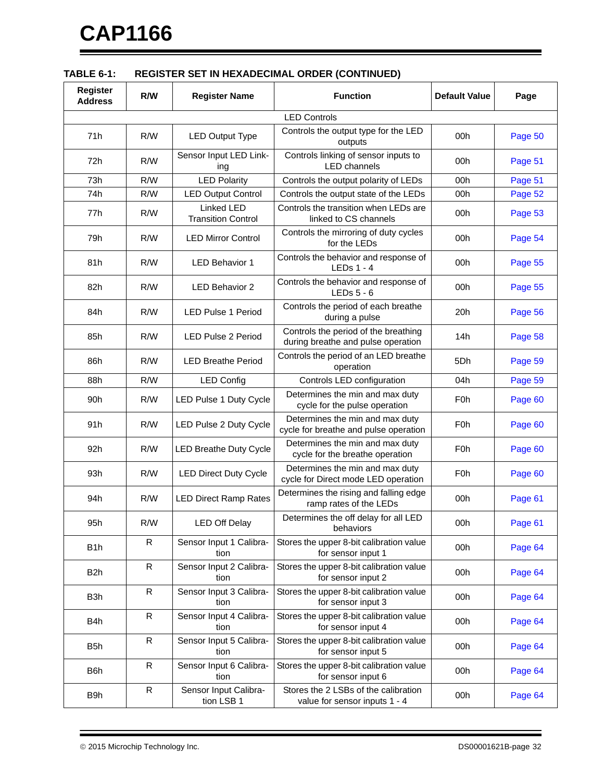### **CAP1166**

#### **TABLE 6-1: REGISTER SET IN HEXADECIMAL ORDER (CONTINUED)**

| <b>Register</b><br><b>Address</b> | R/W          | <b>Function</b><br><b>Register Name</b> |                                                                            | <b>Default Value</b> | Page    |  |  |  |  |
|-----------------------------------|--------------|-----------------------------------------|----------------------------------------------------------------------------|----------------------|---------|--|--|--|--|
| <b>LED Controls</b>               |              |                                         |                                                                            |                      |         |  |  |  |  |
| 71h                               | R/W          | <b>LED Output Type</b>                  | Controls the output type for the LED<br>outputs                            | 00h                  | Page 50 |  |  |  |  |
| 72h                               | R/W          | Sensor Input LED Link-<br>ing           | Controls linking of sensor inputs to<br><b>LED</b> channels                | 00h                  | Page 51 |  |  |  |  |
| 73h                               | R/W          | <b>LED Polarity</b>                     | Controls the output polarity of LEDs                                       | 00h                  | Page 51 |  |  |  |  |
| 74h                               | R/W          | <b>LED Output Control</b>               | Controls the output state of the LEDs                                      | 00h                  | Page 52 |  |  |  |  |
| 77h                               | R/W          | Linked LED<br><b>Transition Control</b> | Controls the transition when LEDs are<br>linked to CS channels             | 00h                  | Page 53 |  |  |  |  |
| 79h                               | R/W          | <b>LED Mirror Control</b>               | Controls the mirroring of duty cycles<br>for the LEDs                      | 00h                  | Page 54 |  |  |  |  |
| 81h                               | R/W          | <b>LED Behavior 1</b>                   | Controls the behavior and response of<br>LEDs $1 - 4$                      | 00h                  | Page 55 |  |  |  |  |
| 82h                               | R/W          | <b>LED Behavior 2</b>                   | Controls the behavior and response of<br>LEDs $5 - 6$                      | 00h                  | Page 55 |  |  |  |  |
| 84h                               | R/W          | <b>LED Pulse 1 Period</b>               | Controls the period of each breathe<br>during a pulse                      | 20h                  | Page 56 |  |  |  |  |
| 85h                               | R/W          | <b>LED Pulse 2 Period</b>               | Controls the period of the breathing<br>during breathe and pulse operation | 14h                  | Page 58 |  |  |  |  |
| 86h                               | R/W          | <b>LED Breathe Period</b>               | Controls the period of an LED breathe<br>operation                         | 5Dh                  | Page 59 |  |  |  |  |
| 88h                               | R/W          | <b>LED Config</b>                       | Controls LED configuration                                                 | 04h                  | Page 59 |  |  |  |  |
| 90h                               | R/W          | LED Pulse 1 Duty Cycle                  | Determines the min and max duty<br>cycle for the pulse operation           | <b>F0h</b>           | Page 60 |  |  |  |  |
| 91h                               | R/W          | LED Pulse 2 Duty Cycle                  | Determines the min and max duty<br>cycle for breathe and pulse operation   | F <sub>0</sub> h     | Page 60 |  |  |  |  |
| 92h                               | R/W          | LED Breathe Duty Cycle                  | Determines the min and max duty<br>cycle for the breathe operation         | F <sub>0</sub> h     | Page 60 |  |  |  |  |
| 93h                               | R/W          | <b>LED Direct Duty Cycle</b>            | Determines the min and max duty<br>cycle for Direct mode LED operation     | F <sub>0</sub> h     | Page 60 |  |  |  |  |
| 94h                               | R/W          | <b>LED Direct Ramp Rates</b>            | Determines the rising and falling edge<br>ramp rates of the LEDs           | 00h                  | Page 61 |  |  |  |  |
| 95h                               | R/W          | <b>LED Off Delay</b>                    | Determines the off delay for all LED<br>behaviors                          | 00h                  | Page 61 |  |  |  |  |
| B <sub>1</sub> h                  | R            | Sensor Input 1 Calibra-<br>tion         | Stores the upper 8-bit calibration value<br>for sensor input 1             | 00h                  | Page 64 |  |  |  |  |
| B <sub>2</sub> h                  | $\mathsf{R}$ | Sensor Input 2 Calibra-<br>tion         | Stores the upper 8-bit calibration value<br>for sensor input 2             | 00h                  | Page 64 |  |  |  |  |
| B <sub>3</sub> h                  | R            | Sensor Input 3 Calibra-<br>tion         | Stores the upper 8-bit calibration value<br>for sensor input 3             | 00h                  | Page 64 |  |  |  |  |
| B4h                               | R            | Sensor Input 4 Calibra-<br>tion         | Stores the upper 8-bit calibration value<br>for sensor input 4             | 00h                  | Page 64 |  |  |  |  |
| B5h                               | $\mathsf{R}$ | Sensor Input 5 Calibra-<br>tion         | Stores the upper 8-bit calibration value<br>for sensor input 5             | 00h                  | Page 64 |  |  |  |  |
| B6h                               | ${\sf R}$    | Sensor Input 6 Calibra-<br>tion         | Stores the upper 8-bit calibration value<br>for sensor input 6             | 00h                  | Page 64 |  |  |  |  |
| B9h                               | R            | Sensor Input Calibra-<br>tion LSB 1     | Stores the 2 LSBs of the calibration<br>value for sensor inputs 1 - 4      | 00h                  | Page 64 |  |  |  |  |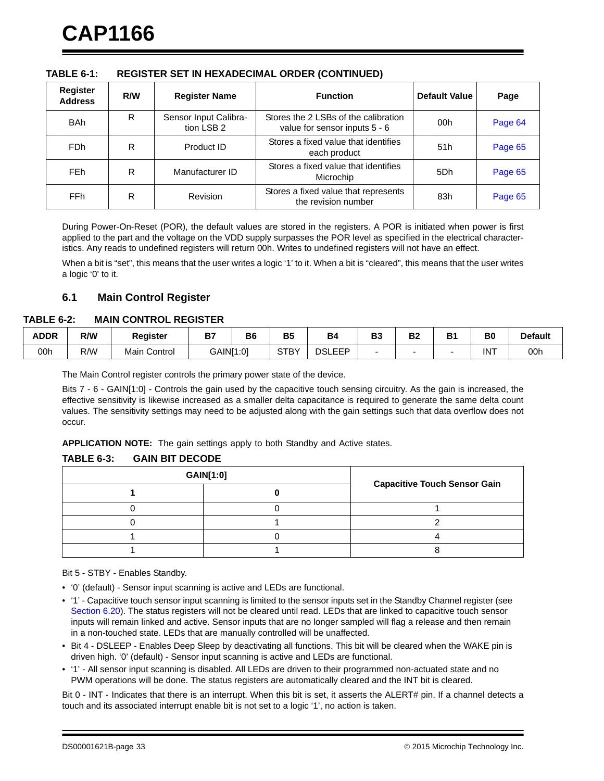| <b>Register</b><br><b>Address</b> | R/W | <b>Register Name</b>                | <b>Function</b>                                                       | <b>Default Value</b> | Page    |
|-----------------------------------|-----|-------------------------------------|-----------------------------------------------------------------------|----------------------|---------|
| <b>BAh</b>                        | R   | Sensor Input Calibra-<br>tion LSB 2 | Stores the 2 LSBs of the calibration<br>value for sensor inputs 5 - 6 | 00h                  | Page 64 |
| <b>FDh</b>                        | R   | Product ID                          | Stores a fixed value that identifies<br>each product                  | 51h                  | Page 65 |
| <b>FEh</b>                        | R   | Manufacturer ID                     | Stores a fixed value that identifies<br>Microchip                     | 5Dh                  | Page 65 |
| FF <sub>h</sub>                   | R   | Revision                            | Stores a fixed value that represents<br>the revision number           | 83h                  | Page 65 |

#### **TABLE 6-1: REGISTER SET IN HEXADECIMAL ORDER (CONTINUED)**

During Power-On-Reset (POR), the default values are stored in the registers. A POR is initiated when power is first applied to the part and the voltage on the VDD supply surpasses the POR level as specified in the electrical characteristics. Any reads to undefined registers will return 00h. Writes to undefined registers will not have an effect.

When a bit is "set", this means that the user writes a logic '1' to it. When a bit is "cleared", this means that the user writes a logic '0' to it.

#### <span id="page-32-1"></span><span id="page-32-0"></span>**6.1 Main Control Register**

#### **TABLE 6-2: MAIN CONTROL REGISTER**

| <b>ADDR</b> | R/W | Register        | D7<br>D.  | B <sub>6</sub> | <b>B5</b> | B4            | D.<br>Dû | D0<br>DZ | B1 | B <sub>0</sub> | <b>Default</b> |
|-------------|-----|-----------------|-----------|----------------|-----------|---------------|----------|----------|----|----------------|----------------|
| 00h         | R/W | Main<br>Control | GAIN[1:0] |                | STBY      | <b>DSLEEP</b> |          |          |    | <b>INT</b>     | 00h            |

The Main Control register controls the primary power state of the device.

Bits 7 - 6 - GAIN[1:0] - Controls the gain used by the capacitive touch sensing circuitry. As the gain is increased, the effective sensitivity is likewise increased as a smaller delta capacitance is required to generate the same delta count values. The sensitivity settings may need to be adjusted along with the gain settings such that data overflow does not occur.

**APPLICATION NOTE:** The gain settings apply to both Standby and Active states.

#### **TABLE 6-3: GAIN BIT DECODE**

| GAIN[1:0] | <b>Capacitive Touch Sensor Gain</b> |  |  |  |  |
|-----------|-------------------------------------|--|--|--|--|
|           |                                     |  |  |  |  |
|           |                                     |  |  |  |  |
|           |                                     |  |  |  |  |
|           |                                     |  |  |  |  |
|           |                                     |  |  |  |  |

Bit 5 - STBY - Enables Standby.

- '0' (default) Sensor input scanning is active and LEDs are functional.
- '1' Capacitive touch sensor input scanning is limited to the sensor inputs set in the Standby Channel register (see [Section 6.20\)](#page-46-3). The status registers will not be cleared until read. LEDs that are linked to capacitive touch sensor inputs will remain linked and active. Sensor inputs that are no longer sampled will flag a release and then remain in a non-touched state. LEDs that are manually controlled will be unaffected.
- Bit 4 DSLEEP Enables Deep Sleep by deactivating all functions. This bit will be cleared when the WAKE pin is driven high. '0' (default) - Sensor input scanning is active and LEDs are functional.
- '1' All sensor input scanning is disabled. All LEDs are driven to their programmed non-actuated state and no PWM operations will be done. The status registers are automatically cleared and the INT bit is cleared.

Bit 0 - INT - Indicates that there is an interrupt. When this bit is set, it asserts the ALERT# pin. If a channel detects a touch and its associated interrupt enable bit is not set to a logic '1', no action is taken.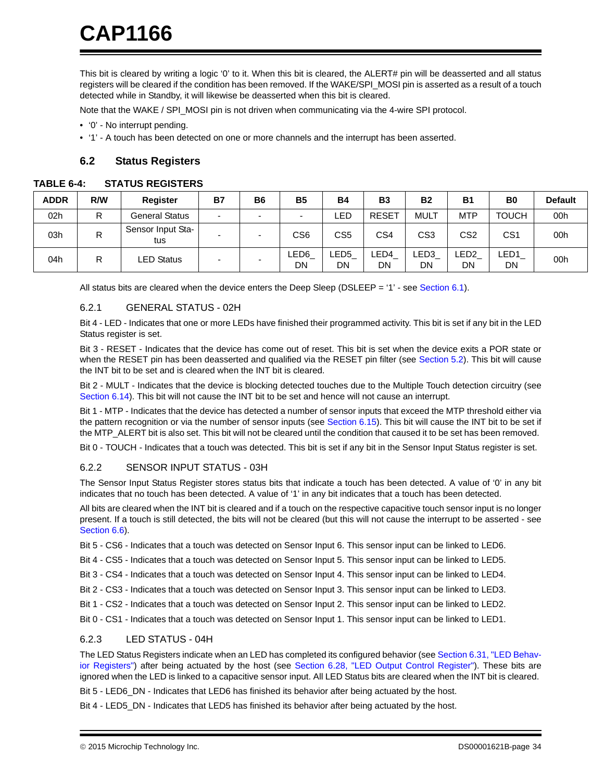This bit is cleared by writing a logic '0' to it. When this bit is cleared, the ALERT# pin will be deasserted and all status registers will be cleared if the condition has been removed. If the WAKE/SPI\_MOSI pin is asserted as a result of a touch detected while in Standby, it will likewise be deasserted when this bit is cleared.

Note that the WAKE / SPI\_MOSI pin is not driven when communicating via the 4-wire SPI protocol.

- '0' No interrupt pending.
- '1' A touch has been detected on one or more channels and the interrupt has been asserted.

#### <span id="page-33-0"></span>**6.2 Status Registers**

#### **TABLE 6-4: STATUS REGISTERS**

| <b>ADDR</b> | R/W | Register                 | <b>B7</b>                | B <sub>6</sub> | <b>B5</b>                | <b>B4</b>       | <b>B3</b>    | <b>B2</b>   | <b>B1</b>              | B <sub>0</sub>  | <b>Default</b> |
|-------------|-----|--------------------------|--------------------------|----------------|--------------------------|-----------------|--------------|-------------|------------------------|-----------------|----------------|
| 02h         | R   | General Status           | $\overline{\phantom{0}}$ |                | $\overline{\phantom{0}}$ | ∟ED.            | <b>RESET</b> | <b>MULT</b> | <b>MTP</b>             | <b>TOUCH</b>    | 00h            |
| 03h         | R   | Sensor Input Sta-<br>tus |                          |                | CS6                      | CS <sub>5</sub> | CS4          | CS3         | CS2                    | CS <sub>1</sub> | 00h            |
| 04h         | R   | <b>LED Status</b>        | -                        |                | LED6<br>DΝ               | LED5<br>DN      | ∟ED4<br>DN   | LED3<br>DN  | LED <sub>2</sub><br>DN | ∟ED1<br>DN      | 00h            |

All status bits are cleared when the device enters the Deep Sleep (DSLEEP = '1' - see [Section 6.1\)](#page-32-1).

#### 6.2.1 GENERAL STATUS - 02H

Bit 4 - LED - Indicates that one or more LEDs have finished their programmed activity. This bit is set if any bit in the LED Status register is set.

Bit 3 - RESET - Indicates that the device has come out of reset. This bit is set when the device exits a POR state or when the RESET pin has been deasserted and qualified via the RESET pin filter (see [Section 5.2\)](#page-25-0). This bit will cause the INT bit to be set and is cleared when the INT bit is cleared.

Bit 2 - MULT - Indicates that the device is blocking detected touches due to the Multiple Touch detection circuitry (see [Section 6.14\)](#page-42-1). This bit will not cause the INT bit to be set and hence will not cause an interrupt.

Bit 1 - MTP - Indicates that the device has detected a number of sensor inputs that exceed the MTP threshold either via the pattern recognition or via the number of sensor inputs (see [Section 6.15\)](#page-43-1). This bit will cause the INT bit to be set if the MTP\_ALERT bit is also set. This bit will not be cleared until the condition that caused it to be set has been removed.

Bit 0 - TOUCH - Indicates that a touch was detected. This bit is set if any bit in the Sensor Input Status register is set.

#### 6.2.2 SENSOR INPUT STATUS - 03H

The Sensor Input Status Register stores status bits that indicate a touch has been detected. A value of '0' in any bit indicates that no touch has been detected. A value of '1' in any bit indicates that a touch has been detected.

All bits are cleared when the INT bit is cleared and if a touch on the respective capacitive touch sensor input is no longer present. If a touch is still detected, the bits will not be cleared (but this will not cause the interrupt to be asserted - see [Section 6.6\)](#page-36-1).

Bit 5 - CS6 - Indicates that a touch was detected on Sensor Input 6. This sensor input can be linked to LED6.

Bit 4 - CS5 - Indicates that a touch was detected on Sensor Input 5. This sensor input can be linked to LED5.

Bit 3 - CS4 - Indicates that a touch was detected on Sensor Input 4. This sensor input can be linked to LED4.

Bit 2 - CS3 - Indicates that a touch was detected on Sensor Input 3. This sensor input can be linked to LED3.

Bit 1 - CS2 - Indicates that a touch was detected on Sensor Input 2. This sensor input can be linked to LED2.

Bit 0 - CS1 - Indicates that a touch was detected on Sensor Input 1. This sensor input can be linked to LED1.

#### 6.2.3 LED STATUS - 04H

The LED Status Registers indicate when an LED has completed its configured behavior (see [Section 6.31, "LED Behav](#page-54-0)[ior Registers"\)](#page-54-0) after being actuated by the host (see [Section 6.28, "LED Output Control Register"\)](#page-51-0). These bits are ignored when the LED is linked to a capacitive sensor input. All LED Status bits are cleared when the INT bit is cleared.

Bit 5 - LED6\_DN - Indicates that LED6 has finished its behavior after being actuated by the host.

Bit 4 - LED5\_DN - Indicates that LED5 has finished its behavior after being actuated by the host.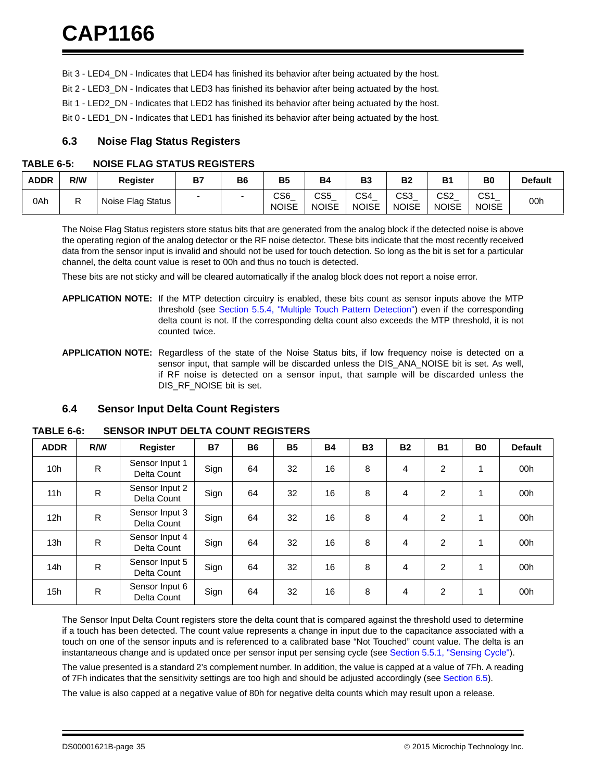Bit 3 - LED4\_DN - Indicates that LED4 has finished its behavior after being actuated by the host.

Bit 2 - LED3\_DN - Indicates that LED3 has finished its behavior after being actuated by the host.

Bit 1 - LED2\_DN - Indicates that LED2 has finished its behavior after being actuated by the host.

Bit 0 - LED1\_DN - Indicates that LED1 has finished its behavior after being actuated by the host.

#### <span id="page-34-0"></span>**6.3 Noise Flag Status Registers**

#### **TABLE 6-5: NOISE FLAG STATUS REGISTERS**

| <b>ADDR</b> | R/W | <b>Register</b>   | D7<br><b>D</b> | B6 | <b>B5</b>                       | <b>B4</b>           | B <sub>3</sub>      | <b>B2</b>           | <b>B</b> 1          | вo                  | <b>Default</b> |
|-------------|-----|-------------------|----------------|----|---------------------------------|---------------------|---------------------|---------------------|---------------------|---------------------|----------------|
| 0Ah         |     | Noise Flag Status |                |    | CS <sub>6</sub><br><b>NOISE</b> | CS5<br><b>NOISE</b> | CS4<br><b>NOISE</b> | CS3<br><b>NOISE</b> | CS2<br><b>NOISE</b> | CS1<br><b>NOISE</b> | 00h            |

The Noise Flag Status registers store status bits that are generated from the analog block if the detected noise is above the operating region of the analog detector or the RF noise detector. These bits indicate that the most recently received data from the sensor input is invalid and should not be used for touch detection. So long as the bit is set for a particular channel, the delta count value is reset to 00h and thus no touch is detected.

These bits are not sticky and will be cleared automatically if the analog block does not report a noise error.

- **APPLICATION NOTE:** If the MTP detection circuitry is enabled, these bits count as sensor inputs above the MTP threshold (see [Section 5.5.4, "Multiple Touch Pattern Detection"](#page-27-0)) even if the corresponding delta count is not. If the corresponding delta count also exceeds the MTP threshold, it is not counted twice.
- **APPLICATION NOTE:** Regardless of the state of the Noise Status bits, if low frequency noise is detected on a sensor input, that sample will be discarded unless the DIS\_ANA\_NOISE bit is set. As well, if RF noise is detected on a sensor input, that sample will be discarded unless the DIS\_RF\_NOISE bit is set.

#### <span id="page-34-1"></span>**6.4 Sensor Input Delta Count Registers**

| <b>ADDR</b>     | R/W          | Register                      | <b>B7</b> | <b>B6</b> | <b>B5</b> | <b>B4</b> | <b>B3</b> | <b>B2</b>      | <b>B1</b>      | B <sub>0</sub> | <b>Default</b> |
|-----------------|--------------|-------------------------------|-----------|-----------|-----------|-----------|-----------|----------------|----------------|----------------|----------------|
| 10 <sub>h</sub> | $\mathsf{R}$ | Sensor Input 1<br>Delta Count | Sign      | 64        | 32        | 16        | 8         | $\overline{4}$ | $\overline{2}$ | 1              | 00h            |
| 11h             | $\mathsf{R}$ | Sensor Input 2<br>Delta Count | Sign      | 64        | 32        | 16        | 8         | 4              | $\overline{2}$ | 1              | 00h            |
| 12h             | $\mathsf{R}$ | Sensor Input 3<br>Delta Count | Sign      | 64        | 32        | 16        | 8         | 4              | 2              | 1              | 00h            |
| 13h             | $\mathsf{R}$ | Sensor Input 4<br>Delta Count | Sign      | 64        | 32        | 16        | 8         | 4              | 2              | 1              | 00h            |
| 14h             | $\mathsf{R}$ | Sensor Input 5<br>Delta Count | Sign      | 64        | 32        | 16        | 8         | 4              | $\overline{2}$ | 1              | 00h            |
| 15h             | R            | Sensor Input 6<br>Delta Count | Sign      | 64        | 32        | 16        | 8         | $\overline{4}$ | $\overline{c}$ | 1              | 00h            |

#### **TABLE 6-6: SENSOR INPUT DELTA COUNT REGISTERS**

The Sensor Input Delta Count registers store the delta count that is compared against the threshold used to determine if a touch has been detected. The count value represents a change in input due to the capacitance associated with a touch on one of the sensor inputs and is referenced to a calibrated base "Not Touched" count value. The delta is an instantaneous change and is updated once per sensor input per sensing cycle (see [Section 5.5.1, "Sensing Cycle"\)](#page-26-0).

The value presented is a standard 2's complement number. In addition, the value is capped at a value of 7Fh. A reading of 7Fh indicates that the sensitivity settings are too high and should be adjusted accordingly (see [Section 6.5\)](#page-35-0).

The value is also capped at a negative value of 80h for negative delta counts which may result upon a release.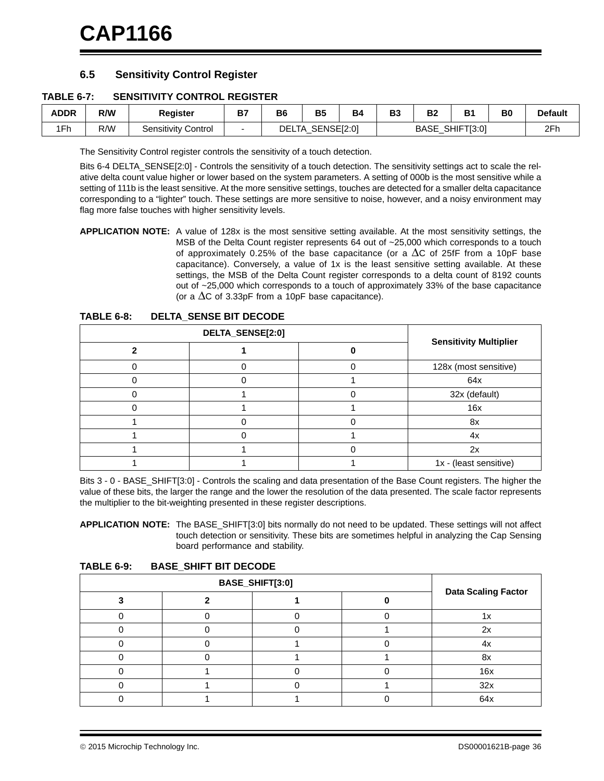#### <span id="page-35-0"></span>**6.5 Sensitivity Control Register**

| <b>ADDR</b> | R/W | Register               | D7 | B <sub>6</sub>                   | B5 | <b>B4</b> | n o<br>DЈ         | D'<br>D.  | B <sub>1</sub> | B <sub>0</sub> | <b>Default</b> |
|-------------|-----|------------------------|----|----------------------------------|----|-----------|-------------------|-----------|----------------|----------------|----------------|
| 1Fh         | R/W | Sensitivity<br>Control |    | <b>SENSE[2:0]</b><br>DELT<br>.IA |    |           | <b>SHIFT[3:0]</b> | クロト<br>ZГ |                |                |                |

#### **TABLE 6-7: SENSITIVITY CONTROL REGISTER**

The Sensitivity Control register controls the sensitivity of a touch detection.

Bits 6-4 DELTA\_SENSE[2:0] - Controls the sensitivity of a touch detection. The sensitivity settings act to scale the relative delta count value higher or lower based on the system parameters. A setting of 000b is the most sensitive while a setting of 111b is the least sensitive. At the more sensitive settings, touches are detected for a smaller delta capacitance corresponding to a "lighter" touch. These settings are more sensitive to noise, however, and a noisy environment may flag more false touches with higher sensitivity levels.

**APPLICATION NOTE:** A value of 128x is the most sensitive setting available. At the most sensitivity settings, the MSB of the Delta Count register represents 64 out of ~25,000 which corresponds to a touch of approximately 0.25% of the base capacitance (or a  $\Delta C$  of 25fF from a 10pF base capacitance). Conversely, a value of 1x is the least sensitive setting available. At these settings, the MSB of the Delta Count register corresponds to a delta count of 8192 counts out of ~25,000 which corresponds to a touch of approximately 33% of the base capacitance (or a  $\Delta C$  of 3.33pF from a 10pF base capacitance).

| DELTA_SENSE[2:0] |                               |
|------------------|-------------------------------|
|                  | <b>Sensitivity Multiplier</b> |
|                  | 128x (most sensitive)         |
|                  | 64x                           |
|                  | 32x (default)                 |
|                  | 16x                           |
|                  | 8x                            |
|                  | 4x                            |
|                  | 2x                            |
|                  | 1x - (least sensitive)        |

#### **TABLE 6-8: DELTA\_SENSE BIT DECODE**

Bits 3 - 0 - BASE\_SHIFT[3:0] - Controls the scaling and data presentation of the Base Count registers. The higher the value of these bits, the larger the range and the lower the resolution of the data presented. The scale factor represents the multiplier to the bit-weighting presented in these register descriptions.

**APPLICATION NOTE:** The BASE\_SHIFT[3:0] bits normally do not need to be updated. These settings will not affect touch detection or sensitivity. These bits are sometimes helpful in analyzing the Cap Sensing board performance and stability.

|  | <b>Data Scaling Factor</b> |  |     |
|--|----------------------------|--|-----|
|  |                            |  |     |
|  |                            |  | 1 v |
|  |                            |  | 2x  |
|  |                            |  | 4x  |
|  |                            |  | 8x  |
|  |                            |  | 16x |
|  |                            |  | 32x |
|  |                            |  | 64x |

#### **TABLE 6-9: BASE\_SHIFT BIT DECODE**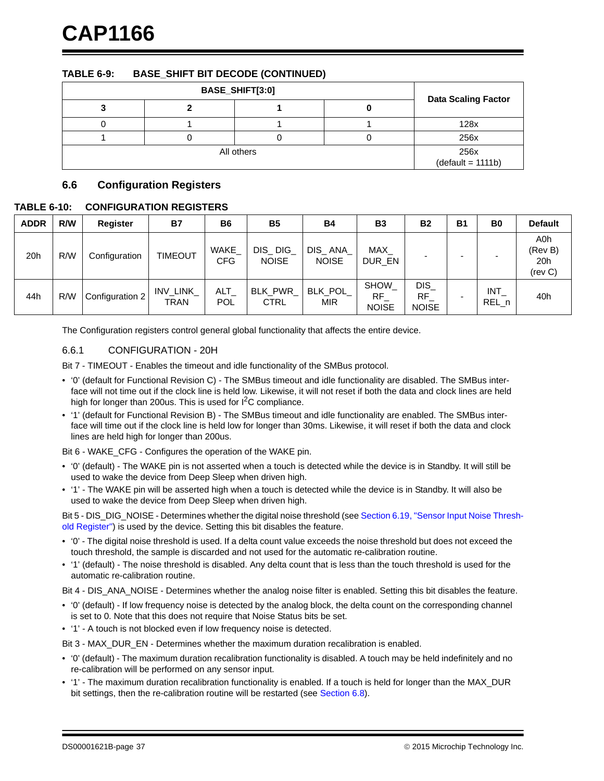# **TABLE 6-9: BASE\_SHIFT BIT DECODE (CONTINUED)**

| BASE_SHIFT[3:0] |            |  |                             |  |  |  |  |  |
|-----------------|------------|--|-----------------------------|--|--|--|--|--|
|                 |            |  | <b>Data Scaling Factor</b>  |  |  |  |  |  |
|                 |            |  | 128x                        |  |  |  |  |  |
|                 |            |  | 256x                        |  |  |  |  |  |
|                 | All others |  | 256x<br>$(default = 1111b)$ |  |  |  |  |  |

# <span id="page-36-1"></span><span id="page-36-0"></span>**6.6 Configuration Registers**

# **TABLE 6-10: CONFIGURATION REGISTERS**

| <b>ADDR</b> | R/W | Register        | <b>B7</b>               | <b>B6</b>          | <b>B5</b>                | <b>B4</b>                | <b>B3</b>                         | <b>B2</b>          | <b>B1</b> | B <sub>0</sub>      | <b>Default</b>                   |
|-------------|-----|-----------------|-------------------------|--------------------|--------------------------|--------------------------|-----------------------------------|--------------------|-----------|---------------------|----------------------------------|
| 20h         | R/W | Configuration   | <b>TIMEOUT</b>          | WAKE<br><b>CFG</b> | DIS_DIG_<br><b>NOISE</b> | DIS_ANA_<br><b>NOISE</b> | MAX<br>DUR EN                     |                    |           |                     | A0h<br>(Rev B)<br>20h<br>(rev C) |
| 44h         | R/W | Configuration 2 | INV_LINK<br><b>TRAN</b> | ALT<br>POL         | BLK_PWR_<br><b>CTRL</b>  | BLK_POL_<br>MIR          | SHOW<br><b>RF</b><br><b>NOISE</b> | DIS<br>RF<br>NOISE |           | <b>INT</b><br>REL_n | 40h                              |

The Configuration registers control general global functionality that affects the entire device.

### 6.6.1 CONFIGURATION - 20H

Bit 7 - TIMEOUT - Enables the timeout and idle functionality of the SMBus protocol.

- '0' (default for Functional Revision C) The SMBus timeout and idle functionality are disabled. The SMBus interface will not time out if the clock line is held low. Likewise, it will not reset if both the data and clock lines are held high for longer than 200us. This is used for  $I^2C$  compliance.
- '1' (default for Functional Revision B) The SMBus timeout and idle functionality are enabled. The SMBus interface will time out if the clock line is held low for longer than 30ms. Likewise, it will reset if both the data and clock lines are held high for longer than 200us.

Bit 6 - WAKE\_CFG - Configures the operation of the WAKE pin.

- '0' (default) The WAKE pin is not asserted when a touch is detected while the device is in Standby. It will still be used to wake the device from Deep Sleep when driven high.
- '1' The WAKE pin will be asserted high when a touch is detected while the device is in Standby. It will also be used to wake the device from Deep Sleep when driven high.

Bit 5 - DIS\_DIG\_NOISE - Determines whether the digital noise threshold (see [Section 6.19, "Sensor Input Noise Thresh](#page-46-0)[old Register"](#page-46-0)) is used by the device. Setting this bit disables the feature.

- '0' The digital noise threshold is used. If a delta count value exceeds the noise threshold but does not exceed the touch threshold, the sample is discarded and not used for the automatic re-calibration routine.
- '1' (default) The noise threshold is disabled. Any delta count that is less than the touch threshold is used for the automatic re-calibration routine.

Bit 4 - DIS\_ANA\_NOISE - Determines whether the analog noise filter is enabled. Setting this bit disables the feature.

- '0' (default) If low frequency noise is detected by the analog block, the delta count on the corresponding channel is set to 0. Note that this does not require that Noise Status bits be set.
- '1' A touch is not blocked even if low frequency noise is detected.

Bit 3 - MAX\_DUR\_EN - Determines whether the maximum duration recalibration is enabled.

- '0' (default) The maximum duration recalibration functionality is disabled. A touch may be held indefinitely and no re-calibration will be performed on any sensor input.
- '1' The maximum duration recalibration functionality is enabled. If a touch is held for longer than the MAX\_DUR bit settings, then the re-calibration routine will be restarted (see [Section 6.8\)](#page-38-0).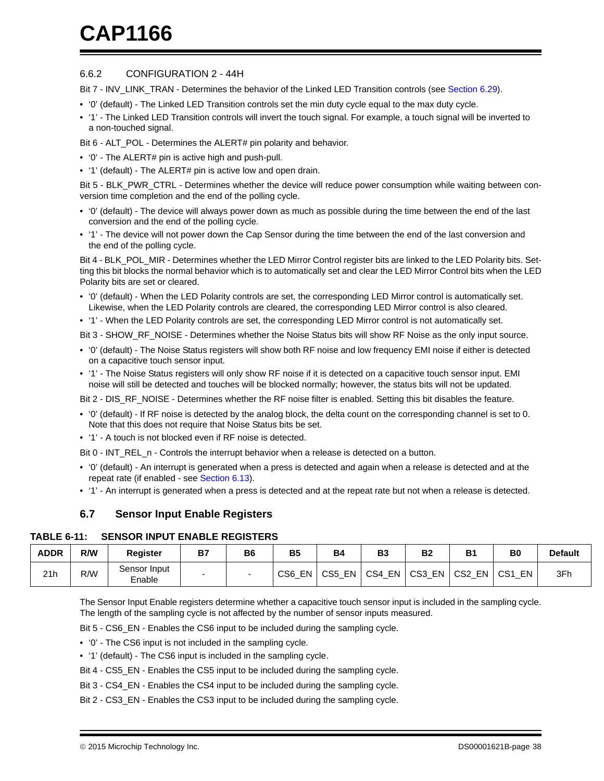# **CAP1166**

### <span id="page-37-0"></span>6.6.2 CONFIGURATION 2 - 44H

Bit 7 - INV\_LINK\_TRAN - Determines the behavior of the Linked LED Transition controls (see [Section 6.29](#page-52-0)).

- '0' (default) The Linked LED Transition controls set the min duty cycle equal to the max duty cycle.
- '1' The Linked LED Transition controls will invert the touch signal. For example, a touch signal will be inverted to a non-touched signal.

Bit 6 - ALT\_POL - Determines the ALERT# pin polarity and behavior.

- '0' The ALERT# pin is active high and push-pull.
- '1' (default) The ALERT# pin is active low and open drain.

Bit 5 - BLK\_PWR\_CTRL - Determines whether the device will reduce power consumption while waiting between conversion time completion and the end of the polling cycle.

- '0' (default) The device will always power down as much as possible during the time between the end of the last conversion and the end of the polling cycle.
- '1' The device will not power down the Cap Sensor during the time between the end of the last conversion and the end of the polling cycle.

Bit 4 - BLK\_POL\_MIR - Determines whether the LED Mirror Control register bits are linked to the LED Polarity bits. Setting this bit blocks the normal behavior which is to automatically set and clear the LED Mirror Control bits when the LED Polarity bits are set or cleared.

- '0' (default) When the LED Polarity controls are set, the corresponding LED Mirror control is automatically set. Likewise, when the LED Polarity controls are cleared, the corresponding LED Mirror control is also cleared.
- '1' When the LED Polarity controls are set, the corresponding LED Mirror control is not automatically set.

Bit 3 - SHOW\_RF\_NOISE - Determines whether the Noise Status bits will show RF Noise as the only input source.

- '0' (default) The Noise Status registers will show both RF noise and low frequency EMI noise if either is detected on a capacitive touch sensor input.
- '1' The Noise Status registers will only show RF noise if it is detected on a capacitive touch sensor input. EMI noise will still be detected and touches will be blocked normally; however, the status bits will not be updated.

Bit 2 - DIS\_RF\_NOISE - Determines whether the RF noise filter is enabled. Setting this bit disables the feature.

- '0' (default) If RF noise is detected by the analog block, the delta count on the corresponding channel is set to 0. Note that this does not require that Noise Status bits be set.
- '1' A touch is not blocked even if RF noise is detected.
- Bit 0 INT\_REL\_n Controls the interrupt behavior when a release is detected on a button.
- '0' (default) An interrupt is generated when a press is detected and again when a release is detected and at the repeat rate (if enabled - see [Section 6.13\)](#page-42-0).
- '1' An interrupt is generated when a press is detected and at the repeat rate but not when a release is detected.

# **6.7 Sensor Input Enable Registers**

### **TABLE 6-11: SENSOR INPUT ENABLE REGISTERS**

| <b>ADDR</b> | R/W | Register               | <b>B7</b> | B <sub>6</sub> | <b>B5</b> | B4     | B3                      | <b>B2</b>             | <b>B</b> 1            | B <sub>0</sub>        | <b>Default</b> |
|-------------|-----|------------------------|-----------|----------------|-----------|--------|-------------------------|-----------------------|-----------------------|-----------------------|----------------|
| 21h         | R/W | Sensor Input<br>Enable |           |                | CS6<br>EN | CS5 EN | EN .<br>CS <sub>4</sub> | EN<br>CS <sub>3</sub> | EN<br>CS <sub>2</sub> | EN<br>CS <sub>1</sub> | 3Fh            |

The Sensor Input Enable registers determine whether a capacitive touch sensor input is included in the sampling cycle. The length of the sampling cycle is not affected by the number of sensor inputs measured.

Bit 5 - CS6\_EN - Enables the CS6 input to be included during the sampling cycle.

- '0' The CS6 input is not included in the sampling cycle.
- '1' (default) The CS6 input is included in the sampling cycle.

Bit 4 - CS5\_EN - Enables the CS5 input to be included during the sampling cycle.

Bit 3 - CS4\_EN - Enables the CS4 input to be included during the sampling cycle.

Bit 2 - CS3\_EN - Enables the CS3 input to be included during the sampling cycle.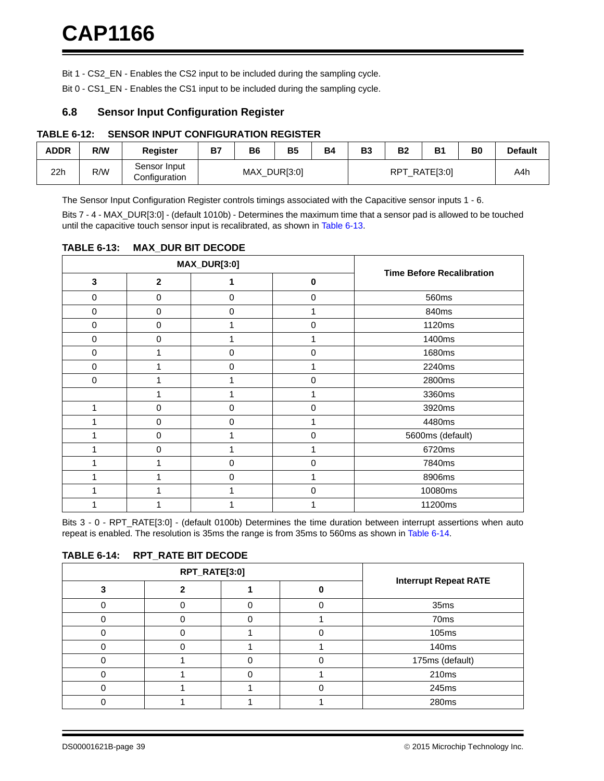Bit 1 - CS2\_EN - Enables the CS2 input to be included during the sampling cycle.

Bit 0 - CS1\_EN - Enables the CS1 input to be included during the sampling cycle.

# <span id="page-38-0"></span>**6.8 Sensor Input Configuration Register**

### **TABLE 6-12: SENSOR INPUT CONFIGURATION REGISTER**

| <b>ADDR</b> | R/W | <b>Register</b>               | <b>B7</b> | B <sub>6</sub> | <b>B5</b> | <b>B4</b> | B <sub>3</sub> | Β2 | В٠            | B0 | <b>Default</b> |
|-------------|-----|-------------------------------|-----------|----------------|-----------|-----------|----------------|----|---------------|----|----------------|
| 22h         | R/W | Sensor Input<br>Configuration |           | MAX DUR[3:0]   |           |           |                |    | RPT RATE[3:0] |    | A4h            |

The Sensor Input Configuration Register controls timings associated with the Capacitive sensor inputs 1 - 6.

Bits 7 - 4 - MAX\_DUR[3:0] - (default 1010b) - Determines the maximum time that a sensor pad is allowed to be touched until the capacitive touch sensor input is recalibrated, as shown in [Table 6-13](#page-38-1).

|             | MAX_DUR[3:0] |             |             |                                  |
|-------------|--------------|-------------|-------------|----------------------------------|
| 3           | $\mathbf{2}$ |             | 0           | <b>Time Before Recalibration</b> |
| $\mathbf 0$ | $\mathbf 0$  | $\mathbf 0$ | $\mathbf 0$ | 560ms                            |
| $\mathbf 0$ | $\mathbf 0$  | $\mathbf 0$ |             | 840ms                            |
| $\mathbf 0$ | $\mathbf 0$  |             | 0           | 1120ms                           |
| $\mathbf 0$ | $\mathbf 0$  |             | 1           | 1400ms                           |
| 0           |              | 0           | 0           | 1680ms                           |
| $\mathbf 0$ |              | 0           | 1           | 2240ms                           |
| $\mathbf 0$ |              | 1           | $\mathbf 0$ | 2800ms                           |
|             |              |             | 1           | 3360ms                           |
|             | $\mathbf 0$  | $\mathbf 0$ | 0           | 3920ms                           |
|             | 0            | 0           | 1           | 4480ms                           |
|             | 0            |             | 0           | 5600ms (default)                 |
|             | $\Omega$     |             |             | 6720ms                           |
|             |              | 0           | 0           | 7840ms                           |
|             |              | 0           |             | 8906ms                           |
|             |              |             | 0           | 10080ms                          |
|             |              |             |             | 11200ms                          |

### <span id="page-38-1"></span>**TABLE 6-13: MAX\_DUR BIT DECODE**

Bits 3 - 0 - RPT\_RATE[3:0] - (default 0100b) Determines the time duration between interrupt assertions when auto repeat is enabled. The resolution is 35ms the range is from 35ms to 560ms as shown in [Table 6-14.](#page-38-2)

|   | RPT_RATE[3:0] |  |                              |
|---|---------------|--|------------------------------|
|   |               |  | <b>Interrupt Repeat RATE</b> |
| r |               |  | 35 <sub>ms</sub>             |
| 0 |               |  | 70ms                         |
| ი |               |  | 105ms                        |
|   |               |  | 140ms                        |
| ٢ |               |  | 175ms (default)              |
|   |               |  | 210ms                        |
| በ |               |  | 245ms                        |
|   |               |  | 280ms                        |

### <span id="page-38-2"></span>**TABLE 6-14: RPT\_RATE BIT DECODE**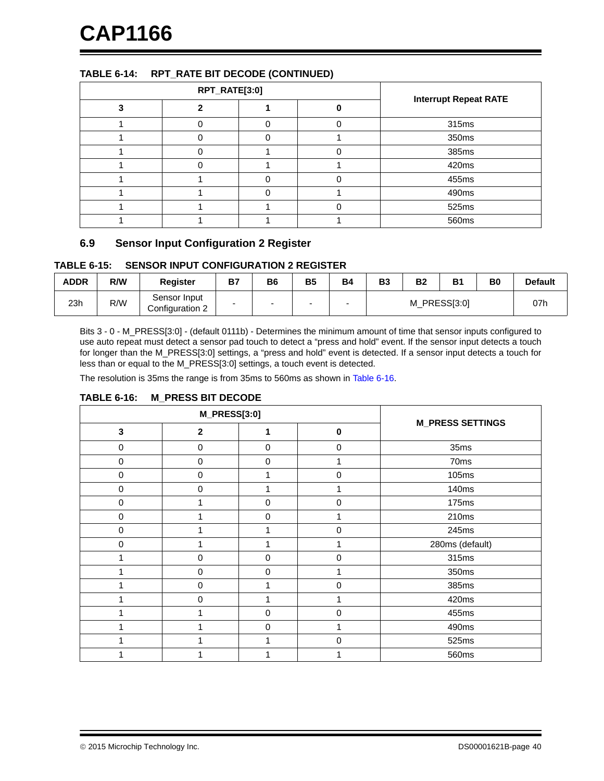| RPT_RATE[3:0] |   |  |                              |
|---------------|---|--|------------------------------|
|               |   |  | <b>Interrupt Repeat RATE</b> |
|               | C |  | 315ms                        |
|               |   |  | 350ms                        |
|               |   |  | 385ms                        |
|               |   |  | 420ms                        |
|               |   |  | 455ms                        |
|               |   |  | 490ms                        |
|               |   |  | 525ms                        |
|               |   |  | 560ms                        |

# **TABLE 6-14: RPT\_RATE BIT DECODE (CONTINUED)**

# **6.9 Sensor Input Configuration 2 Register**

### **TABLE 6-15: SENSOR INPUT CONFIGURATION 2 REGISTER**

| <b>ADDR</b> | R/W | Register                        | Β7 | B <sub>6</sub> | B5 | <b>B4</b> | B <sub>3</sub> | <b>B2</b> | <b>B1</b>  | B <sub>0</sub> | <b>Default</b> |
|-------------|-----|---------------------------------|----|----------------|----|-----------|----------------|-----------|------------|----------------|----------------|
| 23h         | R/W | Sensor Input<br>Configuration 2 | -  |                | -  |           |                | м         | PRESS[3:0] |                | 07h            |

Bits 3 - 0 - M\_PRESS[3:0] - (default 0111b) - Determines the minimum amount of time that sensor inputs configured to use auto repeat must detect a sensor pad touch to detect a "press and hold" event. If the sensor input detects a touch for longer than the M\_PRESS[3:0] settings, a "press and hold" event is detected. If a sensor input detects a touch for less than or equal to the M\_PRESS[3:0] settings, a touch event is detected.

The resolution is 35ms the range is from 35ms to 560ms as shown in [Table 6-16.](#page-39-0)

|              | M_PRESS[3:0] |             |             |                         |
|--------------|--------------|-------------|-------------|-------------------------|
| $\mathbf{3}$ | $\mathbf{2}$ | 1           | $\pmb{0}$   | <b>M_PRESS SETTINGS</b> |
| $\pmb{0}$    | 0            | $\mathbf 0$ | $\Omega$    | 35ms                    |
| $\mathbf 0$  | 0            | $\mathbf 0$ |             | 70ms                    |
| $\mathbf 0$  | 0            | 1           | $\mathbf 0$ | 105ms                   |
| $\pmb{0}$    | 0            | 1           |             | 140ms                   |
| 0            |              | $\mathbf 0$ | $\Omega$    | 175ms                   |
| 0            |              | $\mathbf 0$ |             | 210ms                   |
| $\mathsf 0$  |              | 1           | $\Omega$    | 245ms                   |
| $\mathbf 0$  |              | 1           |             | 280ms (default)         |
| 1            | $\Omega$     | $\mathbf 0$ | $\Omega$    | 315ms                   |
|              | 0            | $\mathbf 0$ |             | 350ms                   |
| 1            | 0            | 1           | $\Omega$    | 385ms                   |
| 1            | 0            | 1           |             | 420ms                   |
|              |              | $\mathbf 0$ | $\mathbf 0$ | 455ms                   |
|              |              | $\mathbf 0$ |             | 490ms                   |
| 4            |              | 1           | $\Omega$    | 525ms                   |
|              |              |             |             | 560ms                   |

### <span id="page-39-0"></span>**TABLE 6-16: M\_PRESS BIT DECODE**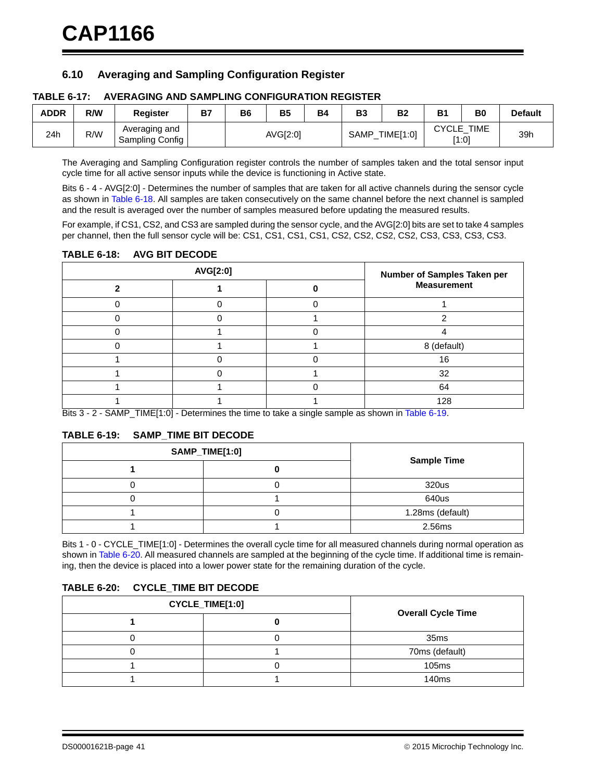# <span id="page-40-3"></span>**6.10 Averaging and Sampling Configuration Register**

| <b>ADDR</b> | R/W | Register                         | D7 | B <sub>6</sub> | <b>B5</b> | <b>B4</b>   | B3        | <b>B2</b>    | B <sub>1</sub>       | B0  | <b>Default</b> |
|-------------|-----|----------------------------------|----|----------------|-----------|-------------|-----------|--------------|----------------------|-----|----------------|
| 24h         | R/W | Averaging and<br>Sampling Config |    | AVG[2:0]       |           | <b>SAMP</b> | TIME[1:0] | <b>CYCLE</b> | <b>TIME</b><br>[1:0] | 39h |                |

### **TABLE 6-17: AVERAGING AND SAMPLING CONFIGURATION REGISTER**

The Averaging and Sampling Configuration register controls the number of samples taken and the total sensor input cycle time for all active sensor inputs while the device is functioning in Active state.

Bits 6 - 4 - AVG[2:0] - Determines the number of samples that are taken for all active channels during the sensor cycle as shown in [Table 6-18](#page-40-1). All samples are taken consecutively on the same channel before the next channel is sampled and the result is averaged over the number of samples measured before updating the measured results.

For example, if CS1, CS2, and CS3 are sampled during the sensor cycle, and the AVG[2:0] bits are set to take 4 samples per channel, then the full sensor cycle will be: CS1, CS1, CS1, CS1, CS2, CS2, CS2, CS2, CS3, CS3, CS3, CS3.

# <span id="page-40-1"></span>**TABLE 6-18: AVG BIT DECODE**

| AVG[2:0] | Number of Samples Taken per |                    |  |
|----------|-----------------------------|--------------------|--|
|          |                             | <b>Measurement</b> |  |
|          |                             |                    |  |
|          |                             |                    |  |
|          |                             |                    |  |
|          |                             | 8 (default)        |  |
|          |                             | 16                 |  |
|          |                             | 32                 |  |
|          |                             | 64                 |  |
|          |                             | 128                |  |

Bits 3 - 2 - SAMP\_TIME[1:0] - Determines the time to take a single sample as shown in [Table 6-19.](#page-40-0)

### <span id="page-40-0"></span>**TABLE 6-19: SAMP\_TIME BIT DECODE**

| SAMP_TIME[1:0] | <b>Sample Time</b> |                  |  |
|----------------|--------------------|------------------|--|
|                |                    |                  |  |
|                |                    | 320us            |  |
|                |                    | 640us            |  |
|                |                    | 1.28ms (default) |  |
|                |                    | 2.56ms           |  |

Bits 1 - 0 - CYCLE\_TIME[1:0] - Determines the overall cycle time for all measured channels during normal operation as shown in [Table 6-20](#page-40-2). All measured channels are sampled at the beginning of the cycle time. If additional time is remaining, then the device is placed into a lower power state for the remaining duration of the cycle.

# <span id="page-40-2"></span>**TABLE 6-20: CYCLE\_TIME BIT DECODE**

| CYCLE_TIME[1:0] |  |                           |
|-----------------|--|---------------------------|
|                 |  | <b>Overall Cycle Time</b> |
|                 |  | 35 <sub>ms</sub>          |
|                 |  | 70ms (default)            |
|                 |  | 105ms                     |
|                 |  | 140 <sub>ms</sub>         |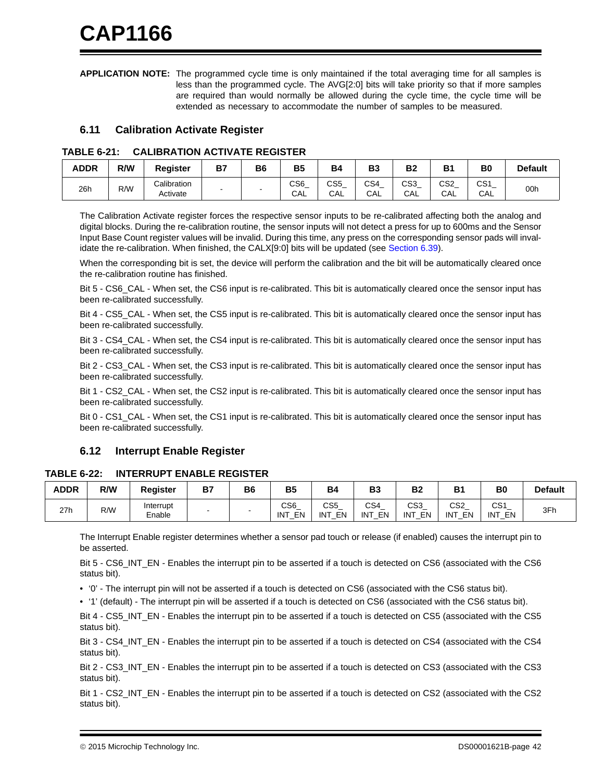**APPLICATION NOTE:** The programmed cycle time is only maintained if the total averaging time for all samples is less than the programmed cycle. The AVG[2:0] bits will take priority so that if more samples are required than would normally be allowed during the cycle time, the cycle time will be extended as necessary to accommodate the number of samples to be measured.

# <span id="page-41-0"></span>**6.11 Calibration Activate Register**

### **TABLE 6-21: CALIBRATION ACTIVATE REGISTER**

| <b>ADDR</b> | R/W | Register                | <b>B7</b> | B <sub>6</sub> | <b>B5</b>  | <b>B4</b>  | D.<br>Dů        | <b>B2</b>  | $B^4$                                  | B <sub>0</sub> | <b>Default</b> |
|-------------|-----|-------------------------|-----------|----------------|------------|------------|-----------------|------------|----------------------------------------|----------------|----------------|
| 26h         | R/W | Calibration<br>Activate |           |                | CS6<br>CAL | CS5<br>CAL | CS4<br>-<br>CAL | CS3<br>CAL | CS2<br>$\overline{\phantom{a}}$<br>CAL | CS1<br>CAL     | 00h            |

The Calibration Activate register forces the respective sensor inputs to be re-calibrated affecting both the analog and digital blocks. During the re-calibration routine, the sensor inputs will not detect a press for up to 600ms and the Sensor Input Base Count register values will be invalid. During this time, any press on the corresponding sensor pads will invalidate the re-calibration. When finished, the CALX[9:0] bits will be updated (see [Section 6.39](#page-63-0)).

When the corresponding bit is set, the device will perform the calibration and the bit will be automatically cleared once the re-calibration routine has finished.

Bit 5 - CS6\_CAL - When set, the CS6 input is re-calibrated. This bit is automatically cleared once the sensor input has been re-calibrated successfully.

Bit 4 - CS5\_CAL - When set, the CS5 input is re-calibrated. This bit is automatically cleared once the sensor input has been re-calibrated successfully.

Bit 3 - CS4\_CAL - When set, the CS4 input is re-calibrated. This bit is automatically cleared once the sensor input has been re-calibrated successfully.

Bit 2 - CS3\_CAL - When set, the CS3 input is re-calibrated. This bit is automatically cleared once the sensor input has been re-calibrated successfully.

Bit 1 - CS2\_CAL - When set, the CS2 input is re-calibrated. This bit is automatically cleared once the sensor input has been re-calibrated successfully.

Bit 0 - CS1\_CAL - When set, the CS1 input is re-calibrated. This bit is automatically cleared once the sensor input has been re-calibrated successfully.

# **6.12 Interrupt Enable Register**

### **TABLE 6-22: INTERRUPT ENABLE REGISTER**

| <b>ADDR</b> | R/W | Register            | D7<br>в, | B <sub>6</sub> | <b>B5</b>        | <b>B4</b>                                    | D۹<br>D.                                     | D'<br>DZ         | D4                                | B <sub>0</sub>                                           | <b>Default</b> |
|-------------|-----|---------------------|----------|----------------|------------------|----------------------------------------------|----------------------------------------------|------------------|-----------------------------------|----------------------------------------------------------|----------------|
| 27h         | R/W | Interrupt<br>Enable |          |                | CS6<br>EN<br>INT | CS5<br>$\overline{\phantom{a}}$<br>EN<br>INT | CS4<br>$\overline{\phantom{a}}$<br>EN<br>INT | CS3<br>EN<br>INT | CS <sub>2</sub><br>-<br>EN<br>INT | CS <sub>1</sub><br>$\overline{\phantom{a}}$<br>EN<br>INT | 3Fh            |

The Interrupt Enable register determines whether a sensor pad touch or release (if enabled) causes the interrupt pin to be asserted.

Bit 5 - CS6\_INT\_EN - Enables the interrupt pin to be asserted if a touch is detected on CS6 (associated with the CS6 status bit).

• '0' - The interrupt pin will not be asserted if a touch is detected on CS6 (associated with the CS6 status bit).

• '1' (default) - The interrupt pin will be asserted if a touch is detected on CS6 (associated with the CS6 status bit).

Bit 4 - CS5\_INT\_EN - Enables the interrupt pin to be asserted if a touch is detected on CS5 (associated with the CS5 status bit).

Bit 3 - CS4\_INT\_EN - Enables the interrupt pin to be asserted if a touch is detected on CS4 (associated with the CS4 status bit).

Bit 2 - CS3\_INT\_EN - Enables the interrupt pin to be asserted if a touch is detected on CS3 (associated with the CS3 status bit).

Bit 1 - CS2\_INT\_EN - Enables the interrupt pin to be asserted if a touch is detected on CS2 (associated with the CS2 status bit).

2015 Microchip Technology Inc. DS00001621B-page 42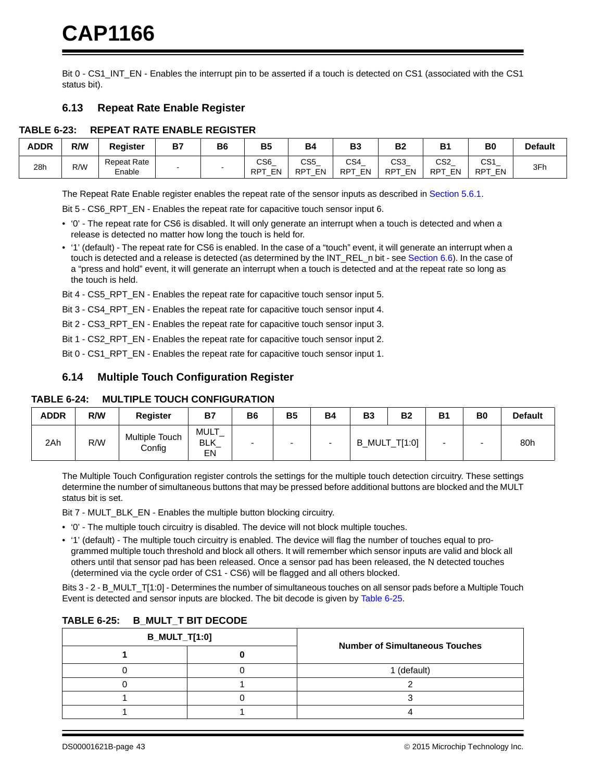# **CAP1166**

Bit 0 - CS1\_INT\_EN - Enables the interrupt pin to be asserted if a touch is detected on CS1 (associated with the CS1 status bit).

# <span id="page-42-0"></span>**6.13 Repeat Rate Enable Register**

| TABLE 6-23: REPEAT RATE ENABLE REGISTER |
|-----------------------------------------|
|                                         |

| <b>ADDR</b> | R/W | <b>Register</b>              | D, | B <sub>6</sub> | B5                       | B4               | B <sub>3</sub>          | D0<br>DZ                | B1                      | B <sub>0</sub>                                | <b>Default</b> |
|-------------|-----|------------------------------|----|----------------|--------------------------|------------------|-------------------------|-------------------------|-------------------------|-----------------------------------------------|----------------|
| 28h         | R/W | <b>Repeat Rate</b><br>Enable |    |                | CS6<br>FN.<br><b>RPT</b> | CS5<br>EN<br>RPT | CS4<br>EN<br><b>RPT</b> | CS3<br>EN<br><b>RPT</b> | CS2<br>EN<br><b>RPT</b> | CS <sub>1</sub><br>-<br>EN<br><b>RPT</b><br>- | 3Fh            |

The Repeat Rate Enable register enables the repeat rate of the sensor inputs as described in [Section 5.6.1](#page-27-0).

Bit 5 - CS6\_RPT\_EN - Enables the repeat rate for capacitive touch sensor input 6.

- '0' The repeat rate for CS6 is disabled. It will only generate an interrupt when a touch is detected and when a release is detected no matter how long the touch is held for.
- '1' (default) The repeat rate for CS6 is enabled. In the case of a "touch" event, it will generate an interrupt when a touch is detected and a release is detected (as determined by the INT\_REL\_n bit - see [Section 6.6\)](#page-36-0). In the case of a "press and hold" event, it will generate an interrupt when a touch is detected and at the repeat rate so long as the touch is held.
- Bit 4 CS5\_RPT\_EN Enables the repeat rate for capacitive touch sensor input 5.

Bit 3 - CS4\_RPT\_EN - Enables the repeat rate for capacitive touch sensor input 4.

Bit 2 - CS3\_RPT\_EN - Enables the repeat rate for capacitive touch sensor input 3.

Bit 1 - CS2\_RPT\_EN - Enables the repeat rate for capacitive touch sensor input 2.

Bit 0 - CS1\_RPT\_EN - Enables the repeat rate for capacitive touch sensor input 1.

### **6.14 Multiple Touch Configuration Register**

#### **TABLE 6-24: MULTIPLE TOUCH CONFIGURATION**

| <b>ADDR</b> | R/W | <b>Register</b>          | <b>B7</b>         | <b>B6</b> | <b>B5</b> | <b>B4</b> | B <sub>3</sub> | <b>B2</b> | <b>B1</b> | B <sub>0</sub>           | <b>Default</b> |
|-------------|-----|--------------------------|-------------------|-----------|-----------|-----------|----------------|-----------|-----------|--------------------------|----------------|
| 2Ah         | R/W | Multiple Touch<br>Config | MULT<br>BLK<br>EN | -         |           |           | MULT<br>B.     | [T[1:0]   |           | $\overline{\phantom{0}}$ | 80h            |

The Multiple Touch Configuration register controls the settings for the multiple touch detection circuitry. These settings determine the number of simultaneous buttons that may be pressed before additional buttons are blocked and the MULT status bit is set.

Bit 7 - MULT\_BLK\_EN - Enables the multiple button blocking circuitry.

- '0' The multiple touch circuitry is disabled. The device will not block multiple touches.
- '1' (default) The multiple touch circuitry is enabled. The device will flag the number of touches equal to programmed multiple touch threshold and block all others. It will remember which sensor inputs are valid and block all others until that sensor pad has been released. Once a sensor pad has been released, the N detected touches (determined via the cycle order of CS1 - CS6) will be flagged and all others blocked.

Bits 3 - 2 - B\_MULT\_T[1:0] - Determines the number of simultaneous touches on all sensor pads before a Multiple Touch Event is detected and sensor inputs are blocked. The bit decode is given by [Table 6-25](#page-42-1).

| <b>B_MULT_T[1:0]</b> | <b>Number of Simultaneous Touches</b> |
|----------------------|---------------------------------------|
|                      |                                       |
|                      | 1 (default)                           |
|                      |                                       |
|                      |                                       |
|                      |                                       |

### <span id="page-42-1"></span>**TABLE 6-25: B\_MULT\_T BIT DECODE**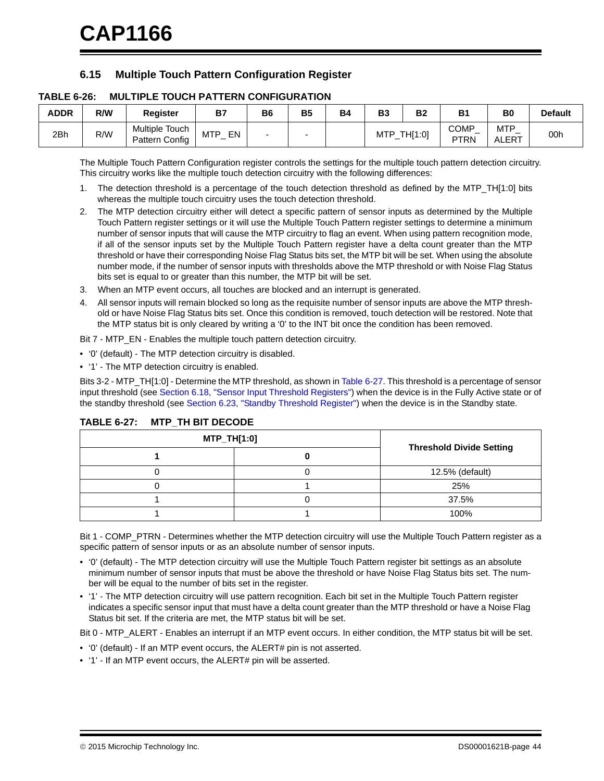# <span id="page-43-2"></span><span id="page-43-1"></span>**6.15 Multiple Touch Pattern Configuration Register**

| <b>ADDR</b> | R/W | <b>Register</b>                  | D7<br><b>D</b> ( | <b>B6</b> | <b>B5</b> | <b>B4</b> | B <sub>3</sub> | B <sub>2</sub> | B1                  | B <sub>0</sub>      | <b>Default</b> |
|-------------|-----|----------------------------------|------------------|-----------|-----------|-----------|----------------|----------------|---------------------|---------------------|----------------|
| 2Bh         | R/W | Multiple Touch<br>Pattern Config | <b>MTP</b><br>EN | -         |           |           | MTP            | TH[1:0]        | COMP<br><b>PTRN</b> | <b>MTP</b><br>ALERT | 00h            |

### **TABLE 6-26: MULTIPLE TOUCH PATTERN CONFIGURATION**

The Multiple Touch Pattern Configuration register controls the settings for the multiple touch pattern detection circuitry. This circuitry works like the multiple touch detection circuitry with the following differences:

- 1. The detection threshold is a percentage of the touch detection threshold as defined by the MTP\_TH[1:0] bits whereas the multiple touch circuitry uses the touch detection threshold.
- 2. The MTP detection circuitry either will detect a specific pattern of sensor inputs as determined by the Multiple Touch Pattern register settings or it will use the Multiple Touch Pattern register settings to determine a minimum number of sensor inputs that will cause the MTP circuitry to flag an event. When using pattern recognition mode, if all of the sensor inputs set by the Multiple Touch Pattern register have a delta count greater than the MTP threshold or have their corresponding Noise Flag Status bits set, the MTP bit will be set. When using the absolute number mode, if the number of sensor inputs with thresholds above the MTP threshold or with Noise Flag Status bits set is equal to or greater than this number, the MTP bit will be set.
- 3. When an MTP event occurs, all touches are blocked and an interrupt is generated.
- 4. All sensor inputs will remain blocked so long as the requisite number of sensor inputs are above the MTP threshold or have Noise Flag Status bits set. Once this condition is removed, touch detection will be restored. Note that the MTP status bit is only cleared by writing a '0' to the INT bit once the condition has been removed.

Bit 7 - MTP\_EN - Enables the multiple touch pattern detection circuitry.

- '0' (default) The MTP detection circuitry is disabled.
- '1' The MTP detection circuitry is enabled.

Bits 3-2 - MTP\_TH[1:0] - Determine the MTP threshold, as shown in [Table 6-27](#page-43-0). This threshold is a percentage of sensor input threshold (see [Section 6.18, "Sensor Input Threshold Registers"](#page-46-1)) when the device is in the Fully Active state or of the standby threshold (see [Section 6.23, "Standby Threshold Register"](#page-49-0)) when the device is in the Standby state.

| IABLE 0-27. WIT IN BILDECODE |  |                                 |
|------------------------------|--|---------------------------------|
| <b>MTP_TH[1:0]</b>           |  |                                 |
|                              |  | <b>Threshold Divide Setting</b> |
|                              |  | 12.5% (default)                 |
|                              |  | 25%                             |
|                              |  | 37.5%                           |
|                              |  |                                 |

# <span id="page-43-0"></span>**TABLE 6-27: MTP\_TH BIT DECODE**

Bit 1 - COMP\_PTRN - Determines whether the MTP detection circuitry will use the Multiple Touch Pattern register as a specific pattern of sensor inputs or as an absolute number of sensor inputs.

1 1 100%

- '0' (default) The MTP detection circuitry will use the Multiple Touch Pattern register bit settings as an absolute minimum number of sensor inputs that must be above the threshold or have Noise Flag Status bits set. The number will be equal to the number of bits set in the register.
- '1' The MTP detection circuitry will use pattern recognition. Each bit set in the Multiple Touch Pattern register indicates a specific sensor input that must have a delta count greater than the MTP threshold or have a Noise Flag Status bit set. If the criteria are met, the MTP status bit will be set.

Bit 0 - MTP\_ALERT - Enables an interrupt if an MTP event occurs. In either condition, the MTP status bit will be set.

- '0' (default) If an MTP event occurs, the ALERT# pin is not asserted.
- '1' If an MTP event occurs, the ALERT# pin will be asserted.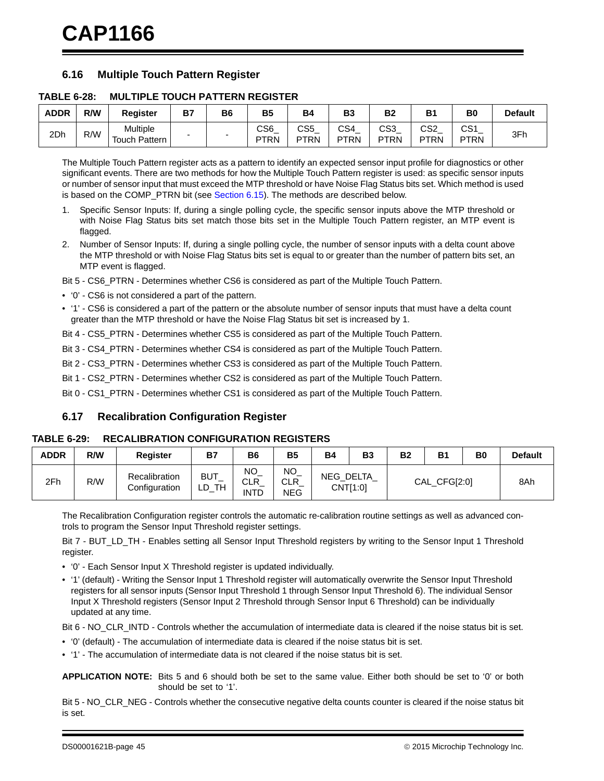# **6.16 Multiple Touch Pattern Register**

| <b>ADDR</b> | R/W | <b>Reaister</b>           | <b>B7</b> | <b>B6</b> | <b>B5</b>               | <b>B4</b>                      | B <sub>3</sub>     | <b>B2</b>          | B <sub>1</sub>                 | B0                 | <b>Default</b> |
|-------------|-----|---------------------------|-----------|-----------|-------------------------|--------------------------------|--------------------|--------------------|--------------------------------|--------------------|----------------|
| 2Dh         | R/W | Multiple<br>Touch Pattern | -         |           | CS <sub>6</sub><br>PTRN | CS <sub>5</sub><br><b>PTRN</b> | CS4<br><b>PTRN</b> | CS3<br><b>PTRN</b> | CS <sub>2</sub><br><b>PTRN</b> | CS1<br><b>PTRN</b> | 3Fh            |

### **TABLE 6-28: MULTIPLE TOUCH PATTERN REGISTER**

The Multiple Touch Pattern register acts as a pattern to identify an expected sensor input profile for diagnostics or other significant events. There are two methods for how the Multiple Touch Pattern register is used: as specific sensor inputs or number of sensor input that must exceed the MTP threshold or have Noise Flag Status bits set. Which method is used is based on the COMP\_PTRN bit (see [Section 6.15](#page-43-1)). The methods are described below.

- 1. Specific Sensor Inputs: If, during a single polling cycle, the specific sensor inputs above the MTP threshold or with Noise Flag Status bits set match those bits set in the Multiple Touch Pattern register, an MTP event is flagged.
- 2. Number of Sensor Inputs: If, during a single polling cycle, the number of sensor inputs with a delta count above the MTP threshold or with Noise Flag Status bits set is equal to or greater than the number of pattern bits set, an MTP event is flagged.

Bit 5 - CS6\_PTRN - Determines whether CS6 is considered as part of the Multiple Touch Pattern.

- '0' CS6 is not considered a part of the pattern.
- '1' CS6 is considered a part of the pattern or the absolute number of sensor inputs that must have a delta count greater than the MTP threshold or have the Noise Flag Status bit set is increased by 1.

Bit 4 - CS5\_PTRN - Determines whether CS5 is considered as part of the Multiple Touch Pattern.

Bit 3 - CS4\_PTRN - Determines whether CS4 is considered as part of the Multiple Touch Pattern.

Bit 2 - CS3\_PTRN - Determines whether CS3 is considered as part of the Multiple Touch Pattern.

Bit 1 - CS2\_PTRN - Determines whether CS2 is considered as part of the Multiple Touch Pattern.

<span id="page-44-1"></span>Bit 0 - CS1\_PTRN - Determines whether CS1 is considered as part of the Multiple Touch Pattern.

# <span id="page-44-0"></span>**6.17 Recalibration Configuration Register**

### **TABLE 6-29: RECALIBRATION CONFIGURATION REGISTERS**

| <b>ADDR</b> | R/W | <b>Register</b>                | <b>B7</b>                   | <b>B6</b>                      | <b>B5</b>               | <b>B4</b> | B <sub>3</sub> | <b>B2</b> | <b>B1</b>    | B <sub>0</sub> | <b>Default</b> |
|-------------|-----|--------------------------------|-----------------------------|--------------------------------|-------------------------|-----------|----------------|-----------|--------------|----------------|----------------|
| 2Fh         | R/W | Recalibration<br>Configuration | <b>BUT</b><br>$\_TH$<br>∟D⊹ | $NO_{-}$<br>CLR<br><b>INTD</b> | NO<br>CLR<br><b>NEG</b> | NEG DELTA | CNT[1:0]       |           | CAL_CFG[2:0] |                | 8Ah            |

The Recalibration Configuration register controls the automatic re-calibration routine settings as well as advanced controls to program the Sensor Input Threshold register settings.

Bit 7 - BUT\_LD\_TH - Enables setting all Sensor Input Threshold registers by writing to the Sensor Input 1 Threshold register.

- '0' Each Sensor Input X Threshold register is updated individually.
- '1' (default) Writing the Sensor Input 1 Threshold register will automatically overwrite the Sensor Input Threshold registers for all sensor inputs (Sensor Input Threshold 1 through Sensor Input Threshold 6). The individual Sensor Input X Threshold registers (Sensor Input 2 Threshold through Sensor Input 6 Threshold) can be individually updated at any time.

Bit 6 - NO\_CLR\_INTD - Controls whether the accumulation of intermediate data is cleared if the noise status bit is set.

- '0' (default) The accumulation of intermediate data is cleared if the noise status bit is set.
- '1' The accumulation of intermediate data is not cleared if the noise status bit is set.

**APPLICATION NOTE:** Bits 5 and 6 should both be set to the same value. Either both should be set to '0' or both should be set to '1'.

Bit 5 - NO CLR\_NEG - Controls whether the consecutive negative delta counts counter is cleared if the noise status bit is set.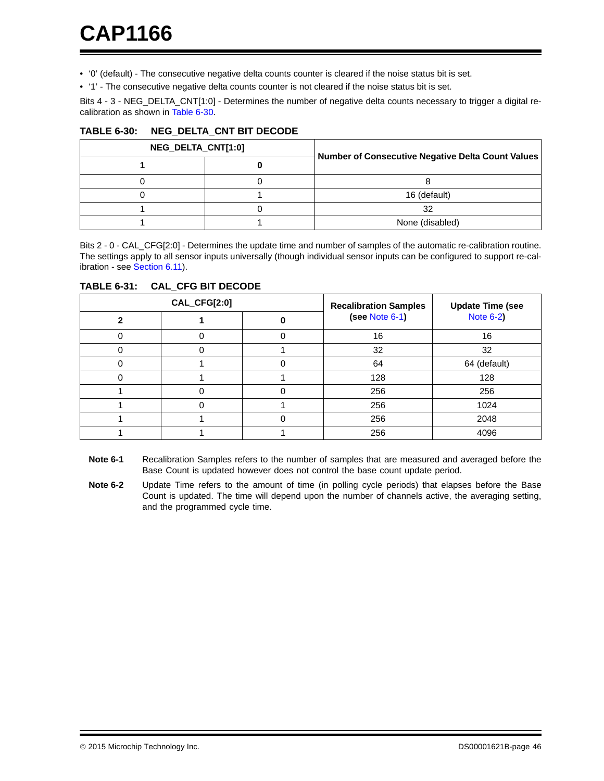• '0' (default) - The consecutive negative delta counts counter is cleared if the noise status bit is set.

• '1' - The consecutive negative delta counts counter is not cleared if the noise status bit is set.

Bits 4 - 3 - NEG\_DELTA\_CNT[1:0] - Determines the number of negative delta counts necessary to trigger a digital recalibration as shown in [Table 6-30](#page-45-0).

### <span id="page-45-0"></span>**TABLE 6-30: NEG\_DELTA\_CNT BIT DECODE**

| NEG_DELTA_CNT[1:0] |                                                          |
|--------------------|----------------------------------------------------------|
|                    | <b>Number of Consecutive Negative Delta Count Values</b> |
|                    |                                                          |
|                    | 16 (default)                                             |
|                    | 32                                                       |
|                    | None (disabled)                                          |

Bits 2 - 0 - CAL\_CFG[2:0] - Determines the update time and number of samples of the automatic re-calibration routine. The settings apply to all sensor inputs universally (though individual sensor inputs can be configured to support re-calibration - see [Section 6.11\)](#page-41-0).

|   | CAL_CFG[2:0] | <b>Recalibration Samples</b> | <b>Update Time (see</b> |  |  |
|---|--------------|------------------------------|-------------------------|--|--|
| າ |              | (see Note 6-1)               | <b>Note 6-2)</b>        |  |  |
|   |              | 16                           | 16                      |  |  |
|   |              | 32                           | 32                      |  |  |
|   |              | 64                           | 64 (default)            |  |  |
|   |              | 128                          | 128                     |  |  |
|   |              | 256                          | 256                     |  |  |
|   |              | 256                          | 1024                    |  |  |
|   |              | 256                          | 2048                    |  |  |
|   |              | 256                          | 4096                    |  |  |

### **TABLE 6-31: CAL\_CFG BIT DECODE**

<span id="page-45-1"></span>**Note 6-1** Recalibration Samples refers to the number of samples that are measured and averaged before the Base Count is updated however does not control the base count update period.

<span id="page-45-2"></span>**Note 6-2** Update Time refers to the amount of time (in polling cycle periods) that elapses before the Base Count is updated. The time will depend upon the number of channels active, the averaging setting, and the programmed cycle time.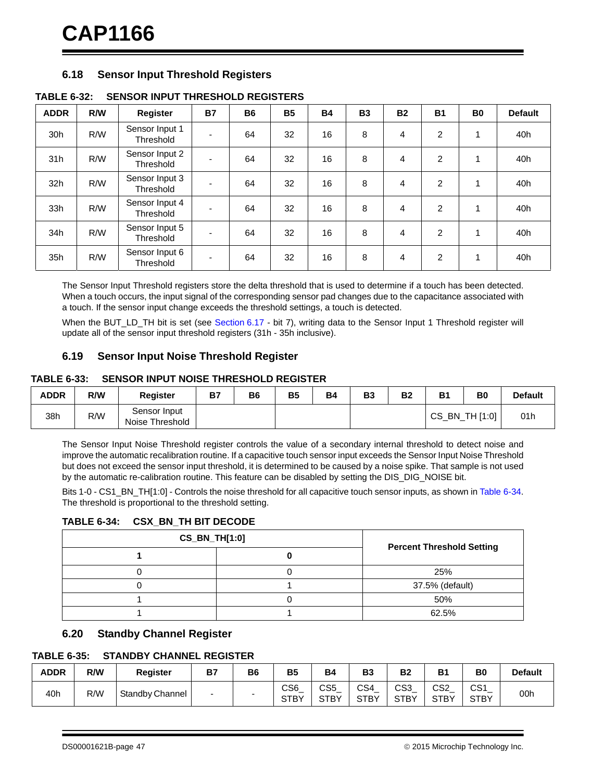# <span id="page-46-1"></span>**6.18 Sensor Input Threshold Registers**

| <b>ADDR</b>     | R/W | Register                    | <b>B7</b> | <b>B6</b> | <b>B5</b> | <b>B4</b> | <b>B3</b> | <b>B2</b>      | <b>B1</b>      | B <sub>0</sub> | <b>Default</b> |
|-----------------|-----|-----------------------------|-----------|-----------|-----------|-----------|-----------|----------------|----------------|----------------|----------------|
| 30 <sub>h</sub> | R/W | Sensor Input 1<br>Threshold |           | 64        | 32        | 16        | 8         | 4              | $\overline{2}$ | 1              | 40h            |
| 31h             | R/W | Sensor Input 2<br>Threshold |           | 64        | 32        | 16        | 8         | $\overline{4}$ | $\overline{2}$ | 1              | 40h            |
| 32 <sub>h</sub> | R/W | Sensor Input 3<br>Threshold |           | 64        | 32        | 16        | 8         | 4              | $\overline{2}$ | $\mathbf{1}$   | 40h            |
| 33h             | R/W | Sensor Input 4<br>Threshold |           | 64        | 32        | 16        | 8         | $\overline{4}$ | 2              | 1              | 40h            |
| 34h             | R/W | Sensor Input 5<br>Threshold |           | 64        | 32        | 16        | 8         | $\overline{4}$ | 2              | $\mathbf{1}$   | 40h            |
| 35h             | R/W | Sensor Input 6<br>Threshold |           | 64        | 32        | 16        | 8         | $\overline{4}$ | 2              | $\mathbf{1}$   | 40h            |

### **TABLE 6-32: SENSOR INPUT THRESHOLD REGISTERS**

The Sensor Input Threshold registers store the delta threshold that is used to determine if a touch has been detected. When a touch occurs, the input signal of the corresponding sensor pad changes due to the capacitance associated with a touch. If the sensor input change exceeds the threshold settings, a touch is detected.

When the BUT\_LD\_TH bit is set (see [Section 6.17](#page-44-0) - bit 7), writing data to the Sensor Input 1 Threshold register will update all of the sensor input threshold registers (31h - 35h inclusive).

# <span id="page-46-0"></span>**6.19 Sensor Input Noise Threshold Register**

### **TABLE 6-33: SENSOR INPUT NOISE THRESHOLD REGISTER**

| <b>ADDR</b> | R/W | <b>Register</b>                 | D7 | B <sub>6</sub> | <b>B5</b> | <b>B4</b> | <b>B3</b> | <b>B2</b> | <b>B1</b>  | B0       | <b>Default</b> |
|-------------|-----|---------------------------------|----|----------------|-----------|-----------|-----------|-----------|------------|----------|----------------|
| 38h         | R/W | Sensor Input<br>Noise Threshold |    |                |           |           |           |           | CS BN<br>– | TH [1:0] | 01h            |

The Sensor Input Noise Threshold register controls the value of a secondary internal threshold to detect noise and improve the automatic recalibration routine. If a capacitive touch sensor input exceeds the Sensor Input Noise Threshold but does not exceed the sensor input threshold, it is determined to be caused by a noise spike. That sample is not used by the automatic re-calibration routine. This feature can be disabled by setting the DIS\_DIG\_NOISE bit.

Bits 1-0 - CS1\_BN\_TH[1:0] - Controls the noise threshold for all capacitive touch sensor inputs, as shown in [Table 6-34](#page-46-2). The threshold is proportional to the threshold setting.

# <span id="page-46-2"></span>**TABLE 6-34: CSX\_BN\_TH BIT DECODE**

| <b>CS_BN_TH[1:0]</b> |  |                                  |
|----------------------|--|----------------------------------|
|                      |  | <b>Percent Threshold Setting</b> |
|                      |  | 25%                              |
|                      |  | 37.5% (default)                  |
|                      |  | 50%                              |
|                      |  | 62.5%                            |

# **6.20 Standby Channel Register**

### **TABLE 6-35: STANDBY CHANNEL REGISTER**

| <b>ADDR</b> | R/W | Register               | <b>B7</b> | <b>B6</b> | <b>B5</b>                      | <b>B4</b>          | B <sub>3</sub> | <b>B2</b>          | B1                 | вo                             | Default |
|-------------|-----|------------------------|-----------|-----------|--------------------------------|--------------------|----------------|--------------------|--------------------|--------------------------------|---------|
| 40h         | R/W | <b>Standby Channel</b> | -         |           | CS <sub>6</sub><br><b>STBY</b> | CS5<br><b>STBY</b> | CS4<br>STBY    | CS3<br><b>STBY</b> | CS2<br><b>STBY</b> | CS <sub>1</sub><br><b>STBY</b> | 00h     |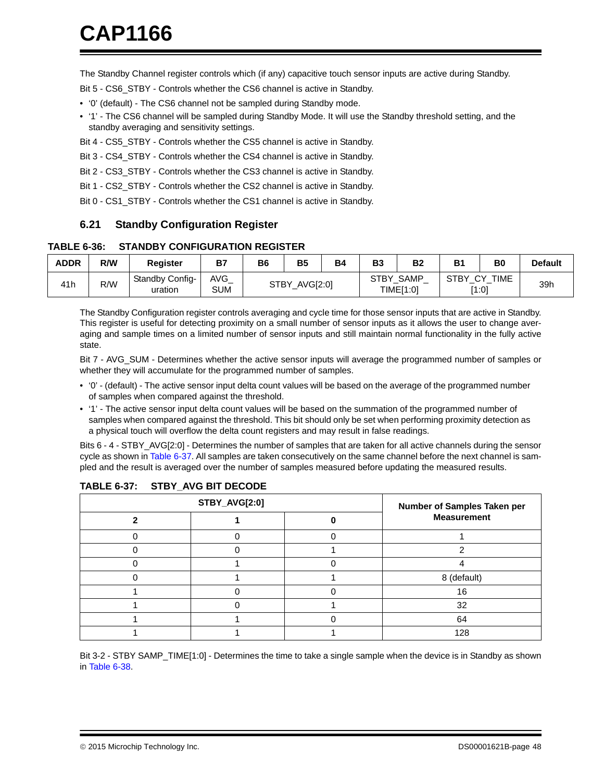The Standby Channel register controls which (if any) capacitive touch sensor inputs are active during Standby.

Bit 5 - CS6\_STBY - Controls whether the CS6 channel is active in Standby.

- '0' (default) The CS6 channel not be sampled during Standby mode.
- '1' The CS6 channel will be sampled during Standby Mode. It will use the Standby threshold setting, and the standby averaging and sensitivity settings.
- Bit 4 CS5\_STBY Controls whether the CS5 channel is active in Standby.
- Bit 3 CS4\_STBY Controls whether the CS4 channel is active in Standby.
- Bit 2 CS3\_STBY Controls whether the CS3 channel is active in Standby.
- Bit 1 CS2\_STBY Controls whether the CS2 channel is active in Standby.
- Bit 0 CS1\_STBY Controls whether the CS1 channel is active in Standby.

# **6.21 Standby Configuration Register**

### **TABLE 6-36: STANDBY CONFIGURATION REGISTER**

| <b>ADDR</b> | R/W | <b>Register</b>            | D7<br>ים                 | B <sub>6</sub> | <b>B5</b> | <b>B4</b> | B3   | <b>B2</b>                | <b>B1</b>   | B <sub>0</sub>             | <b>Default</b> |
|-------------|-----|----------------------------|--------------------------|----------------|-----------|-----------|------|--------------------------|-------------|----------------------------|----------------|
| 41h         | R/W | Standby Config-<br>uration | <b>AVG</b><br><b>SUM</b> | STBY           | AVG[2:0]  |           | STBY | <b>SAMP</b><br>TIME[1:0] | <b>STBY</b> | <b>TIME</b><br>CY.<br>1:01 | 39h            |

The Standby Configuration register controls averaging and cycle time for those sensor inputs that are active in Standby. This register is useful for detecting proximity on a small number of sensor inputs as it allows the user to change averaging and sample times on a limited number of sensor inputs and still maintain normal functionality in the fully active state.

Bit 7 - AVG\_SUM - Determines whether the active sensor inputs will average the programmed number of samples or whether they will accumulate for the programmed number of samples.

- '0' (default) The active sensor input delta count values will be based on the average of the programmed number of samples when compared against the threshold.
- '1' The active sensor input delta count values will be based on the summation of the programmed number of samples when compared against the threshold. This bit should only be set when performing proximity detection as a physical touch will overflow the delta count registers and may result in false readings.

Bits 6 - 4 - STBY\_AVG[2:0] - Determines the number of samples that are taken for all active channels during the sensor cycle as shown in [Table 6-37](#page-47-0). All samples are taken consecutively on the same channel before the next channel is sampled and the result is averaged over the number of samples measured before updating the measured results.

| STBY_AVG[2:0] | Number of Samples Taken per |                    |  |  |
|---------------|-----------------------------|--------------------|--|--|
|               |                             | <b>Measurement</b> |  |  |
|               |                             |                    |  |  |
|               |                             |                    |  |  |
|               |                             |                    |  |  |
|               |                             | 8 (default)        |  |  |
|               |                             | 16                 |  |  |
|               |                             | 32                 |  |  |
|               |                             | 64                 |  |  |
|               |                             | 128                |  |  |

### <span id="page-47-0"></span>**TABLE 6-37: STBY\_AVG BIT DECODE**

Bit 3-2 - STBY SAMP\_TIME[1:0] - Determines the time to take a single sample when the device is in Standby as shown in [Table 6-38](#page-48-0).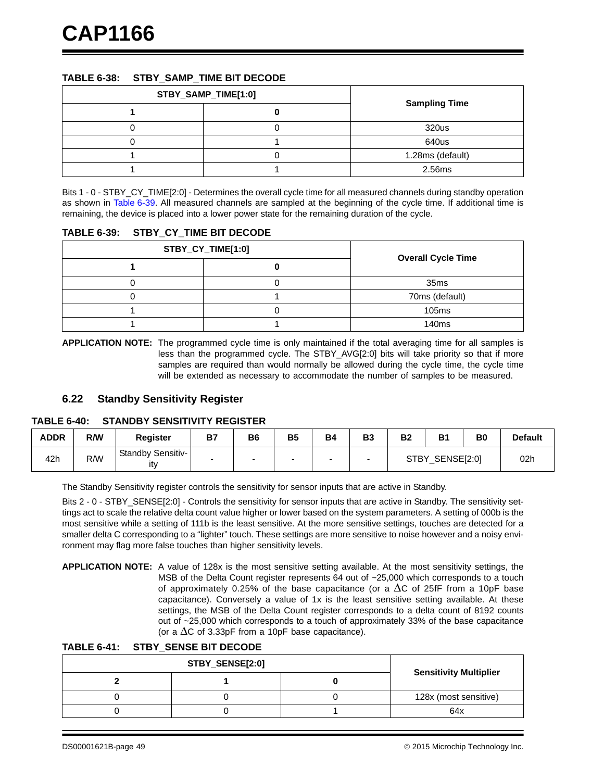<span id="page-48-0"></span>

| TABLE 6-38: STBY SAMP TIME BIT DECODE |  |  |  |  |  |
|---------------------------------------|--|--|--|--|--|
|---------------------------------------|--|--|--|--|--|

| STBY_SAMP_TIME[1:0] |  |                      |
|---------------------|--|----------------------|
|                     |  | <b>Sampling Time</b> |
|                     |  | 320us                |
|                     |  | 640us                |
|                     |  | 1.28ms (default)     |
|                     |  | 2.56ms               |

Bits 1 - 0 - STBY\_CY\_TIME[2:0] - Determines the overall cycle time for all measured channels during standby operation as shown in [Table 6-39](#page-48-1). All measured channels are sampled at the beginning of the cycle time. If additional time is remaining, the device is placed into a lower power state for the remaining duration of the cycle.

### <span id="page-48-1"></span>**TABLE 6-39: STBY\_CY\_TIME BIT DECODE**

| STBY_CY_TIME[1:0] | <b>Overall Cycle Time</b> |                  |  |  |
|-------------------|---------------------------|------------------|--|--|
|                   |                           |                  |  |  |
|                   |                           | 35 <sub>ms</sub> |  |  |
|                   |                           | 70ms (default)   |  |  |
|                   |                           | 105ms            |  |  |
|                   |                           | 140ms            |  |  |

**APPLICATION NOTE:** The programmed cycle time is only maintained if the total averaging time for all samples is less than the programmed cycle. The STBY\_AVG[2:0] bits will take priority so that if more samples are required than would normally be allowed during the cycle time, the cycle time will be extended as necessary to accommodate the number of samples to be measured.

# **6.22 Standby Sensitivity Register**

#### **TABLE 6-40: STANDBY SENSITIVITY REGISTER**

| <b>ADDR</b> | <b>R/W</b> | Register                 | D7<br>ь. | <b>B6</b> | <b>B5</b> | <b>B4</b> | B <sub>3</sub> | <b>B2</b> | B <sub>1</sub> | B0 | <b>Default</b> |
|-------------|------------|--------------------------|----------|-----------|-----------|-----------|----------------|-----------|----------------|----|----------------|
| 42h         | R/W        | Standby Sensitiv-<br>ity |          | -         |           |           |                | STBY      | SENSE[2:0]     |    | 02h            |

The Standby Sensitivity register controls the sensitivity for sensor inputs that are active in Standby.

Bits 2 - 0 - STBY\_SENSE[2:0] - Controls the sensitivity for sensor inputs that are active in Standby. The sensitivity settings act to scale the relative delta count value higher or lower based on the system parameters. A setting of 000b is the most sensitive while a setting of 111b is the least sensitive. At the more sensitive settings, touches are detected for a smaller delta C corresponding to a "lighter" touch. These settings are more sensitive to noise however and a noisy environment may flag more false touches than higher sensitivity levels.

**APPLICATION NOTE:** A value of 128x is the most sensitive setting available. At the most sensitivity settings, the MSB of the Delta Count register represents 64 out of ~25,000 which corresponds to a touch of approximately 0.25% of the base capacitance (or a  $\Delta C$  of 25fF from a 10pF base capacitance). Conversely a value of 1x is the least sensitive setting available. At these settings, the MSB of the Delta Count register corresponds to a delta count of 8192 counts out of ~25,000 which corresponds to a touch of approximately 33% of the base capacitance (or a  $\Delta C$  of 3.33pF from a 10pF base capacitance).

### **TABLE 6-41: STBY\_SENSE BIT DECODE**

|  |  | <b>Sensitivity Multiplier</b> |
|--|--|-------------------------------|
|  |  | 128x (most sensitive)         |
|  |  | 64x                           |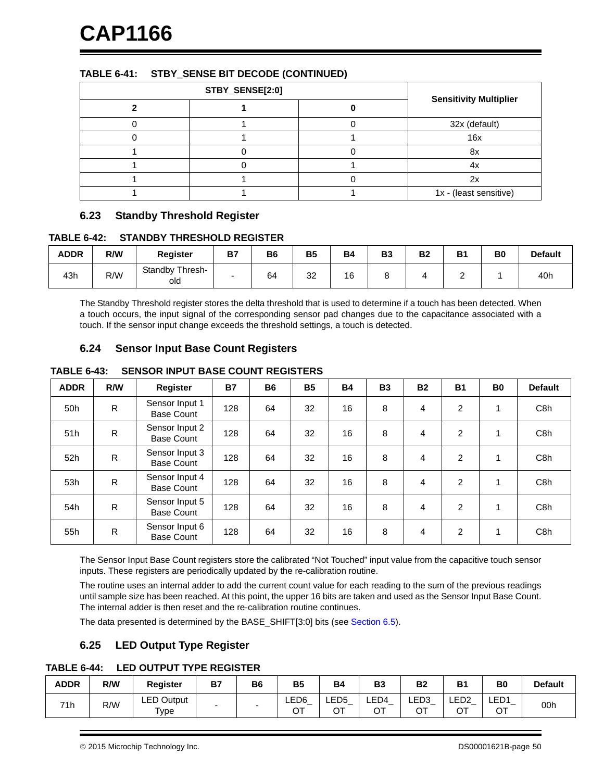| STBY_SENSE[2:0] |                               |
|-----------------|-------------------------------|
|                 | <b>Sensitivity Multiplier</b> |
|                 | 32x (default)                 |
|                 | 16x                           |
|                 | 8x                            |
|                 | 4x                            |
|                 | 2x                            |
|                 | 1x - (least sensitive)        |

### **TABLE 6-41: STBY\_SENSE BIT DECODE (CONTINUED)**

# <span id="page-49-0"></span>**6.23 Standby Threshold Register**

### **TABLE 6-42: STANDBY THRESHOLD REGISTER**

| <b>ADDR</b> | R/W | Register               | Β7 | B <sub>6</sub> | <b>B5</b> | <b>B4</b> | <b>B3</b> | <b>B2</b> | <b>B1</b> | B <sub>0</sub> | <b>Default</b> |
|-------------|-----|------------------------|----|----------------|-----------|-----------|-----------|-----------|-----------|----------------|----------------|
| 43h         | R/W | Standby Thresh-<br>old | -  | 64             | ົ<br>ے ت  | 16        |           |           |           |                | 40h            |

The Standby Threshold register stores the delta threshold that is used to determine if a touch has been detected. When a touch occurs, the input signal of the corresponding sensor pad changes due to the capacitance associated with a touch. If the sensor input change exceeds the threshold settings, a touch is detected.

# **6.24 Sensor Input Base Count Registers**

| <b>ADDR</b> | R/W          | Register                            | <b>B7</b> | <b>B6</b> | <b>B5</b> | <b>B4</b> | <b>B3</b> | <b>B2</b> | <b>B1</b>      | <b>B0</b>    | <b>Default</b>   |
|-------------|--------------|-------------------------------------|-----------|-----------|-----------|-----------|-----------|-----------|----------------|--------------|------------------|
| 50h         | $\mathsf{R}$ | Sensor Input 1<br><b>Base Count</b> | 128       | 64        | 32        | 16        | 8         | 4         | 2              | $\mathbf{1}$ | C <sub>8</sub> h |
| 51h         | $\mathsf{R}$ | Sensor Input 2<br><b>Base Count</b> | 128       | 64        | 32        | 16        | 8         | 4         | 2              | $\mathbf{1}$ | C8h              |
| 52h         | $\mathsf{R}$ | Sensor Input 3<br><b>Base Count</b> | 128       | 64        | 32        | 16        | 8         | 4         | $\overline{2}$ | 1            | C <sub>8</sub> h |
| 53h         | $\mathsf{R}$ | Sensor Input 4<br><b>Base Count</b> | 128       | 64        | 32        | 16        | 8         | 4         | 2              | 1            | C8h              |
| 54h         | $\mathsf{R}$ | Sensor Input 5<br><b>Base Count</b> | 128       | 64        | 32        | 16        | 8         | 4         | 2              | 1            | C <sub>8</sub> h |
| 55h         | $\mathsf{R}$ | Sensor Input 6<br><b>Base Count</b> | 128       | 64        | 32        | 16        | 8         | 4         | 2              | 1            | C <sub>8</sub> h |

### **TABLE 6-43: SENSOR INPUT BASE COUNT REGISTERS**

The Sensor Input Base Count registers store the calibrated "Not Touched" input value from the capacitive touch sensor inputs. These registers are periodically updated by the re-calibration routine.

The routine uses an internal adder to add the current count value for each reading to the sum of the previous readings until sample size has been reached. At this point, the upper 16 bits are taken and used as the Sensor Input Base Count. The internal adder is then reset and the re-calibration routine continues.

The data presented is determined by the BASE\_SHIFT[3:0] bits (see [Section 6.5\)](#page-35-0).

# **6.25 LED Output Type Register**

### **TABLE 6-44: LED OUTPUT TYPE REGISTER**

| <b>ADDR</b> | R/W | <b>Register</b>           | <b>B7</b> | B <sub>6</sub> | <b>B5</b>                               | B4                     | <b>B3</b>       | <b>B2</b>             | <b>B</b> 1                                    | B <sub>0</sub>         | <b>Default</b> |
|-------------|-----|---------------------------|-----------|----------------|-----------------------------------------|------------------------|-----------------|-----------------------|-----------------------------------------------|------------------------|----------------|
| 71h         | R/W | <b>LED Output</b><br>Type | -         |                | LED6<br>$\mathsf{\sim}$<br>$\checkmark$ | LED5<br>. —<br>⌒⊤<br>ັ | LED4<br>∩⊤<br>◡ | LED3<br>$\cap$ T<br>ັ | LED <sub>2</sub><br>_<br>$\mathsf{\sim}$<br>ັ | LED <sub>1</sub><br>OT | 00h            |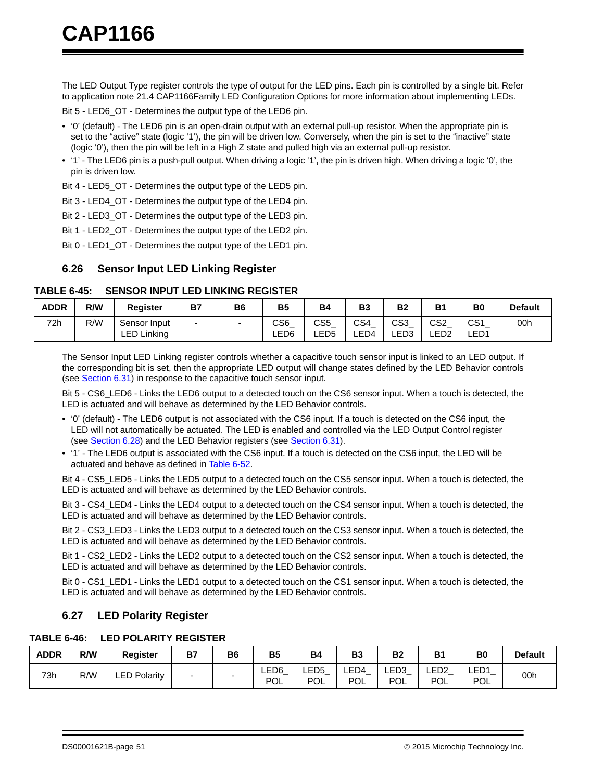The LED Output Type register controls the type of output for the LED pins. Each pin is controlled by a single bit. Refer to application note 21.4 CAP1166Family LED Configuration Options for more information about implementing LEDs.

Bit 5 - LED6\_OT - Determines the output type of the LED6 pin.

- '0' (default) The LED6 pin is an open-drain output with an external pull-up resistor. When the appropriate pin is set to the "active" state (logic '1'), the pin will be driven low. Conversely, when the pin is set to the "inactive" state (logic '0'), then the pin will be left in a High Z state and pulled high via an external pull-up resistor.
- $*$  '1' The LED6 pin is a push-pull output. When driving a logic '1', the pin is driven high. When driving a logic '0', the pin is driven low.
- Bit 4 LED5\_OT Determines the output type of the LED5 pin.
- Bit 3 LED4\_OT Determines the output type of the LED4 pin.
- Bit 2 LED3\_OT Determines the output type of the LED3 pin.
- Bit 1 LED2\_OT Determines the output type of the LED2 pin.
- Bit 0 LED1\_OT Determines the output type of the LED1 pin.

### <span id="page-50-0"></span>**6.26 Sensor Input LED Linking Register**

#### **TABLE 6-45: SENSOR INPUT LED LINKING REGISTER**

| <b>ADDR</b> | <b>R/W</b> | <b>Register</b>             | <b>B7</b> | B <sub>6</sub> | <b>B5</b>                           | <b>B4</b>               | <b>B3</b>   | <b>B2</b>               | B1                                  | B <sub>0</sub>                      | <b>Default</b> |
|-------------|------------|-----------------------------|-----------|----------------|-------------------------------------|-------------------------|-------------|-------------------------|-------------------------------------|-------------------------------------|----------------|
| 72h         | R/W        | Sensor Input<br>LED Linking |           |                | CS <sub>6</sub><br>LED <sub>6</sub> | CS <sub>5</sub><br>∟ED5 | CS4<br>∟ED4 | CS <sub>3</sub><br>LED3 | CS <sub>2</sub><br>LED <sub>2</sub> | CS <sub>1</sub><br>LED <sup>4</sup> | 00h            |

The Sensor Input LED Linking register controls whether a capacitive touch sensor input is linked to an LED output. If the corresponding bit is set, then the appropriate LED output will change states defined by the LED Behavior controls (see [Section 6.31\)](#page-54-0) in response to the capacitive touch sensor input.

Bit 5 - CS6\_LED6 - Links the LED6 output to a detected touch on the CS6 sensor input. When a touch is detected, the LED is actuated and will behave as determined by the LED Behavior controls.

- '0' (default) The LED6 output is not associated with the CS6 input. If a touch is detected on the CS6 input, the LED will not automatically be actuated. The LED is enabled and controlled via the LED Output Control register (see [Section 6.28\)](#page-51-0) and the LED Behavior registers (see [Section 6.31\)](#page-54-0).
- '1' The LED6 output is associated with the CS6 input. If a touch is detected on the CS6 input, the LED will be actuated and behave as defined in [Table 6-52.](#page-55-0)

Bit 4 - CS5\_LED5 - Links the LED5 output to a detected touch on the CS5 sensor input. When a touch is detected, the LED is actuated and will behave as determined by the LED Behavior controls.

Bit 3 - CS4\_LED4 - Links the LED4 output to a detected touch on the CS4 sensor input. When a touch is detected, the LED is actuated and will behave as determined by the LED Behavior controls.

Bit 2 - CS3\_LED3 - Links the LED3 output to a detected touch on the CS3 sensor input. When a touch is detected, the LED is actuated and will behave as determined by the LED Behavior controls.

Bit 1 - CS2\_LED2 - Links the LED2 output to a detected touch on the CS2 sensor input. When a touch is detected, the LED is actuated and will behave as determined by the LED Behavior controls.

Bit 0 - CS1\_LED1 - Links the LED1 output to a detected touch on the CS1 sensor input. When a touch is detected, the LED is actuated and will behave as determined by the LED Behavior controls.

### <span id="page-50-1"></span>**6.27 LED Polarity Register**

| <b>TABLE 6-46:</b> | <b>LED POLARITY REGISTER</b> |
|--------------------|------------------------------|
|--------------------|------------------------------|

| <b>ADDR</b> | R/W | <b>Register</b>     | Β7 | B <sub>6</sub> | <b>B5</b>          | <b>B4</b>         | B <sub>3</sub>    | <b>B2</b>                      | <b>B1</b>                      | B <sub>0</sub>                 | <b>Default</b> |
|-------------|-----|---------------------|----|----------------|--------------------|-------------------|-------------------|--------------------------------|--------------------------------|--------------------------------|----------------|
| 73h         | R/W | <b>LED Polarity</b> |    |                | LED6<br><b>POL</b> | LED5<br>∩ם<br>ັ∪∟ | ∟ED4<br>וחס<br>◡∟ | LED <sub>3</sub><br><b>POL</b> | LED <sub>2</sub><br><b>POL</b> | LED <sup>1</sup><br><b>POL</b> | 00h            |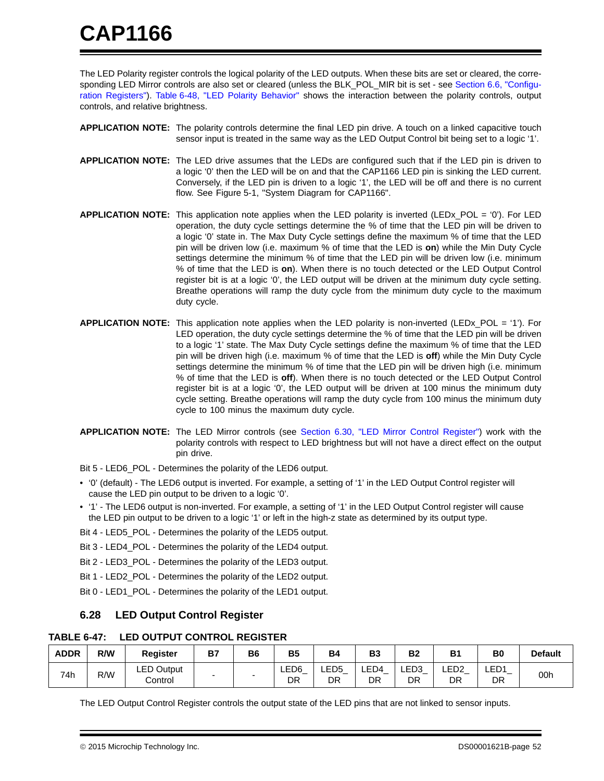The LED Polarity register controls the logical polarity of the LED outputs. When these bits are set or cleared, the corresponding LED Mirror controls are also set or cleared (unless the BLK\_POL\_MIR bit is set - see [Section 6.6, "Configu](#page-36-0)[ration Registers"\)](#page-36-0). [Table 6-48, "LED Polarity Behavior"](#page-52-1) shows the interaction between the polarity controls, output controls, and relative brightness.

- **APPLICATION NOTE:** The polarity controls determine the final LED pin drive. A touch on a linked capacitive touch sensor input is treated in the same way as the LED Output Control bit being set to a logic '1'.
- **APPLICATION NOTE:** The LED drive assumes that the LEDs are configured such that if the LED pin is driven to a logic '0' then the LED will be on and that the CAP1166 LED pin is sinking the LED current. Conversely, if the LED pin is driven to a logic '1', the LED will be off and there is no current flow. See [Figure 5-1, "System Diagram for CAP1166".](#page-24-0)
- **APPLICATION NOTE:** This application note applies when the LED polarity is inverted (LEDx\_POL = '0'). For LED operation, the duty cycle settings determine the % of time that the LED pin will be driven to a logic '0' state in. The Max Duty Cycle settings define the maximum % of time that the LED pin will be driven low (i.e. maximum % of time that the LED is **on**) while the Min Duty Cycle settings determine the minimum % of time that the LED pin will be driven low (i.e. minimum % of time that the LED is **on**). When there is no touch detected or the LED Output Control register bit is at a logic '0', the LED output will be driven at the minimum duty cycle setting. Breathe operations will ramp the duty cycle from the minimum duty cycle to the maximum duty cycle.
- **APPLICATION NOTE:** This application note applies when the LED polarity is non-inverted (LEDx\_POL = '1'). For LED operation, the duty cycle settings determine the % of time that the LED pin will be driven to a logic '1' state. The Max Duty Cycle settings define the maximum % of time that the LED pin will be driven high (i.e. maximum % of time that the LED is **off**) while the Min Duty Cycle settings determine the minimum % of time that the LED pin will be driven high (i.e. minimum % of time that the LED is **off**). When there is no touch detected or the LED Output Control register bit is at a logic '0', the LED output will be driven at 100 minus the minimum duty cycle setting. Breathe operations will ramp the duty cycle from 100 minus the minimum duty cycle to 100 minus the maximum duty cycle.
- **APPLICATION NOTE:** The LED Mirror controls (see [Section 6.30, "LED Mirror Control Register"\)](#page-53-0) work with the polarity controls with respect to LED brightness but will not have a direct effect on the output pin drive.
- Bit 5 LED6 POL Determines the polarity of the LED6 output.
- '0' (default) The LED6 output is inverted. For example, a setting of '1' in the LED Output Control register will cause the LED pin output to be driven to a logic '0'.
- '1' The LED6 output is non-inverted. For example, a setting of '1' in the LED Output Control register will cause the LED pin output to be driven to a logic '1' or left in the high-z state as determined by its output type.
- Bit 4 LED5\_POL Determines the polarity of the LED5 output.
- Bit 3 LED4\_POL Determines the polarity of the LED4 output.
- Bit 2 LED3\_POL Determines the polarity of the LED3 output.
- Bit 1 LED2\_POL Determines the polarity of the LED2 output.
- Bit 0 LED1\_POL Determines the polarity of the LED1 output.

# <span id="page-51-0"></span>**6.28 LED Output Control Register**

### **TABLE 6-47: LED OUTPUT CONTROL REGISTER**

| <b>ADDR</b> | R/W | Register                 | B7 | B6 | <b>B5</b>              | <b>B4</b>              | <b>B3</b>       | B <sub>2</sub>         | <b>B1</b>              | B <sub>0</sub>         | <b>Default</b> |
|-------------|-----|--------------------------|----|----|------------------------|------------------------|-----------------|------------------------|------------------------|------------------------|----------------|
| 74h         | R/W | LED<br>Output<br>Control |    |    | LED <sub>6</sub><br>DR | LED <sub>5</sub><br>DR | LED4<br>–<br>DR | LED <sub>3</sub><br>DR | LED <sub>2</sub><br>DR | LED <sup>4</sup><br>DR | 00h            |

The LED Output Control Register controls the output state of the LED pins that are not linked to sensor inputs.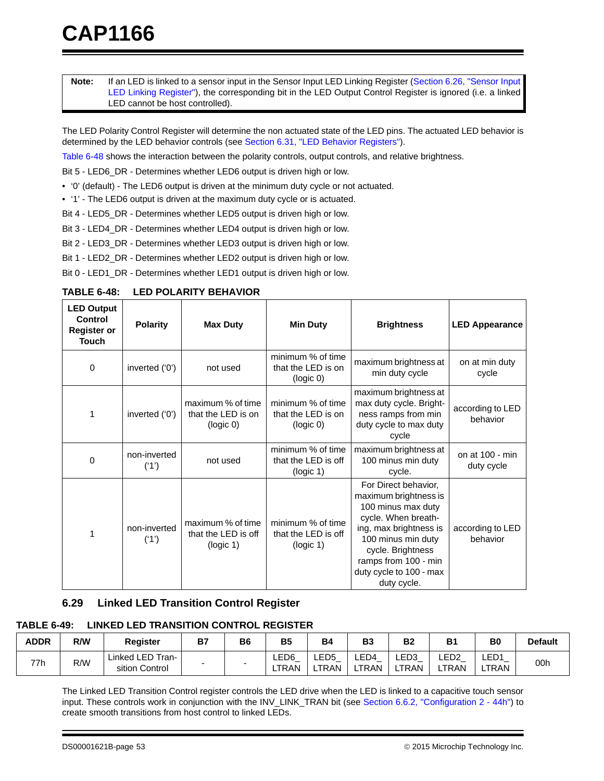# **CAP1166**

**Note:** If an LED is linked to a sensor input in the Sensor Input LED Linking Register [\(Section 6.26, "Sensor Input](#page-50-0) [LED Linking Register"\)](#page-50-0), the corresponding bit in the LED Output Control Register is ignored (i.e. a linked LED cannot be host controlled).

The LED Polarity Control Register will determine the non actuated state of the LED pins. The actuated LED behavior is determined by the LED behavior controls (see [Section 6.31, "LED Behavior Registers"\)](#page-54-0).

[Table 6-48](#page-52-1) shows the interaction between the polarity controls, output controls, and relative brightness.

Bit 5 - LED6\_DR - Determines whether LED6 output is driven high or low.

• '0' (default) - The LED6 output is driven at the minimum duty cycle or not actuated.

• '1' - The LED6 output is driven at the maximum duty cycle or is actuated.

Bit 4 - LED5\_DR - Determines whether LED5 output is driven high or low.

Bit 3 - LED4\_DR - Determines whether LED4 output is driven high or low.

Bit 2 - LED3\_DR - Determines whether LED3 output is driven high or low.

Bit 1 - LED2\_DR - Determines whether LED2 output is driven high or low.

Bit 0 - LED1 DR - Determines whether LED1 output is driven high or low.

| <b>LED Output</b><br>Control<br><b>Register or</b><br><b>Touch</b> | <b>Polarity</b>       | <b>Max Duty</b>                                       | <b>Min Duty</b>                                       | <b>Brightness</b>                                                                                                                                                                                                                 | <b>LED Appearance</b>         |
|--------------------------------------------------------------------|-----------------------|-------------------------------------------------------|-------------------------------------------------------|-----------------------------------------------------------------------------------------------------------------------------------------------------------------------------------------------------------------------------------|-------------------------------|
| $\Omega$                                                           | inverted ('0')        | not used                                              | minimum % of time<br>that the LED is on<br>(logic 0)  | maximum brightness at<br>min duty cycle                                                                                                                                                                                           | on at min duty<br>cycle       |
| 1                                                                  | inverted $(0')$       | maximum % of time<br>that the LED is on<br>(logic 0)  | minimum % of time<br>that the LED is on<br>(logic 0)  | maximum brightness at<br>max duty cycle. Bright-<br>ness ramps from min<br>duty cycle to max duty<br>cycle                                                                                                                        | according to LED<br>behavior  |
| $\Omega$                                                           | non-inverted<br>('1') | not used                                              | minimum % of time<br>that the LED is off<br>(logic 1) | maximum brightness at<br>100 minus min duty<br>cycle.                                                                                                                                                                             | on at 100 - min<br>duty cycle |
| 1                                                                  | non-inverted<br>('1') | maximum % of time<br>that the LED is off<br>(logic 1) | minimum % of time<br>that the LED is off<br>(logic 1) | For Direct behavior,<br>maximum brightness is<br>100 minus max duty<br>cycle. When breath-<br>ing, max brightness is<br>100 minus min duty<br>cycle. Brightness<br>ramps from 100 - min<br>duty cycle to 100 - max<br>duty cycle. | according to LED<br>behavior  |

#### <span id="page-52-1"></span>**TABLE 6-48: LED POLARITY BEHAVIOR**

# <span id="page-52-2"></span><span id="page-52-0"></span>**6.29 Linked LED Transition Control Register**

# **TABLE 6-49: LINKED LED TRANSITION CONTROL REGISTER**

| <b>ADDR</b> | R/W | <b>Register</b>                    | D7<br>D. | B <sub>6</sub> | <b>B5</b>     | <b>B4</b>                 | B <sub>3</sub>           | <b>B2</b>     | <b>B</b> 1    | BC                        | <b>Default</b> |
|-------------|-----|------------------------------------|----------|----------------|---------------|---------------------------|--------------------------|---------------|---------------|---------------------------|----------------|
| 77h         | R/W | Linked LED Tran-<br>sition Control | -        |                | LED6<br>LTRAN | LED <sub>5</sub><br>.TRAN | ∟ED4<br>–<br><b>TRAN</b> | LED3<br>.TRAN | _ED2<br>.TRAN | LED <sup>1</sup><br>LTRAN | 00h            |

The Linked LED Transition Control register controls the LED drive when the LED is linked to a capacitive touch sensor input. These controls work in conjunction with the INV\_LINK\_TRAN bit (see [Section 6.6.2, "Configuration 2 - 44h"\)](#page-37-0) to create smooth transitions from host control to linked LEDs.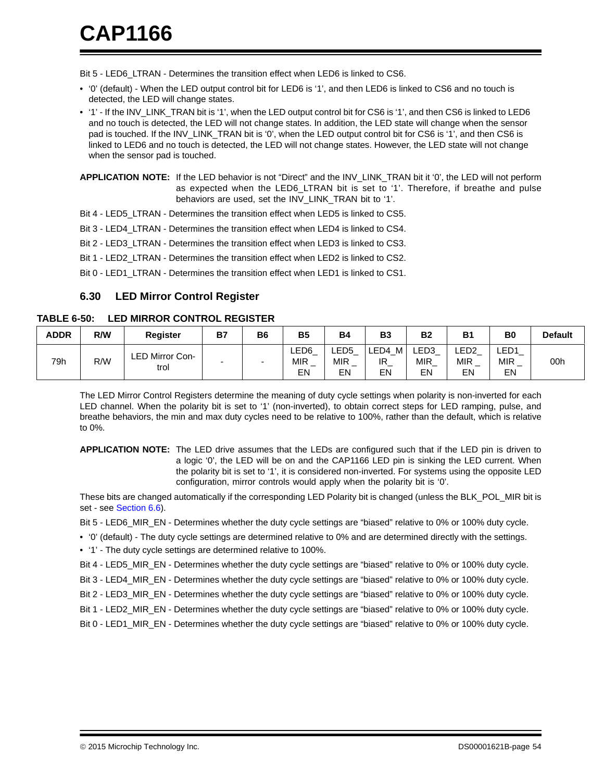Bit 5 - LED6\_LTRAN - Determines the transition effect when LED6 is linked to CS6.

- '0' (default) When the LED output control bit for LED6 is '1', and then LED6 is linked to CS6 and no touch is detected, the LED will change states.
- '1' If the INV\_LINK\_TRAN bit is '1', when the LED output control bit for CS6 is '1', and then CS6 is linked to LED6 and no touch is detected, the LED will not change states. In addition, the LED state will change when the sensor pad is touched. If the INV\_LINK\_TRAN bit is '0', when the LED output control bit for CS6 is '1', and then CS6 is linked to LED6 and no touch is detected, the LED will not change states. However, the LED state will not change when the sensor pad is touched.
- **APPLICATION NOTE:** If the LED behavior is not "Direct" and the INV\_LINK\_TRAN bit it '0', the LED will not perform as expected when the LED6\_LTRAN bit is set to '1'. Therefore, if breathe and pulse behaviors are used, set the INV\_LINK\_TRAN bit to '1'.
- Bit 4 LED5 LTRAN Determines the transition effect when LED5 is linked to CS5.
- Bit 3 LED4\_LTRAN Determines the transition effect when LED4 is linked to CS4.
- Bit 2 LED3 LTRAN Determines the transition effect when LED3 is linked to CS3.
- Bit 1 LED2 LTRAN Determines the transition effect when LED2 is linked to CS2.
- <span id="page-53-1"></span>Bit 0 - LED1 LTRAN - Determines the transition effect when LED1 is linked to CS1.

### <span id="page-53-0"></span>**6.30 LED Mirror Control Register**

### **TABLE 6-50: LED MIRROR CONTROL REGISTER**

| <b>ADDR</b> | R/W | Register                   | Β7 | B <sub>6</sub> | <b>B5</b>                     | <b>B4</b>                | <b>B3</b>               | <b>B2</b>                                 | <b>B1</b>                | B <sub>0</sub>           | <b>Default</b> |
|-------------|-----|----------------------------|----|----------------|-------------------------------|--------------------------|-------------------------|-------------------------------------------|--------------------------|--------------------------|----------------|
| 79h         | R/W | Mirror Con-<br>LED<br>trol |    |                | LED <sub>6</sub><br>MIR<br>EN | LED5<br><b>MIR</b><br>EN | ∟ED4<br>мı<br>IR.<br>EN | LED <sub>3</sub><br><b>MIR</b><br>_<br>EN | LED2<br><b>MIR</b><br>EN | LED1<br><b>MIR</b><br>EN | 00h            |

The LED Mirror Control Registers determine the meaning of duty cycle settings when polarity is non-inverted for each LED channel. When the polarity bit is set to '1' (non-inverted), to obtain correct steps for LED ramping, pulse, and breathe behaviors, the min and max duty cycles need to be relative to 100%, rather than the default, which is relative to 0%.

**APPLICATION NOTE:** The LED drive assumes that the LEDs are configured such that if the LED pin is driven to a logic '0', the LED will be on and the CAP1166 LED pin is sinking the LED current. When the polarity bit is set to '1', it is considered non-inverted. For systems using the opposite LED configuration, mirror controls would apply when the polarity bit is '0'.

These bits are changed automatically if the corresponding LED Polarity bit is changed (unless the BLK\_POL\_MIR bit is set - see [Section 6.6\)](#page-36-0).

Bit 5 - LED6\_MIR\_EN - Determines whether the duty cycle settings are "biased" relative to 0% or 100% duty cycle.

• '0' (default) - The duty cycle settings are determined relative to 0% and are determined directly with the settings.

• '1' - The duty cycle settings are determined relative to 100%.

Bit 4 - LED5\_MIR\_EN - Determines whether the duty cycle settings are "biased" relative to 0% or 100% duty cycle.

Bit 3 - LED4\_MIR\_EN - Determines whether the duty cycle settings are "biased" relative to 0% or 100% duty cycle.

Bit 2 - LED3\_MIR\_EN - Determines whether the duty cycle settings are "biased" relative to 0% or 100% duty cycle.

Bit 1 - LED2\_MIR\_EN - Determines whether the duty cycle settings are "biased" relative to 0% or 100% duty cycle.

Bit 0 - LED1\_MIR\_EN - Determines whether the duty cycle settings are "biased" relative to 0% or 100% duty cycle.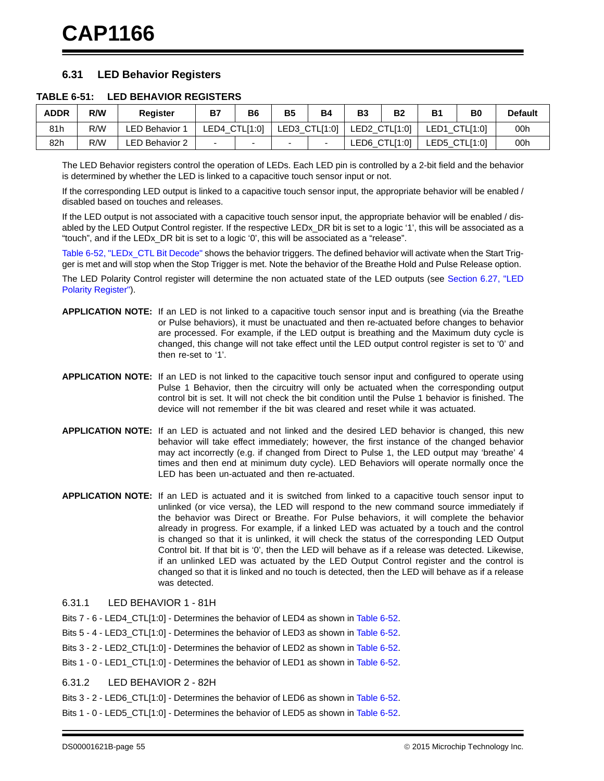# <span id="page-54-0"></span>**6.31 LED Behavior Registers**

| <b>ADDR</b> | R/W | <b>Register</b> | <b>B7</b> | B <sub>6</sub> | <b>B5</b> | <b>B4</b>         | B <sub>3</sub> | <b>B2</b>     | Β1 | B <sub>0</sub> | <b>Default</b> |
|-------------|-----|-----------------|-----------|----------------|-----------|-------------------|----------------|---------------|----|----------------|----------------|
| 81h         | R/W | LED Behavior 1  |           | LED4 CTL[1:0]  |           | $LED3$ $CTL[1:0]$ | LED2 CTL[1:0]  |               |    | LED1 CTLI1:01  | 00h            |
| 82h         | R/W | _ED Behavior 2  | -         |                | -         | -                 |                | LED6 CTL[1:0] |    | LED5 CTL[1:0]  | 00h            |

#### **TABLE 6-51: LED BEHAVIOR REGISTERS**

The LED Behavior registers control the operation of LEDs. Each LED pin is controlled by a 2-bit field and the behavior is determined by whether the LED is linked to a capacitive touch sensor input or not.

If the corresponding LED output is linked to a capacitive touch sensor input, the appropriate behavior will be enabled / disabled based on touches and releases.

If the LED output is not associated with a capacitive touch sensor input, the appropriate behavior will be enabled / disabled by the LED Output Control register. If the respective LEDx\_DR bit is set to a logic '1', this will be associated as a "touch", and if the LEDx\_DR bit is set to a logic '0', this will be associated as a "release".

[Table 6-52, "LEDx\\_CTL Bit Decode"](#page-55-0) shows the behavior triggers. The defined behavior will activate when the Start Trigger is met and will stop when the Stop Trigger is met. Note the behavior of the Breathe Hold and Pulse Release option.

The LED Polarity Control register will determine the non actuated state of the LED outputs (see [Section 6.27, "LED](#page-50-1) [Polarity Register"](#page-50-1)).

- **APPLICATION NOTE:** If an LED is not linked to a capacitive touch sensor input and is breathing (via the Breathe or Pulse behaviors), it must be unactuated and then re-actuated before changes to behavior are processed. For example, if the LED output is breathing and the Maximum duty cycle is changed, this change will not take effect until the LED output control register is set to '0' and then re-set to '1'.
- **APPLICATION NOTE:** If an LED is not linked to the capacitive touch sensor input and configured to operate using Pulse 1 Behavior, then the circuitry will only be actuated when the corresponding output control bit is set. It will not check the bit condition until the Pulse 1 behavior is finished. The device will not remember if the bit was cleared and reset while it was actuated.
- **APPLICATION NOTE:** If an LED is actuated and not linked and the desired LED behavior is changed, this new behavior will take effect immediately; however, the first instance of the changed behavior may act incorrectly (e.g. if changed from Direct to Pulse 1, the LED output may 'breathe' 4 times and then end at minimum duty cycle). LED Behaviors will operate normally once the LED has been un-actuated and then re-actuated.
- **APPLICATION NOTE:** If an LED is actuated and it is switched from linked to a capacitive touch sensor input to unlinked (or vice versa), the LED will respond to the new command source immediately if the behavior was Direct or Breathe. For Pulse behaviors, it will complete the behavior already in progress. For example, if a linked LED was actuated by a touch and the control is changed so that it is unlinked, it will check the status of the corresponding LED Output Control bit. If that bit is '0', then the LED will behave as if a release was detected. Likewise, if an unlinked LED was actuated by the LED Output Control register and the control is changed so that it is linked and no touch is detected, then the LED will behave as if a release was detected.

### 6.31.1 LED BEHAVIOR 1 - 81H

- Bits 7 6 LED4\_CTL[1:0] Determines the behavior of LED4 as shown in [Table 6-52.](#page-55-0)
- Bits 5 4 LED3\_CTL[1:0] Determines the behavior of LED3 as shown in [Table 6-52.](#page-55-0)
- Bits 3 2 LED2 CTL[1:0] Determines the behavior of LED2 as shown in [Table 6-52.](#page-55-0)
- Bits 1 0 LED1\_CTL[1:0] Determines the behavior of LED1 as shown in [Table 6-52.](#page-55-0)

6.31.2 LED BEHAVIOR 2 - 82H

Bits 3 - 2 - LED6\_CTL[1:0] - Determines the behavior of LED6 as shown in [Table 6-52.](#page-55-0)

Bits 1 - 0 - LED5\_CTL[1:0] - Determines the behavior of LED5 as shown in [Table 6-52.](#page-55-0)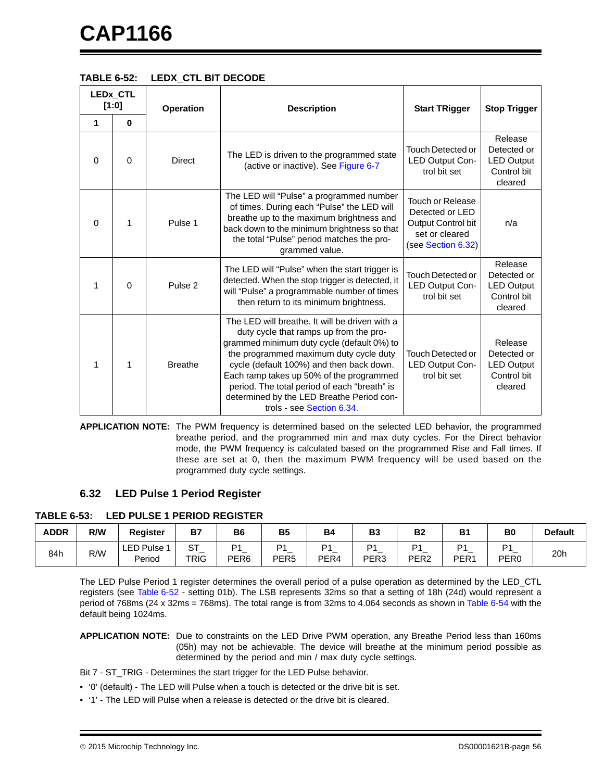|          | LEDx_CTL<br>[1:0] | <b>Operation</b>   | <b>Description</b>                                                                                                                                                                                                                                                                                                                                                                                 | <b>Start TRigger</b>                                                                                     | <b>Stop Trigger</b>                                                   |
|----------|-------------------|--------------------|----------------------------------------------------------------------------------------------------------------------------------------------------------------------------------------------------------------------------------------------------------------------------------------------------------------------------------------------------------------------------------------------------|----------------------------------------------------------------------------------------------------------|-----------------------------------------------------------------------|
| 1        | $\bf{0}$          |                    |                                                                                                                                                                                                                                                                                                                                                                                                    |                                                                                                          |                                                                       |
| $\Omega$ | $\Omega$          | Direct             | The LED is driven to the programmed state<br>(active or inactive). See Figure 6-7                                                                                                                                                                                                                                                                                                                  | Touch Detected or<br>LED Output Con-<br>trol bit set                                                     | Release<br>Detected or<br><b>LED Output</b><br>Control bit<br>cleared |
| 0        | 1                 | Pulse 1            | The LED will "Pulse" a programmed number<br>of times. During each "Pulse" the LED will<br>breathe up to the maximum brightness and<br>back down to the minimum brightness so that<br>the total "Pulse" period matches the pro-<br>grammed value.                                                                                                                                                   | <b>Touch or Release</b><br>Detected or LED<br>Output Control bit<br>set or cleared<br>(see Section 6.32) | n/a                                                                   |
| 1        | $\Omega$          | Pulse <sub>2</sub> | The LED will "Pulse" when the start trigger is<br>detected. When the stop trigger is detected, it<br>will "Pulse" a programmable number of times<br>then return to its minimum brightness.                                                                                                                                                                                                         | Touch Detected or<br>LED Output Con-<br>trol bit set                                                     | Release<br>Detected or<br><b>LED Output</b><br>Control bit<br>cleared |
| 1        | 1                 | <b>Breathe</b>     | The LED will breathe. It will be driven with a<br>duty cycle that ramps up from the pro-<br>grammed minimum duty cycle (default 0%) to<br>the programmed maximum duty cycle duty<br>cycle (default 100%) and then back down.<br>Each ramp takes up 50% of the programmed<br>period. The total period of each "breath" is<br>determined by the LED Breathe Period con-<br>trols - see Section 6.34. | Touch Detected or<br>LED Output Con-<br>trol bit set                                                     | Release<br>Detected or<br><b>LED Output</b><br>Control bit<br>cleared |

### <span id="page-55-0"></span>**TABLE 6-52: LEDX\_CTL BIT DECODE**

**APPLICATION NOTE:** The PWM frequency is determined based on the selected LED behavior, the programmed breathe period, and the programmed min and max duty cycles. For the Direct behavior mode, the PWM frequency is calculated based on the programmed Rise and Fall times. If these are set at 0, then the maximum PWM frequency will be used based on the programmed duty cycle settings.

# <span id="page-55-1"></span>**6.32 LED Pulse 1 Period Register**

**TABLE 6-53: LED PULSE 1 PERIOD REGISTER**

| <b>ADDR</b> | R/W | <b>Register</b>            | D7<br>D.          | <b>B6</b>              | <b>B5</b>                          | B4                                                             | <b>B3</b>                          | <b>B2</b>                          | <b>B1</b>                          | B <sub>0</sub>                     | <b>Default</b> |
|-------------|-----|----------------------------|-------------------|------------------------|------------------------------------|----------------------------------------------------------------|------------------------------------|------------------------------------|------------------------------------|------------------------------------|----------------|
| 84h         | R/W | <b>LED Pulse</b><br>Period | ST<br><b>TRIG</b> | D4<br>PER <sub>6</sub> | D <sub>4</sub><br>PER <sub>5</sub> | D <sub>1</sub><br>$\overline{\phantom{m}}$<br>PER <sub>4</sub> | D <sub>1</sub><br>PER <sub>3</sub> | D <sub>4</sub><br>PER <sub>2</sub> | D <sub>1</sub><br>PER <sub>1</sub> | D <sub>1</sub><br>PER <sub>0</sub> | 20h            |

The LED Pulse Period 1 register determines the overall period of a pulse operation as determined by the LED\_CTL registers (see [Table 6-52](#page-55-0) - setting 01b). The LSB represents 32ms so that a setting of 18h (24d) would represent a period of 768ms (24 x 32ms = 768ms). The total range is from 32ms to 4.064 seconds as shown in [Table 6-54](#page-56-0) with the default being 1024ms.

**APPLICATION NOTE:** Due to constraints on the LED Drive PWM operation, any Breathe Period less than 160ms (05h) may not be achievable. The device will breathe at the minimum period possible as determined by the period and min / max duty cycle settings.

Bit 7 - ST\_TRIG - Determines the start trigger for the LED Pulse behavior.

- '0' (default) The LED will Pulse when a touch is detected or the drive bit is set.
- '1' The LED will Pulse when a release is detected or the drive bit is cleared.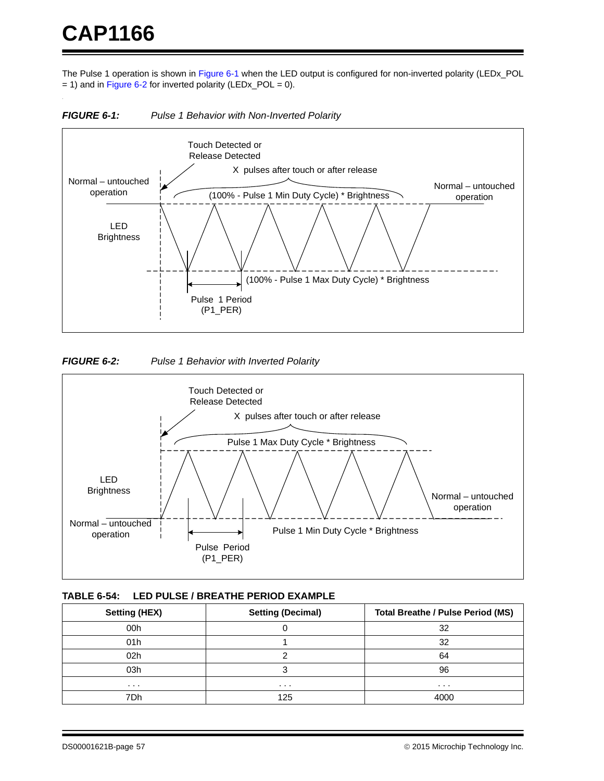The Pulse 1 operation is shown in [Figure 6-1](#page-56-1) when the LED output is configured for non-inverted polarity (LEDx\_POL  $= 1$ ) and in [Figure 6-2](#page-56-2) for inverted polarity (LEDx\_POL = 0).

<span id="page-56-1"></span>



<span id="page-56-2"></span>



### <span id="page-56-0"></span>**TABLE 6-54: LED PULSE / BREATHE PERIOD EXAMPLE**

| <b>Setting (HEX)</b> | <b>Setting (Decimal)</b> | <b>Total Breathe / Pulse Period (MS)</b> |
|----------------------|--------------------------|------------------------------------------|
| 00h                  |                          | 32                                       |
| 01h                  |                          | 32                                       |
| 02 <sub>h</sub>      |                          | 64                                       |
| 03h                  | ີ                        | 96                                       |
| $\cdots$             | $\cdots$                 | $\cdots$                                 |
| 7Dh                  | 125                      | 4000                                     |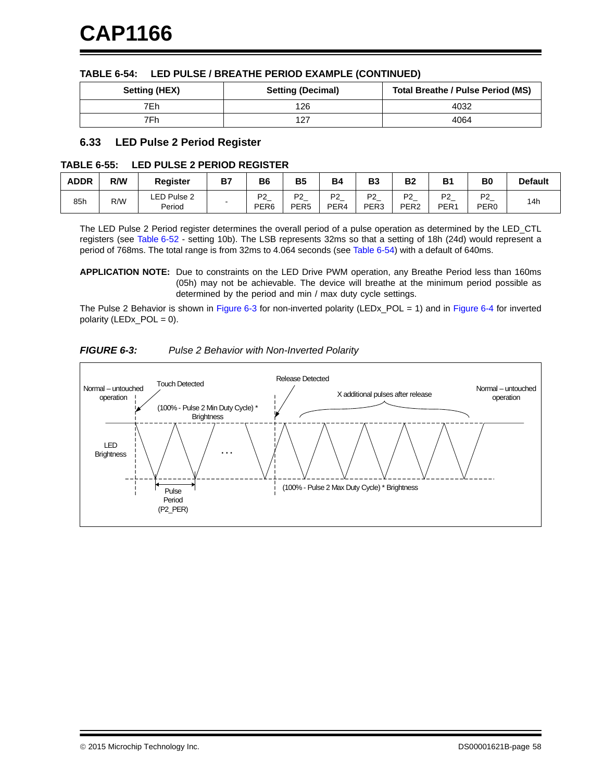# **TABLE 6-54: LED PULSE / BREATHE PERIOD EXAMPLE (CONTINUED)**

| <b>Setting (HEX)</b> | <b>Setting (Decimal)</b> | <b>Total Breathe / Pulse Period (MS)</b> |
|----------------------|--------------------------|------------------------------------------|
| 7Eh.                 | 126                      | 4032                                     |
| 7Fh                  | 127                      | 4064                                     |

# **6.33 LED Pulse 2 Period Register**

### **TABLE 6-55: LED PULSE 2 PERIOD REGISTER**

| <b>ADDR</b> | R/W | Register              | <b>B7</b> | B6                     | B5                     | <b>B4</b>       | <b>B3</b>              | <b>B2</b>              | <b>B1</b>                               | B <sub>0</sub>                  | <b>Default</b> |
|-------------|-----|-----------------------|-----------|------------------------|------------------------|-----------------|------------------------|------------------------|-----------------------------------------|---------------------------------|----------------|
| 85h         | R/W | ∟ED Pulse 2<br>Period | . .       | P2<br>PER <sub>6</sub> | P2<br>PER <sub>5</sub> | פם<br>∼<br>PER4 | P2<br>PER <sub>3</sub> | P2<br>PER <sub>2</sub> | P <sub>2</sub><br>-<br>PER <sub>1</sub> | פס<br>. ∡ _<br>PER <sub>0</sub> | 14h            |

The LED Pulse 2 Period register determines the overall period of a pulse operation as determined by the LED\_CTL registers (see [Table 6-52](#page-55-0) - setting 10b). The LSB represents 32ms so that a setting of 18h (24d) would represent a period of 768ms. The total range is from 32ms to 4.064 seconds (see [Table 6-54](#page-56-0)) with a default of 640ms.

**APPLICATION NOTE:** Due to constraints on the LED Drive PWM operation, any Breathe Period less than 160ms (05h) may not be achievable. The device will breathe at the minimum period possible as determined by the period and min / max duty cycle settings.

The Pulse 2 Behavior is shown in [Figure 6-3](#page-57-0) for non-inverted polarity (LEDx\_POL = 1) and in [Figure 6-4](#page-58-1) for inverted polarity (LEDx\_POL =  $0$ ).



### <span id="page-57-0"></span>*FIGURE 6-3: Pulse 2 Behavior with Non-Inverted Polarity*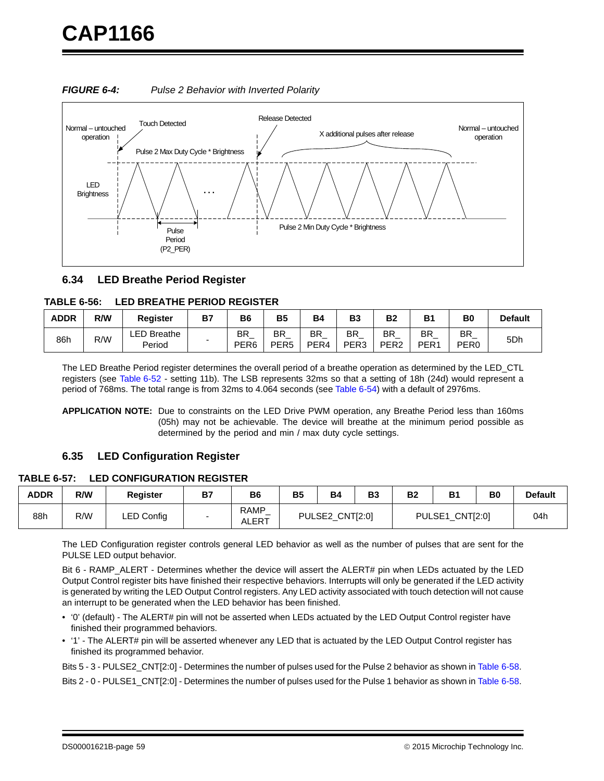<span id="page-58-1"></span>



# <span id="page-58-0"></span>**6.34 LED Breathe Period Register**

|  | <b>TABLE 6-56: LED BREATHE PERIOD REGISTER</b> |
|--|------------------------------------------------|
|--|------------------------------------------------|

| <b>ADDR</b> | R/W | <b>Register</b>       | <b>B7</b> | B <sub>6</sub> | <b>B5</b>                     | <b>B4</b>         | B3                                                        | <b>B2</b>                     | <b>B1</b>               | B <sub>0</sub>                | <b>Default</b> |
|-------------|-----|-----------------------|-----------|----------------|-------------------------------|-------------------|-----------------------------------------------------------|-------------------------------|-------------------------|-------------------------------|----------------|
| 86h         | R/W | ∟ED Breathe<br>Period | -         | BR<br>PER6     | <b>BR</b><br>PER <sub>5</sub> | <b>BR</b><br>PER4 | <b>BR</b><br>$\overline{\phantom{a}}$<br>PER <sub>3</sub> | <b>BR</b><br>PER <sub>2</sub> | BR.<br>PER <sub>1</sub> | <b>BR</b><br>PER <sub>0</sub> | 5Dh            |

The LED Breathe Period register determines the overall period of a breathe operation as determined by the LED\_CTL registers (see [Table 6-52](#page-55-0) - setting 11b). The LSB represents 32ms so that a setting of 18h (24d) would represent a period of 768ms. The total range is from 32ms to 4.064 seconds (see [Table 6-54](#page-56-0)) with a default of 2976ms.

**APPLICATION NOTE:** Due to constraints on the LED Drive PWM operation, any Breathe Period less than 160ms (05h) may not be achievable. The device will breathe at the minimum period possible as determined by the period and min / max duty cycle settings.

# **6.35 LED Configuration Register**

#### **TABLE 6-57: LED CONFIGURATION REGISTER**

| <b>ADDR</b> | R/W | <b>Register</b> | <b>B7</b> | B6                          | <b>B5</b> | <b>B4</b>          | B3       | <b>B2</b>          | B1       | B <sub>0</sub> | <b>Default</b> |
|-------------|-----|-----------------|-----------|-----------------------------|-----------|--------------------|----------|--------------------|----------|----------------|----------------|
| 88h         | R/W | ∟ED Config      |           | <b>RAMP</b><br><b>ALERT</b> |           | PULSE <sub>2</sub> | CNT[2:0] | PULSE <sub>1</sub> | CNT[2:0] |                | 04h            |

The LED Configuration register controls general LED behavior as well as the number of pulses that are sent for the PULSE LED output behavior.

Bit 6 - RAMP\_ALERT - Determines whether the device will assert the ALERT# pin when LEDs actuated by the LED Output Control register bits have finished their respective behaviors. Interrupts will only be generated if the LED activity is generated by writing the LED Output Control registers. Any LED activity associated with touch detection will not cause an interrupt to be generated when the LED behavior has been finished.

- '0' (default) The ALERT# pin will not be asserted when LEDs actuated by the LED Output Control register have finished their programmed behaviors.
- '1' The ALERT# pin will be asserted whenever any LED that is actuated by the LED Output Control register has finished its programmed behavior.

Bits 5 - 3 - PULSE2 CNT[2:0] - Determines the number of pulses used for the Pulse 2 behavior as shown in [Table 6-58](#page-59-0).

Bits 2 - 0 - PULSE1\_CNT[2:0] - Determines the number of pulses used for the Pulse 1 behavior as shown in [Table 6-58](#page-59-0).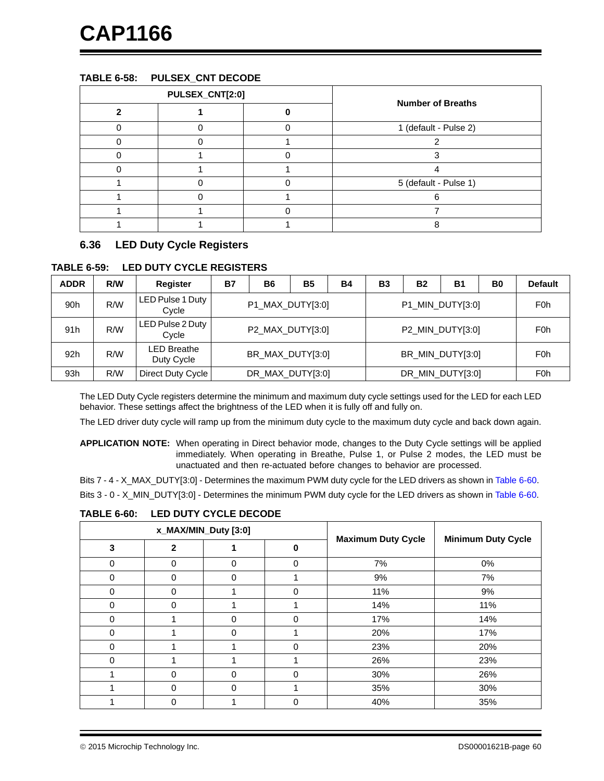### <span id="page-59-0"></span>**TABLE 6-58: PULSEX\_CNT DECODE**

| PULSEX_CNT[2:0] | <b>Number of Breaths</b> |  |  |
|-----------------|--------------------------|--|--|
|                 |                          |  |  |
|                 | 1 (default - Pulse 2)    |  |  |
|                 |                          |  |  |
|                 |                          |  |  |
|                 |                          |  |  |
|                 | 5 (default - Pulse 1)    |  |  |
|                 |                          |  |  |
|                 |                          |  |  |
|                 |                          |  |  |

# **6.36 LED Duty Cycle Registers**

### **TABLE 6-59: LED DUTY CYCLE REGISTERS**

| <b>ADDR</b> | R/W | Register                         | <b>B7</b>                            | B <sub>6</sub> | <b>B5</b> | <b>B4</b>        | B <sub>3</sub>   | <b>B2</b>  | <b>B1</b> | B0         | <b>Default</b> |
|-------------|-----|----------------------------------|--------------------------------------|----------------|-----------|------------------|------------------|------------|-----------|------------|----------------|
| 90h         | R/W | LED Pulse 1 Duty<br>Cycle        | P1_MAX_DUTY[3:0]                     |                |           |                  | P1_MIN_DUTY[3:0] | <b>F0h</b> |           |            |                |
| 91h         | R/W | LED Pulse 2 Duty<br>Cycle        | P2_MAX_DUTY[3:0]                     |                |           | P2_MIN_DUTY[3:0] |                  |            |           | <b>F0h</b> |                |
| 92h         | R/W | <b>LED Breathe</b><br>Duty Cycle | BR_MAX_DUTY[3:0]                     |                |           | BR_MIN_DUTY[3:0] |                  |            |           | <b>F0h</b> |                |
| 93h         | R/W | Direct Duty Cycle                | DR_MAX_DUTY[3:0]<br>DR_MIN_DUTY[3:0] |                |           |                  |                  | F0h        |           |            |                |

The LED Duty Cycle registers determine the minimum and maximum duty cycle settings used for the LED for each LED behavior. These settings affect the brightness of the LED when it is fully off and fully on.

The LED driver duty cycle will ramp up from the minimum duty cycle to the maximum duty cycle and back down again.

**APPLICATION NOTE:** When operating in Direct behavior mode, changes to the Duty Cycle settings will be applied immediately. When operating in Breathe, Pulse 1, or Pulse 2 modes, the LED must be unactuated and then re-actuated before changes to behavior are processed.

Bits 7 - 4 - X\_MAX\_DUTY[3:0] - Determines the maximum PWM duty cycle for the LED drivers as shown in [Table 6-60](#page-59-1). Bits 3 - 0 - X\_MIN\_DUTY[3:0] - Determines the minimum PWM duty cycle for the LED drivers as shown in [Table 6-60](#page-59-1).

| <b>IABLE 6-60:</b> |          | LED DUTY CYCLE DECODE |          |                           |                           |  |
|--------------------|----------|-----------------------|----------|---------------------------|---------------------------|--|
|                    |          | x_MAX/MIN_Duty [3:0]  |          |                           |                           |  |
| 3                  | 2        |                       | 0        | <b>Maximum Duty Cycle</b> | <b>Minimum Duty Cycle</b> |  |
| $\Omega$           | 0        | 0                     | $\Omega$ | 7%                        | 0%                        |  |
| $\Omega$           | 0        | $\Omega$              |          | 9%                        | 7%                        |  |
| 0                  | 0        |                       | 0        | 11%                       | 9%                        |  |
| 0                  | 0        |                       |          | 14%                       | 11%                       |  |
| $\Omega$           |          | $\Omega$              | $\Omega$ | 17%                       | 14%                       |  |
| 0                  |          | 0                     |          | 20%                       | 17%                       |  |
| $\Omega$           |          |                       | $\Omega$ | 23%                       | 20%                       |  |
| 0                  |          |                       |          | 26%                       | 23%                       |  |
|                    | $\Omega$ | 0                     | $\Omega$ | 30%                       | 26%                       |  |
|                    | $\Omega$ | $\Omega$              |          | 35%                       | 30%                       |  |
|                    | ი        |                       | 0        | 40%                       | 35%                       |  |
|                    |          |                       |          |                           |                           |  |

# <span id="page-59-2"></span><span id="page-59-1"></span>**TABLE 6-60: LED DUTY CYCLE DECODE**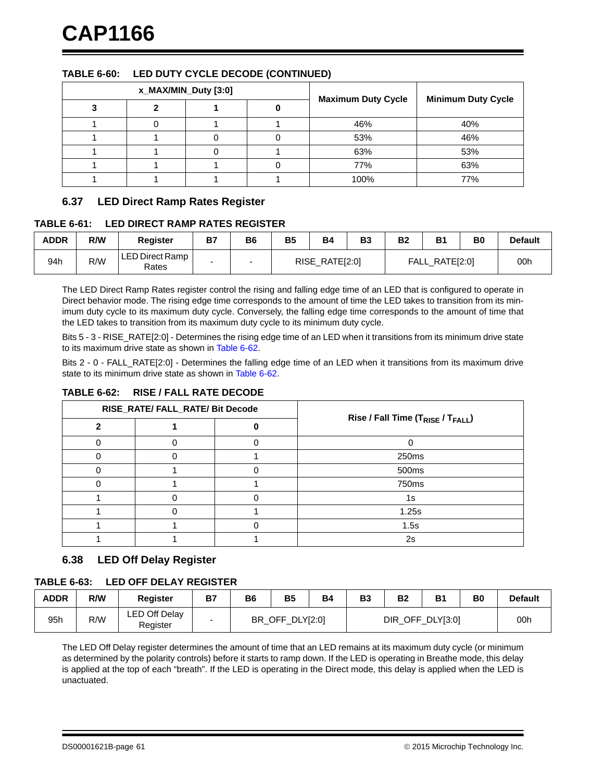|  | x_MAX/MIN_Duty [3:0] |  |                           |                           |
|--|----------------------|--|---------------------------|---------------------------|
|  |                      |  | <b>Maximum Duty Cycle</b> | <b>Minimum Duty Cycle</b> |
|  |                      |  | 46%                       | 40%                       |
|  |                      |  | 53%                       | 46%                       |
|  |                      |  | 63%                       | 53%                       |
|  |                      |  | 77%                       | 63%                       |
|  |                      |  | 100%                      | 77%                       |

### **TABLE 6-60: LED DUTY CYCLE DECODE (CONTINUED)**

# **6.37 LED Direct Ramp Rates Register**

### **TABLE 6-61: LED DIRECT RAMP RATES REGISTER**

| <b>ADDR</b> | R/W | Reaister                 | <b>B7</b> | B6 | <b>B5</b> | Β4             | <b>B3</b> | B <sub>2</sub> | B1             | вc | <b>Default</b> |
|-------------|-----|--------------------------|-----------|----|-----------|----------------|-----------|----------------|----------------|----|----------------|
| 94h         | R/W | LED Direct Ramp<br>Rates |           |    |           | RISE RATE[2:0] |           |                | FALL RATE[2:0] |    | 00h            |

The LED Direct Ramp Rates register control the rising and falling edge time of an LED that is configured to operate in Direct behavior mode. The rising edge time corresponds to the amount of time the LED takes to transition from its minimum duty cycle to its maximum duty cycle. Conversely, the falling edge time corresponds to the amount of time that the LED takes to transition from its maximum duty cycle to its minimum duty cycle.

Bits 5 - 3 - RISE\_RATE[2:0] - Determines the rising edge time of an LED when it transitions from its minimum drive state to its maximum drive state as shown in [Table 6-62.](#page-60-0)

Bits 2 - 0 - FALL\_RATE[2:0] - Determines the falling edge time of an LED when it transitions from its maximum drive state to its minimum drive state as shown in [Table 6-62.](#page-60-0)

| RISE_RATE/ FALL_RATE/ Bit Decode |                                                           |
|----------------------------------|-----------------------------------------------------------|
|                                  | Rise / Fall Time (T <sub>RISE</sub> / T <sub>FALL</sub> ) |
|                                  |                                                           |
|                                  | 250ms                                                     |
|                                  | 500ms                                                     |
|                                  | 750ms                                                     |
|                                  | 1s                                                        |
|                                  | 1.25s                                                     |
|                                  | 1.5s                                                      |
|                                  | 2s                                                        |

# <span id="page-60-0"></span>**TABLE 6-62: RISE / FALL RATE DECODE**

# <span id="page-60-1"></span>**6.38 LED Off Delay Register**

### **TABLE 6-63: LED OFF DELAY REGISTER**

| <b>ADDR</b> | R/W | <b>Register</b>           | <b>B7</b> | B6  | <b>B5</b>        | <b>B4</b> | B3 | <b>B2</b> | B1       | B <sub>0</sub> | <b>Default</b> |
|-------------|-----|---------------------------|-----------|-----|------------------|-----------|----|-----------|----------|----------------|----------------|
| 95h         | R/W | LED Off Delay<br>Register |           | BR. | DLY[2:0]<br>OFF. |           |    | DIR OFF   | DLY[3:0] |                | 00h            |

The LED Off Delay register determines the amount of time that an LED remains at its maximum duty cycle (or minimum as determined by the polarity controls) before it starts to ramp down. If the LED is operating in Breathe mode, this delay is applied at the top of each "breath". If the LED is operating in the Direct mode, this delay is applied when the LED is unactuated.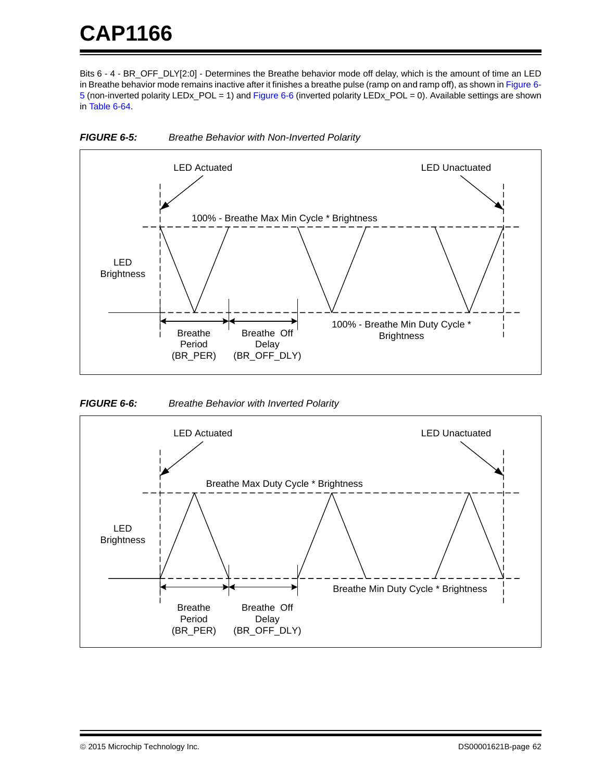# **CAP1166**

Bits 6 - 4 - BR\_OFF\_DLY[2:0] - Determines the Breathe behavior mode off delay, which is the amount of time an LED in Breathe behavior mode remains inactive after it finishes a breathe pulse (ramp on and ramp off), as shown in [Figure 6-](#page-61-0) [5](#page-61-0) (non-inverted polarity LEDx\_POL = 1) and [Figure 6-6](#page-61-1) (inverted polarity LEDx\_POL = 0). Available settings are shown in [Table 6-64](#page-62-1).



<span id="page-61-0"></span>

<span id="page-61-1"></span>

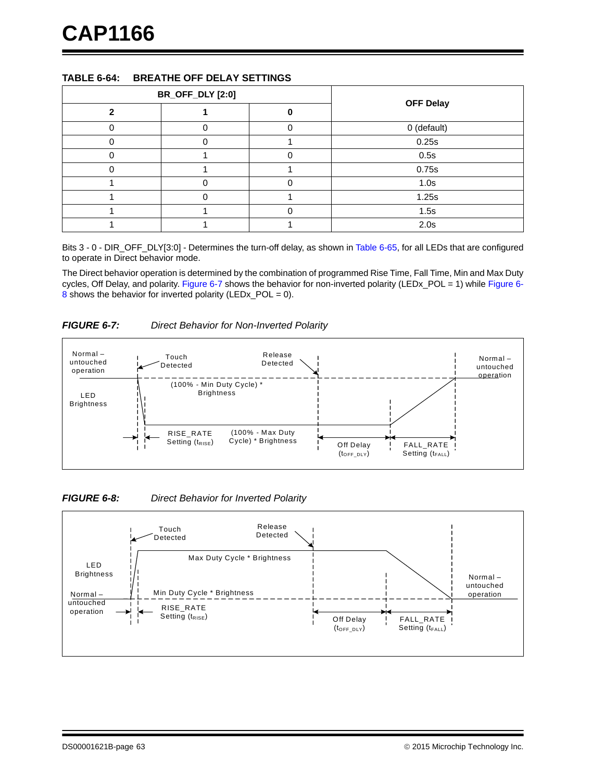### <span id="page-62-1"></span>**TABLE 6-64: BREATHE OFF DELAY SETTINGS**

| <b>BR_OFF_DLY</b> [2:0] | <b>OFF Delay</b> |             |  |  |
|-------------------------|------------------|-------------|--|--|
|                         |                  |             |  |  |
|                         |                  | 0 (default) |  |  |
|                         |                  | 0.25s       |  |  |
|                         |                  | 0.5s        |  |  |
|                         |                  | 0.75s       |  |  |
|                         |                  | 1.0s        |  |  |
|                         |                  | 1.25s       |  |  |
|                         |                  | 1.5s        |  |  |
|                         |                  | 2.0s        |  |  |

Bits 3 - 0 - DIR\_OFF\_DLY[3:0] - Determines the turn-off delay, as shown in [Table 6-65,](#page-63-1) for all LEDs that are configured to operate in Direct behavior mode.

The Direct behavior operation is determined by the combination of programmed Rise Time, Fall Time, Min and Max Duty cycles, Off Delay, and polarity. [Figure 6-7](#page-62-0) shows the behavior for non-inverted polarity (LEDx\_POL = 1) while [Figure 6-](#page-62-2) [8](#page-62-2) shows the behavior for inverted polarity (LEDx\_POL = 0).

### <span id="page-62-0"></span>*FIGURE 6-7: Direct Behavior for Non-Inverted Polarity*



<span id="page-62-2"></span>

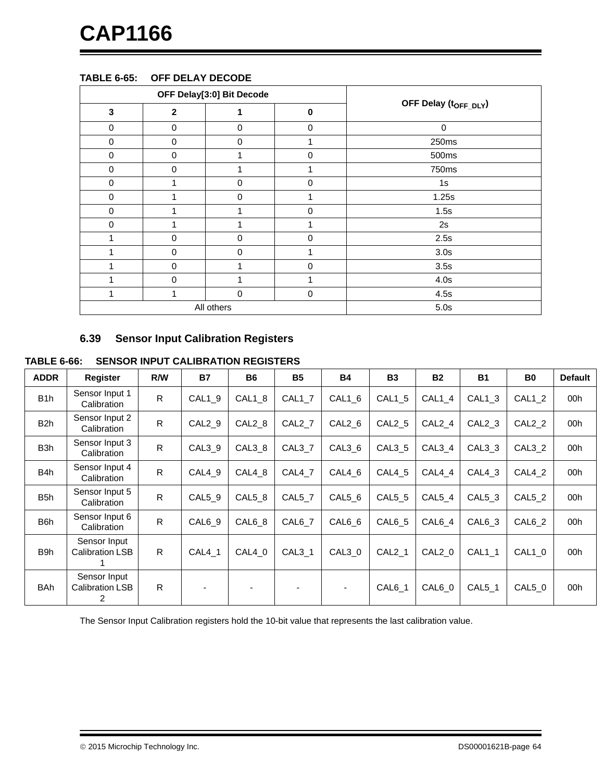# **CAP1166**

|             |                | OFF Delay[3:0] Bit Decode |             |                      |
|-------------|----------------|---------------------------|-------------|----------------------|
| 3           | $\overline{2}$ | 1                         | $\bf{0}$    | OFF Delay (torr_DLY) |
| 0           | 0              | 0                         | $\mathbf 0$ | $\mathbf 0$          |
| 0           | $\Omega$       | 0                         |             | 250ms                |
| $\Omega$    | $\Omega$       |                           | $\Omega$    | 500ms                |
| 0           | $\mathbf 0$    |                           |             | 750ms                |
| $\mathbf 0$ |                | 0                         | $\Omega$    | 1s                   |
| 0           |                | 0                         |             | 1.25s                |
| $\Omega$    |                | 1                         | $\Omega$    | 1.5s                 |
| 0           |                |                           |             | 2s                   |
|             | $\Omega$       | 0                         | $\Omega$    | 2.5s                 |
|             | $\Omega$       | 0                         |             | 3.0 <sub>s</sub>     |
|             | $\Omega$       |                           | $\Omega$    | 3.5s                 |
|             | $\Omega$       | 1                         |             | 4.0s                 |
|             |                | 0                         | $\mathbf 0$ | 4.5s                 |
|             |                | All others                | 5.0s        |                      |

# <span id="page-63-1"></span>**TABLE 6-65: OFF DELAY DECODE**

# <span id="page-63-0"></span>**6.39 Sensor Input Calibration Registers**

**TABLE 6-66: SENSOR INPUT CALIBRATION REGISTERS**

| <b>ADDR</b>      | Register                                    | R/W          | <b>B7</b>         | <b>B6</b> | <b>B5</b> | <b>B4</b>         | <b>B3</b>          | <b>B2</b> | <b>B1</b>           | B <sub>0</sub> | <b>Default</b> |
|------------------|---------------------------------------------|--------------|-------------------|-----------|-----------|-------------------|--------------------|-----------|---------------------|----------------|----------------|
| B <sub>1</sub> h | Sensor Input 1<br>Calibration               | R            | CAL1_9            | CAL1_8    | CAL1_7    | CAL1 <sub>6</sub> | $CAL1_5$           | $CAL1_4$  | CAL1 3              | $CAL1_2$       | 00h            |
| B <sub>2</sub> h | Sensor Input 2<br>Calibration               | R            | CAL2_9            | CAL2_8    | CAL2_7    | CAL2_6            | CAL <sub>2</sub> 5 | CAL2_4    | CAL <sub>2</sub> _3 | CAL2_2         | 00h            |
| B <sub>3</sub> h | Sensor Input 3<br>Calibration               | $\mathsf{R}$ | CAL3 <sub>9</sub> | CAL3_8    | CAL3_7    | CAL3_6            | CAL <sub>3</sub> 5 | CAL3_4    | $CAL3_3$            | $CAL3_2$       | 00h            |
| B <sub>4</sub> h | Sensor Input 4<br>Calibration               | R            | CAL4_9            | CAL4_8    | CAL4_7    | CAL4_6            | CAL4_5             | CAL4_4    | CAL4 3              | CAL4_2         | 00h            |
| B <sub>5</sub> h | Sensor Input 5<br>Calibration               | R            | CAL5 <sub>9</sub> | CAL5_8    | CAL5_7    | CAL5_6            | CAL5_5             | CAL5_4    | CAL5_3              | CAL5_2         | 00h            |
| B <sub>6</sub> h | Sensor Input 6<br>Calibration               | R            | CAL6 <sub>9</sub> | CAL6_8    | CAL6_7    | CAL6 <sub>6</sub> | CAL6 <sub>5</sub>  | CAL6_4    | CAL6 <sub>3</sub>   | CAL6_2         | 00h            |
| B <sub>9</sub> h | Sensor Input<br><b>Calibration LSB</b>      | R.           | CAL4 1            | CAL4_0    | $CAL3_1$  | CAL3_0            | CAL <sub>2_1</sub> | CAL2_0    | $CAL1_1$            | CAL1_0         | 00h            |
| <b>BAh</b>       | Sensor Input<br><b>Calibration LSB</b><br>2 | R.           |                   |           |           |                   | CAL6_1             | CAL6_0    | CAL5_1              | CAL5_0         | 00h            |

The Sensor Input Calibration registers hold the 10-bit value that represents the last calibration value.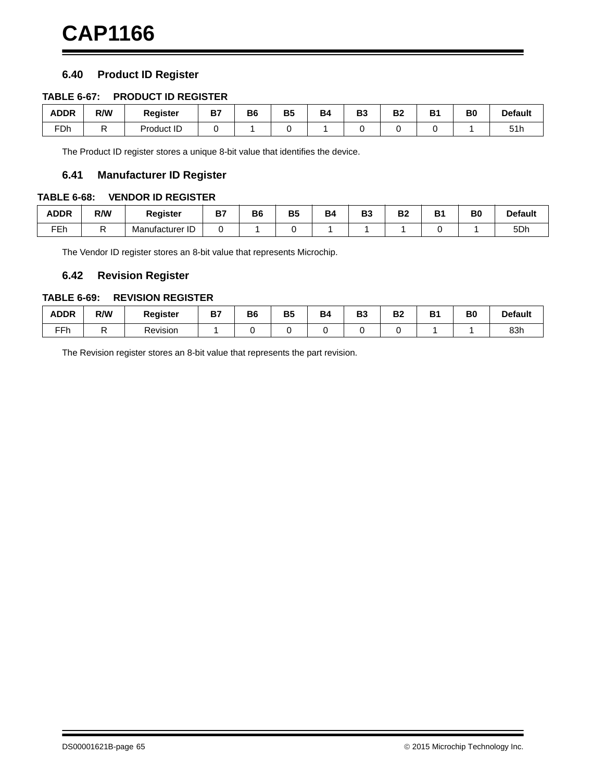# **6.40 Product ID Register**

### **TABLE 6-67: PRODUCT ID REGISTER**

| ADDR | R/W | Register   | D7<br>D | B6 | <b>B5</b> | <b>B4</b> | <b>B3</b> | D'<br>DŁ | D,<br>D | B <sub>0</sub> | <b>Default</b>   |
|------|-----|------------|---------|----|-----------|-----------|-----------|----------|---------|----------------|------------------|
| FDh. |     | Product ID |         |    |           |           |           |          |         |                | $-1h$<br>ا ا ا ت |

The Product ID register stores a unique 8-bit value that identifies the device.

### **6.41 Manufacturer ID Register**

### **TABLE 6-68: VENDOR ID REGISTER**

| <b>ADDR</b>     | R/W | Register           | D7<br>D, | B <sub>6</sub> | Β5 | <b>B4</b> | D.<br>DЈ | D.<br>DZ | B1 | B0 | <b>Default</b> |
|-----------------|-----|--------------------|----------|----------------|----|-----------|----------|----------|----|----|----------------|
| <b>CEW</b><br>∟ |     | ID<br>Manufacturer |          |                |    |           |          |          |    |    | 5Dh            |

The Vendor ID register stores an 8-bit value that represents Microchip.

### **6.42 Revision Register**

### **TABLE 6-69: REVISION REGISTER**

| <b>ADDR</b> | R/W | Register | n,<br>D, | B <sub>6</sub> | <b>B5</b> | <b>B4</b> | D0<br>DЈ | D.<br>D4 | D. | B0 | <b>Default</b> |
|-------------|-----|----------|----------|----------------|-----------|-----------|----------|----------|----|----|----------------|
| FFh         |     | Revision |          |                |           |           |          |          |    |    | 83h            |

The Revision register stores an 8-bit value that represents the part revision.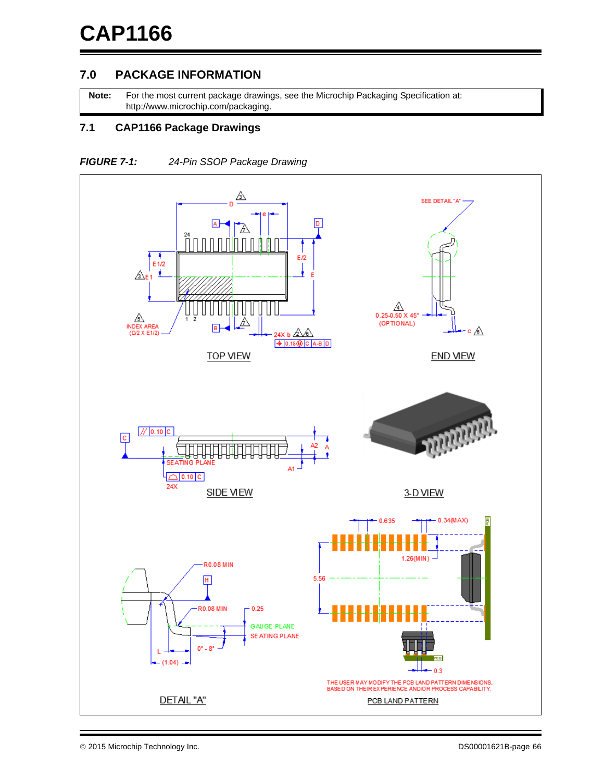# **CAP1166**

# **7.0 PACKAGE INFORMATION**

**Note:** For the most current package drawings, see the Microchip Packaging Specification at: http://www.microchip.com/packaging.

# **7.1 CAP1166 Package Drawings**



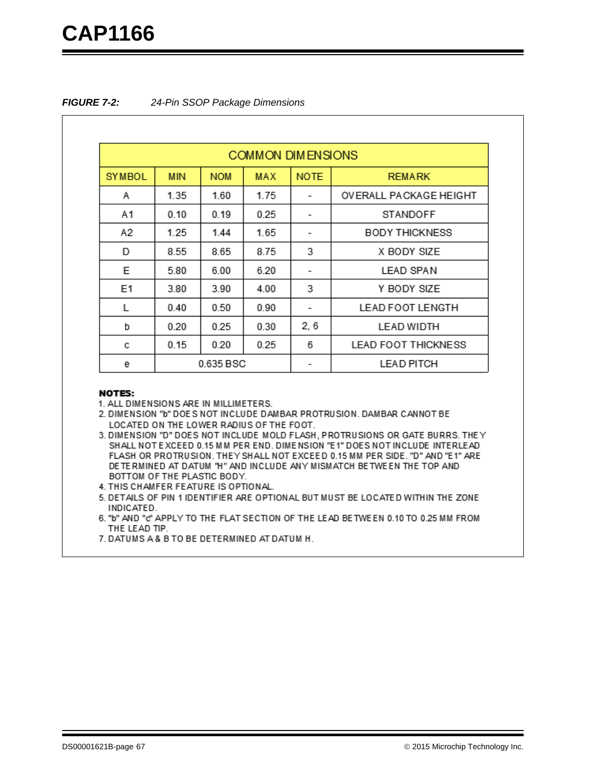|               |            |            | <b>COMMON DIMENSIONS</b> |             |                            |
|---------------|------------|------------|--------------------------|-------------|----------------------------|
| <b>SYMBOL</b> | <b>MIN</b> | <b>NOM</b> | <b>MAX</b>               | <b>NOTE</b> | <b>REMARK</b>              |
| Α             | 1.35       | 1.60       | 1.75                     | -           | OVERALL PACKAGE HEIGHT     |
| A1            | 0.10       | 0.19       | 0.25                     |             | <b>STANDOFF</b>            |
| A2            | 1.25       | 1.44       | 1.65                     | -           | <b>BODY THICKNESS</b>      |
| D             | 8.55       | 8.65       | 8.75                     | 3           | X BODY SIZE                |
| E             | 5.80       | 6.00       | 6.20                     |             | LEAD SPAN                  |
| E1            | 3.80       | 3.90       | 4.00                     | 3           | Y BODY SIZE                |
| L             | 0.40       | 0.50       | 0.90                     |             | <b>LEAD FOOT LENGTH</b>    |
| b             | 0.20       | 0.25       | 0.30                     | 2, 6        | LEAD WIDTH                 |
| C             | 0.15       | 0.20       | 0.25                     | 6           | <b>LEAD FOOT THICKNESS</b> |
| е             |            | 0.635 BSC  |                          | ۰           | <b>LEAD PITCH</b>          |

# *FIGURE 7-2: 24-Pin SSOP Package Dimensions*

### **NOTES:**

1. ALL DIMENSIONS ARE IN MILLIMETERS.

- 2. DIMENSION "b" DOES NOT INCLUDE DAMBAR PROTRUSION. DAMBAR CANNOT BE LOCATED ON THE LOWER RADIUS OF THE FOOT.
- 3. DIMENSION "D" DOES NOT INCLUDE MOLD FLASH, PROTRUSIONS OR GATE BURRS. THE Y SHALL NOT EXCEED 0.15 MM PER END. DIMENSION "E1" DOES NOT INCLUDE INTERLEAD FLASH OR PROTRUSION. THEY SHALL NOT EXCEED 0.15 MM PER SIDE. "D" AND "E1" ARE DETERMINED AT DATUM "H" AND INCLUDE ANY MISMATCH BETWEEN THE TOP AND BOTTOM OF THE PLASTIC BODY.
- 4. THIS CHAMFER FEATURE IS OPTIONAL.
- 5. DETAILS OF PIN 1 IDENTIFIER ARE OPTIONAL BUT MUST BE LOCATED WITHIN THE ZONE INDICATED.
- 6. "b" AND "c" APPLY TO THE FLAT SECTION OF THE LEAD BETWEEN 0.10 TO 0.25 MM FROM THE LEAD TIP.
- 7. DATUMS A & B TO BE DETERMINED AT DATUM H.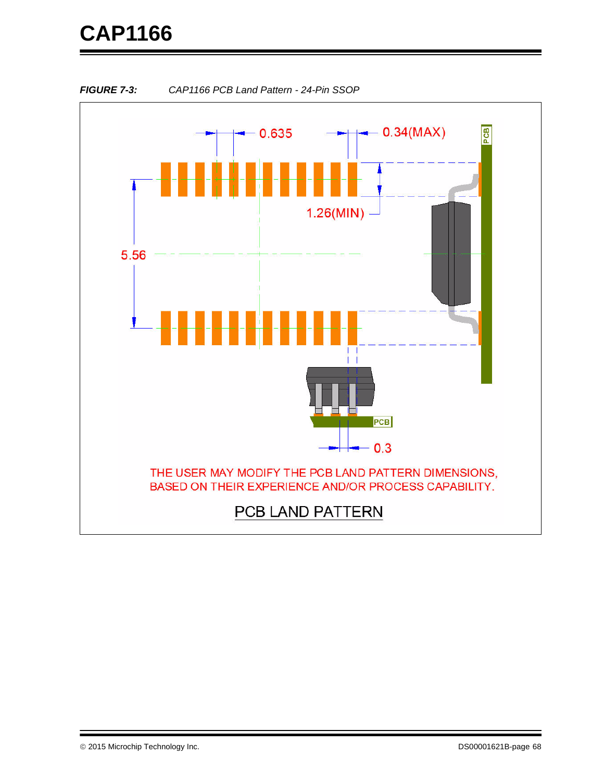

### *FIGURE 7-3: CAP1166 PCB Land Pattern - 24-Pin SSOP*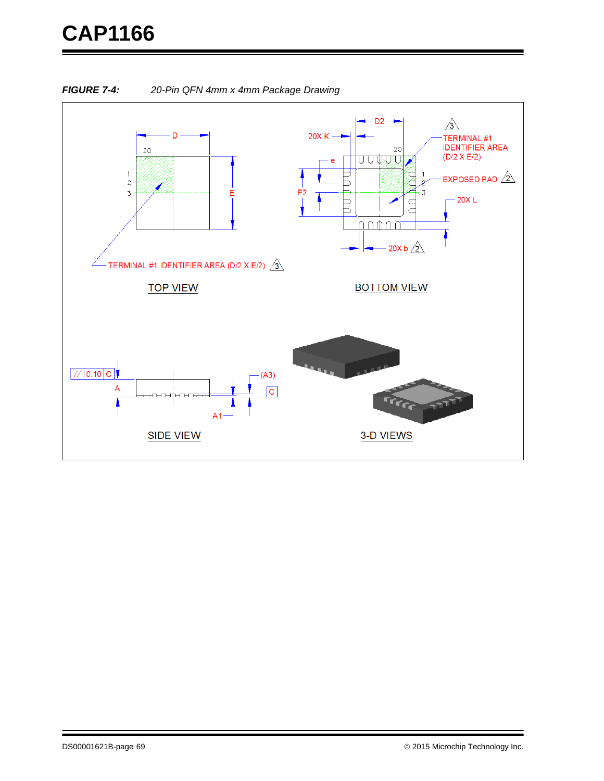

# *FIGURE 7-4: 20-Pin QFN 4mm x 4mm Package Drawing*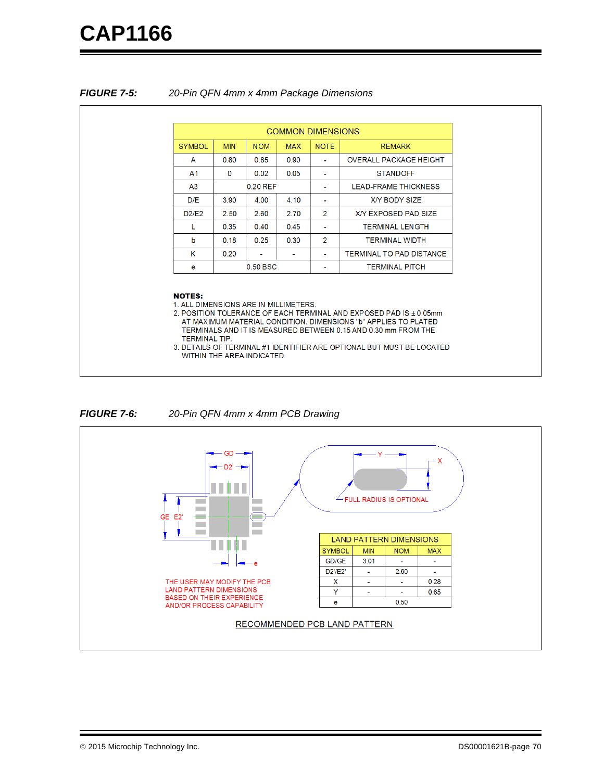|                                                                                |              |            | <b>COMMON DIMENSIONS</b> |                |                                                                                                                                                                                                                                                                                  |
|--------------------------------------------------------------------------------|--------------|------------|--------------------------|----------------|----------------------------------------------------------------------------------------------------------------------------------------------------------------------------------------------------------------------------------------------------------------------------------|
| <b>SYMBOL</b>                                                                  | <b>MIN</b>   | <b>NOM</b> | <b>MAX</b>               | <b>NOTE</b>    | <b>REMARK</b>                                                                                                                                                                                                                                                                    |
| $\Lambda$                                                                      | 0.80         | 0.85       | 0.90                     | $\sim$         | <b>OVERALL PACKAGE HEIGHT</b>                                                                                                                                                                                                                                                    |
| A <sub>1</sub>                                                                 | $\mathbf{0}$ | 0.02       | 0.05                     | ٠              | <b>STANDOFF</b>                                                                                                                                                                                                                                                                  |
| A <sub>3</sub>                                                                 |              | 0.20 REF   |                          |                | <b>LEAD-FRAME THICKNESS</b>                                                                                                                                                                                                                                                      |
| D/E                                                                            | 3.90         | 4.00       | 4.10                     | ٠              | <b>X/Y BODY SIZE</b>                                                                                                                                                                                                                                                             |
| D2/E2                                                                          | 2.50         | 2.60       | 2.70                     | $\overline{2}$ | X/Y EXPOSED PAD SIZE                                                                                                                                                                                                                                                             |
| L                                                                              | 0.35         | 0.40       | 0.45                     | ÷              | <b>TERMINAL LENGTH</b>                                                                                                                                                                                                                                                           |
| b                                                                              | 0.18         | 0.25       | 0.30                     | $\overline{2}$ | <b>TERMINAL WIDTH</b>                                                                                                                                                                                                                                                            |
| K                                                                              | 0.20         | ۰          | $\blacksquare$           | ÷.             | <b>TERMINAL TO PAD DISTANCE</b>                                                                                                                                                                                                                                                  |
| е                                                                              |              | 0.50 BSC   |                          | ÷,             | <b>TERMINAL PITCH</b>                                                                                                                                                                                                                                                            |
| <b>NOTES:</b><br>1. ALL DIMENSIONS ARE IN MILLIMETERS.<br><b>TERMINAL TIP.</b> |              |            |                          |                | 2. POSITION TOLERANCE OF EACH TERMINAL AND EXPOSED PAD IS ± 0.05mm<br>AT MAXIMUM MATERIAL CONDITION. DIMENSIONS "b" APPLIES TO PLATED<br>TERMINALS AND IT IS MEASURED BETWEEN 0.15 AND 0.30 mm FROM THE<br>3. DETAILS OF TERMINAL #1 IDENTIFIER ARE OPTIONAL BUT MUST BE LOCATED |

### *FIGURE 7-5: 20-Pin QFN 4mm x 4mm Package Dimensions*



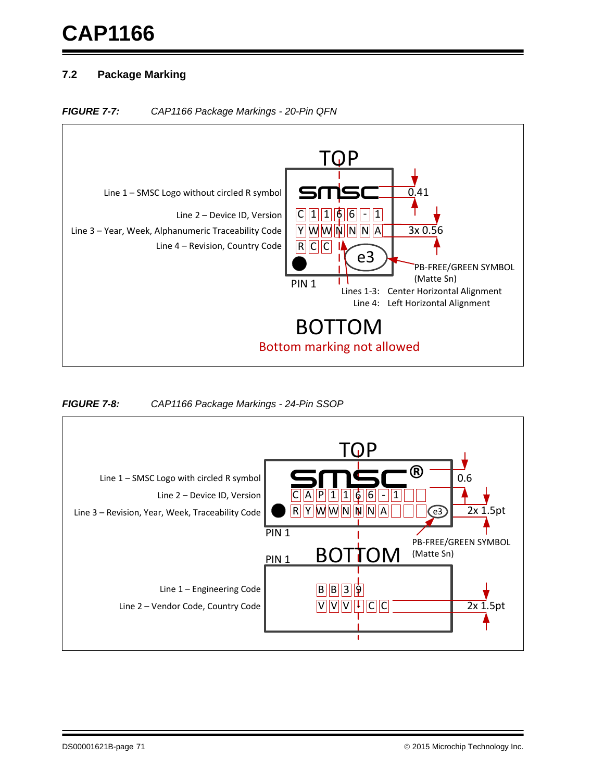# **CAP1166**

# **7.2 Package Marking**





# *FIGURE 7-8: CAP1166 Package Markings - 24-Pin SSOP*

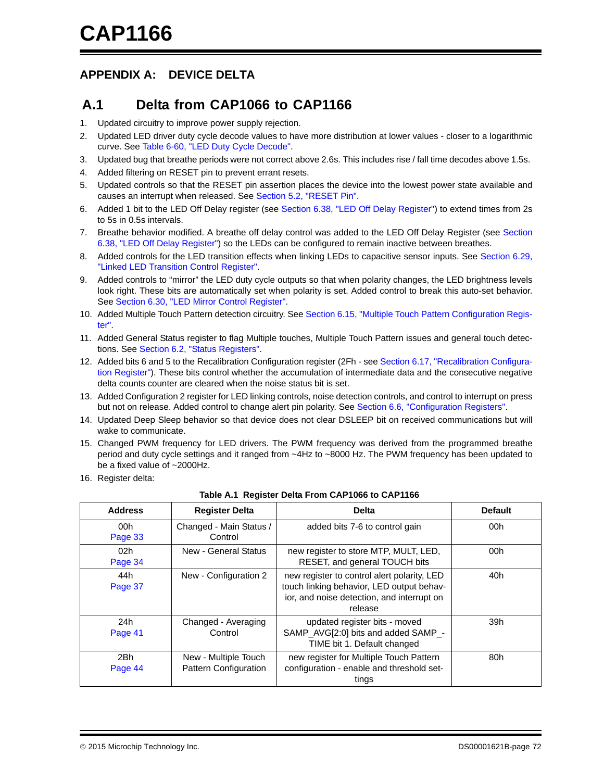# **APPENDIX A: DEVICE DELTA**

# **A.1 Delta from CAP1066 to CAP1166**

- 1. Updated circuitry to improve power supply rejection.
- 2. Updated LED driver duty cycle decode values to have more distribution at lower values closer to a logarithmic curve. See [Table 6-60, "LED Duty Cycle Decode".](#page-59-2)
- 3. Updated bug that breathe periods were not correct above 2.6s. This includes rise / fall time decodes above 1.5s.
- 4. Added filtering on RESET pin to prevent errant resets.
- 5. Updated controls so that the RESET pin assertion places the device into the lowest power state available and causes an interrupt when released. See [Section 5.2, "RESET Pin".](#page-25-0)
- 6. Added 1 bit to the LED Off Delay register (see [Section 6.38, "LED Off Delay Register"\)](#page-60-1) to extend times from 2s to 5s in 0.5s intervals.
- 7. Breathe behavior modified. A breathe off delay control was added to the LED Off Delay Register (see [Section](#page-60-1) [6.38, "LED Off Delay Register"](#page-60-1)) so the LEDs can be configured to remain inactive between breathes.
- 8. Added controls for the LED transition effects when linking LEDs to capacitive sensor inputs. See [Section 6.29,](#page-52-2) ["Linked LED Transition Control Register".](#page-52-2)
- 9. Added controls to "mirror" the LED duty cycle outputs so that when polarity changes, the LED brightness levels look right. These bits are automatically set when polarity is set. Added control to break this auto-set behavior. See [Section 6.30, "LED Mirror Control Register".](#page-53-1)
- 10. Added Multiple Touch Pattern detection circuitry. See [Section 6.15, "Multiple Touch Pattern Configuration Regis](#page-43-2)[ter".](#page-43-2)
- 11. Added General Status register to flag Multiple touches, Multiple Touch Pattern issues and general touch detections. See [Section 6.2, "Status Registers"](#page-33-0).
- 12. Added bits 6 and 5 to the Recalibration Configuration register (2Fh see [Section 6.17, "Recalibration Configura](#page-44-1)[tion Register"\)](#page-44-1). These bits control whether the accumulation of intermediate data and the consecutive negative delta counts counter are cleared when the noise status bit is set.
- 13. Added Configuration 2 register for LED linking controls, noise detection controls, and control to interrupt on press but not on release. Added control to change alert pin polarity. See [Section 6.6, "Configuration Registers"](#page-36-1).
- 14. Updated Deep Sleep behavior so that device does not clear DSLEEP bit on received communications but will wake to communicate.
- 15. Changed PWM frequency for LED drivers. The PWM frequency was derived from the programmed breathe period and duty cycle settings and it ranged from ~4Hz to ~8000 Hz. The PWM frequency has been updated to be a fixed value of ~2000Hz.
- 16. Register delta:

| <b>Address</b>             | <b>Register Delta</b>                         | <b>Delta</b>                                                                                                                                      | <b>Default</b> |
|----------------------------|-----------------------------------------------|---------------------------------------------------------------------------------------------------------------------------------------------------|----------------|
| 00 <sub>h</sub><br>Page 33 | Changed - Main Status /<br>Control            | added bits 7-6 to control gain                                                                                                                    | 00h            |
| 02 <sub>h</sub><br>Page 34 | New - General Status                          | new register to store MTP, MULT, LED,<br>RESET, and general TOUCH bits                                                                            | 00h            |
| 44h<br>Page 37             | New - Configuration 2                         | new register to control alert polarity, LED<br>touch linking behavior, LED output behav-<br>ior, and noise detection, and interrupt on<br>release | 40h            |
| 24h<br>Page 41             | Changed - Averaging<br>Control                | updated register bits - moved<br>SAMP_AVG[2:0] bits and added SAMP_-<br>TIME bit 1. Default changed                                               | 39h            |
| 2Bh<br>Page 44             | New - Multiple Touch<br>Pattern Configuration | new register for Multiple Touch Pattern<br>configuration - enable and threshold set-<br>tings                                                     | 80h            |

**Table A.1 Register Delta From CAP1066 to CAP1166**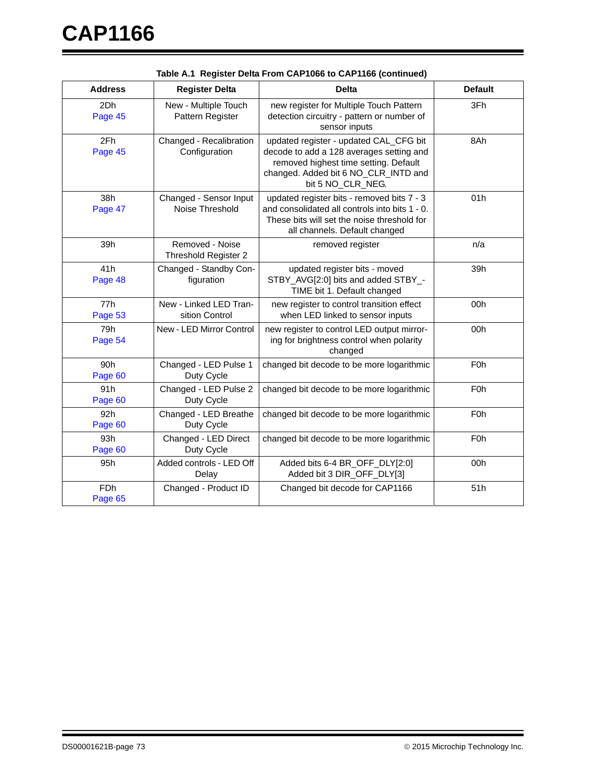| <b>Address</b> | <b>Register Delta</b>                          | <b>Delta</b>                                                                                                                                                                             | <b>Default</b>   |
|----------------|------------------------------------------------|------------------------------------------------------------------------------------------------------------------------------------------------------------------------------------------|------------------|
| 2Dh<br>Page 45 | New - Multiple Touch<br>Pattern Register       | new register for Multiple Touch Pattern<br>detection circuitry - pattern or number of<br>sensor inputs                                                                                   | 3Fh              |
| 2Fh<br>Page 45 | Changed - Recalibration<br>Configuration       | updated register - updated CAL_CFG bit<br>decode to add a 128 averages setting and<br>removed highest time setting. Default<br>changed. Added bit 6 NO_CLR_INTD and<br>bit 5 NO_CLR_NEG. | 8Ah              |
| 38h<br>Page 47 | Changed - Sensor Input<br>Noise Threshold      | updated register bits - removed bits 7 - 3<br>and consolidated all controls into bits 1 - 0.<br>These bits will set the noise threshold for<br>all channels. Default changed             | 01h              |
| 39h            | Removed - Noise<br><b>Threshold Register 2</b> | removed register                                                                                                                                                                         | n/a              |
| 41h<br>Page 48 | Changed - Standby Con-<br>figuration           | updated register bits - moved<br>STBY_AVG[2:0] bits and added STBY_-<br>TIME bit 1. Default changed                                                                                      | 39h              |
| 77h<br>Page 53 | New - Linked LED Tran-<br>sition Control       | new register to control transition effect<br>when LED linked to sensor inputs                                                                                                            | 00h              |
| 79h<br>Page 54 | New - LED Mirror Control                       | new register to control LED output mirror-<br>ing for brightness control when polarity<br>changed                                                                                        | 00h              |
| 90h<br>Page 60 | Changed - LED Pulse 1<br>Duty Cycle            | changed bit decode to be more logarithmic                                                                                                                                                | <b>F0h</b>       |
| 91h<br>Page 60 | Changed - LED Pulse 2<br>Duty Cycle            | changed bit decode to be more logarithmic                                                                                                                                                | <b>F0h</b>       |
| 92h<br>Page 60 | Changed - LED Breathe<br>Duty Cycle            | changed bit decode to be more logarithmic                                                                                                                                                | F <sub>0</sub> h |
| 93h<br>Page 60 | Changed - LED Direct<br>Duty Cycle             | changed bit decode to be more logarithmic                                                                                                                                                | <b>F0h</b>       |
| 95h            | Added controls - LED Off<br>Delay              | Added bits 6-4 BR_OFF_DLY[2:0]<br>Added bit 3 DIR_OFF_DLY[3]                                                                                                                             | 00h              |
| FDh<br>Page 65 | Changed - Product ID                           | Changed bit decode for CAP1166                                                                                                                                                           | 51h              |

#### **Table A.1 Register Delta From CAP1066 to CAP1166 (continued)**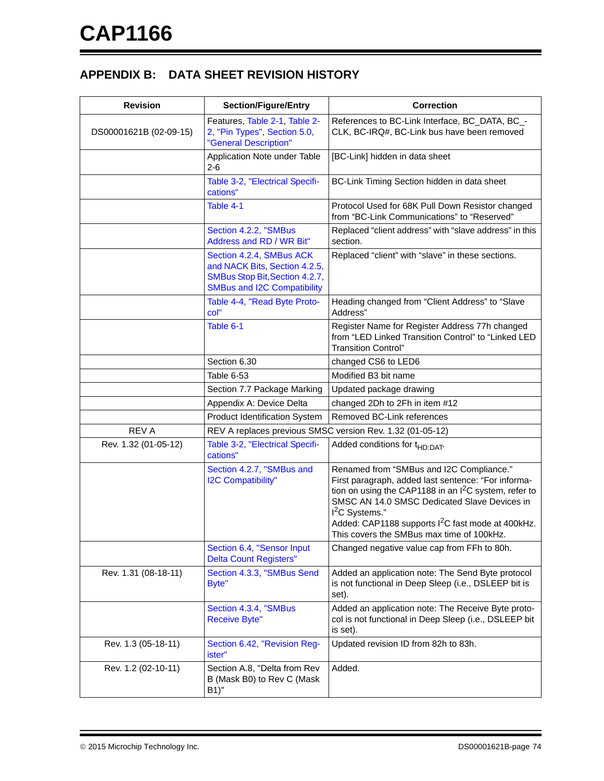### **APPENDIX B: DATA SHEET REVISION HISTORY**

| <b>Revision</b>        | <b>Section/Figure/Entry</b>                                                                                                       | <b>Correction</b>                                                                                                                                                                                                                                                                                                                                      |
|------------------------|-----------------------------------------------------------------------------------------------------------------------------------|--------------------------------------------------------------------------------------------------------------------------------------------------------------------------------------------------------------------------------------------------------------------------------------------------------------------------------------------------------|
| DS00001621B (02-09-15) | Features, Table 2-1, Table 2-<br>2, "Pin Types", Section 5.0,<br>"General Description"                                            | References to BC-Link Interface, BC_DATA, BC_-<br>CLK, BC-IRQ#, BC-Link bus have been removed                                                                                                                                                                                                                                                          |
|                        | Application Note under Table<br>$2 - 6$                                                                                           | [BC-Link] hidden in data sheet                                                                                                                                                                                                                                                                                                                         |
|                        | Table 3-2, "Electrical Specifi-<br>cations"                                                                                       | BC-Link Timing Section hidden in data sheet                                                                                                                                                                                                                                                                                                            |
|                        | Table 4-1                                                                                                                         | Protocol Used for 68K Pull Down Resistor changed<br>from "BC-Link Communications" to "Reserved"                                                                                                                                                                                                                                                        |
|                        | Section 4.2.2, "SMBus<br>Address and RD / WR Bit"                                                                                 | Replaced "client address" with "slave address" in this<br>section.                                                                                                                                                                                                                                                                                     |
|                        | Section 4.2.4, SMBus ACK<br>and NACK Bits, Section 4.2.5,<br>SMBus Stop Bit, Section 4.2.7,<br><b>SMBus and I2C Compatibility</b> | Replaced "client" with "slave" in these sections.                                                                                                                                                                                                                                                                                                      |
|                        | Table 4-4, "Read Byte Proto-<br>col"                                                                                              | Heading changed from "Client Address" to "Slave<br>Address"                                                                                                                                                                                                                                                                                            |
|                        | Table 6-1                                                                                                                         | Register Name for Register Address 77h changed<br>from "LED Linked Transition Control" to "Linked LED<br><b>Transition Control"</b>                                                                                                                                                                                                                    |
|                        | Section 6.30                                                                                                                      | changed CS6 to LED6                                                                                                                                                                                                                                                                                                                                    |
|                        | Table 6-53                                                                                                                        | Modified B3 bit name                                                                                                                                                                                                                                                                                                                                   |
|                        | Section 7.7 Package Marking                                                                                                       | Updated package drawing                                                                                                                                                                                                                                                                                                                                |
|                        | Appendix A: Device Delta                                                                                                          | changed 2Dh to 2Fh in item #12                                                                                                                                                                                                                                                                                                                         |
|                        | <b>Product Identification System</b>                                                                                              | Removed BC-Link references                                                                                                                                                                                                                                                                                                                             |
| <b>REVA</b>            |                                                                                                                                   | REV A replaces previous SMSC version Rev. 1.32 (01-05-12)                                                                                                                                                                                                                                                                                              |
| Rev. 1.32 (01-05-12)   | Table 3-2, "Electrical Specifi-<br>cations"                                                                                       | Added conditions for t <sub>HD:DAT</sub> .                                                                                                                                                                                                                                                                                                             |
|                        | Section 4.2.7, "SMBus and<br><b>I2C Compatibility"</b>                                                                            | Renamed from "SMBus and I2C Compliance."<br>First paragraph, added last sentence: "For informa-<br>tion on using the CAP1188 in an $I^2C$ system, refer to<br>SMSC AN 14.0 SMSC Dedicated Slave Devices in<br>I <sup>2</sup> C Systems."<br>Added: CAP1188 supports I <sup>2</sup> C fast mode at 400kHz.<br>This covers the SMBus max time of 100kHz. |
|                        | Section 6.4, "Sensor Input<br><b>Delta Count Registers"</b>                                                                       | Changed negative value cap from FFh to 80h.                                                                                                                                                                                                                                                                                                            |
| Rev. 1.31 (08-18-11)   | Section 4.3.3, "SMBus Send<br>Byte"                                                                                               | Added an application note: The Send Byte protocol<br>is not functional in Deep Sleep (i.e., DSLEEP bit is<br>set).                                                                                                                                                                                                                                     |
|                        | Section 4.3.4, "SMBus<br><b>Receive Byte"</b>                                                                                     | Added an application note: The Receive Byte proto-<br>col is not functional in Deep Sleep (i.e., DSLEEP bit<br>is set).                                                                                                                                                                                                                                |
| Rev. 1.3 (05-18-11)    | Section 6.42, "Revision Reg-<br>ister"                                                                                            | Updated revision ID from 82h to 83h.                                                                                                                                                                                                                                                                                                                   |
| Rev. 1.2 (02-10-11)    | Section A.8, "Delta from Rev<br>B (Mask B0) to Rev C (Mask<br>B1)"                                                                | Added.                                                                                                                                                                                                                                                                                                                                                 |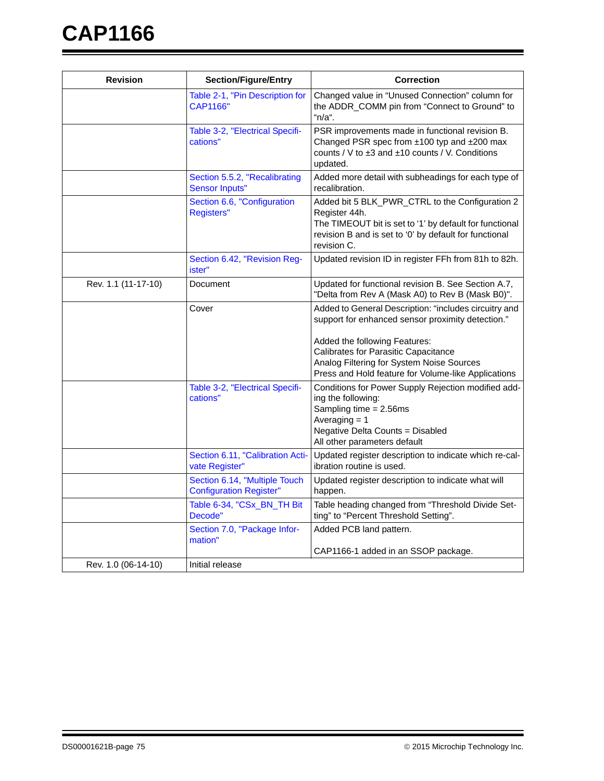# **CAP1166**

| <b>Revision</b>     | <b>Section/Figure/Entry</b>                                     | <b>Correction</b>                                                                                                                                                                                                                                                                       |
|---------------------|-----------------------------------------------------------------|-----------------------------------------------------------------------------------------------------------------------------------------------------------------------------------------------------------------------------------------------------------------------------------------|
|                     | Table 2-1, "Pin Description for<br><b>CAP1166"</b>              | Changed value in "Unused Connection" column for<br>the ADDR_COMM pin from "Connect to Ground" to<br>"n/a".                                                                                                                                                                              |
|                     | Table 3-2, "Electrical Specifi-<br>cations"                     | PSR improvements made in functional revision B.<br>Changed PSR spec from ±100 typ and ±200 max<br>counts / V to $\pm 3$ and $\pm 10$ counts / V. Conditions<br>updated.                                                                                                                 |
|                     | Section 5.5.2, "Recalibrating<br><b>Sensor Inputs"</b>          | Added more detail with subheadings for each type of<br>recalibration.                                                                                                                                                                                                                   |
|                     | Section 6.6, "Configuration<br>Registers"                       | Added bit 5 BLK_PWR_CTRL to the Configuration 2<br>Register 44h.<br>The TIMEOUT bit is set to '1' by default for functional<br>revision B and is set to '0' by default for functional<br>revision C.                                                                                    |
|                     | Section 6.42, "Revision Reg-<br>ister"                          | Updated revision ID in register FFh from 81h to 82h.                                                                                                                                                                                                                                    |
| Rev. 1.1 (11-17-10) | Document                                                        | Updated for functional revision B. See Section A.7,<br>"Delta from Rev A (Mask A0) to Rev B (Mask B0)".                                                                                                                                                                                 |
|                     | Cover                                                           | Added to General Description: "includes circuitry and<br>support for enhanced sensor proximity detection."<br>Added the following Features:<br>Calibrates for Parasitic Capacitance<br>Analog Filtering for System Noise Sources<br>Press and Hold feature for Volume-like Applications |
|                     | Table 3-2, "Electrical Specifi-<br>cations"                     | Conditions for Power Supply Rejection modified add-<br>ing the following:<br>Sampling time = 2.56ms<br>Averaging $= 1$<br>Negative Delta Counts = Disabled<br>All other parameters default                                                                                              |
|                     | Section 6.11, "Calibration Acti-<br>vate Register"              | Updated register description to indicate which re-cal-<br>ibration routine is used.                                                                                                                                                                                                     |
|                     | Section 6.14, "Multiple Touch<br><b>Configuration Register"</b> | Updated register description to indicate what will<br>happen.                                                                                                                                                                                                                           |
|                     | Table 6-34, "CSx_BN_TH Bit<br>Decode"                           | Table heading changed from "Threshold Divide Set-<br>ting" to "Percent Threshold Setting".                                                                                                                                                                                              |
|                     | Section 7.0, "Package Infor-<br>mation"                         | Added PCB land pattern.<br>CAP1166-1 added in an SSOP package.                                                                                                                                                                                                                          |
| Rev. 1.0 (06-14-10) | Initial release                                                 |                                                                                                                                                                                                                                                                                         |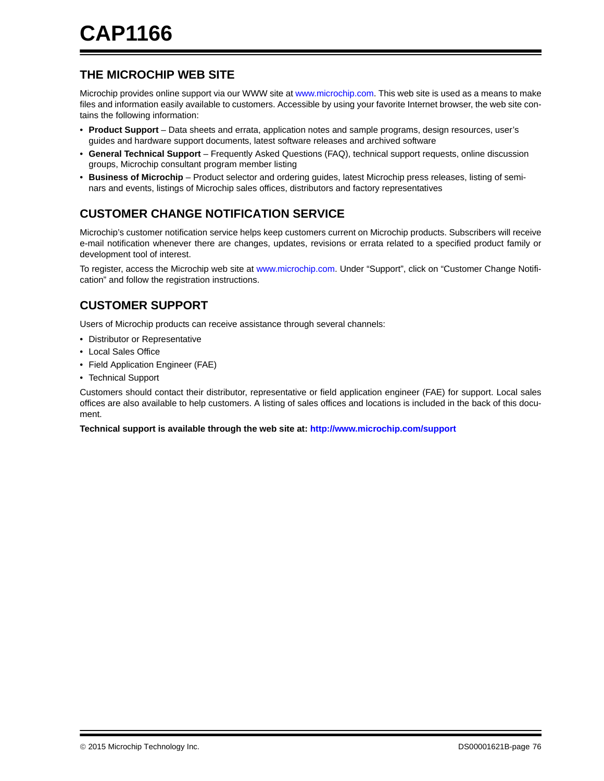### **THE MICROCHIP WEB SITE**

[Microchip provides online support via our WWW site at w](http://www.microchip.com)ww.microchip.com. This web site is used as a means to make files and information easily available to customers. Accessible by using your favorite Internet browser, the web site contains the following information:

- **Product Support** Data sheets and errata, application notes and sample programs, design resources, user's guides and hardware support documents, latest software releases and archived software
- **General Technical Support** Frequently Asked Questions (FAQ), technical support requests, online discussion groups, Microchip consultant program member listing
- **Business of Microchip** Product selector and ordering guides, latest Microchip press releases, listing of seminars and events, listings of Microchip sales offices, distributors and factory representatives

### **CUSTOMER CHANGE NOTIFICATION SERVICE**

Microchip's customer notification service helps keep customers current on Microchip products. Subscribers will receive e-mail notification whenever there are changes, updates, revisions or errata related to a specified product family or development tool of interest.

[To register, access the Microchip web site at](http://www.microchip.com) www.microchip.com. Under "Support", click on "Customer Change Notification" and follow the registration instructions.

### **CUSTOMER SUPPORT**

Users of Microchip products can receive assistance through several channels:

- Distributor or Representative
- Local Sales Office
- Field Application Engineer (FAE)
- Technical Support

Customers should contact their distributor, representative or field application engineer (FAE) for support. Local sales offices are also available to help customers. A listing of sales offices and locations is included in the back of this document.

**[Technical support is available through the web site at: h](http://www.microchip.com)ttp://www.microchip.com/support**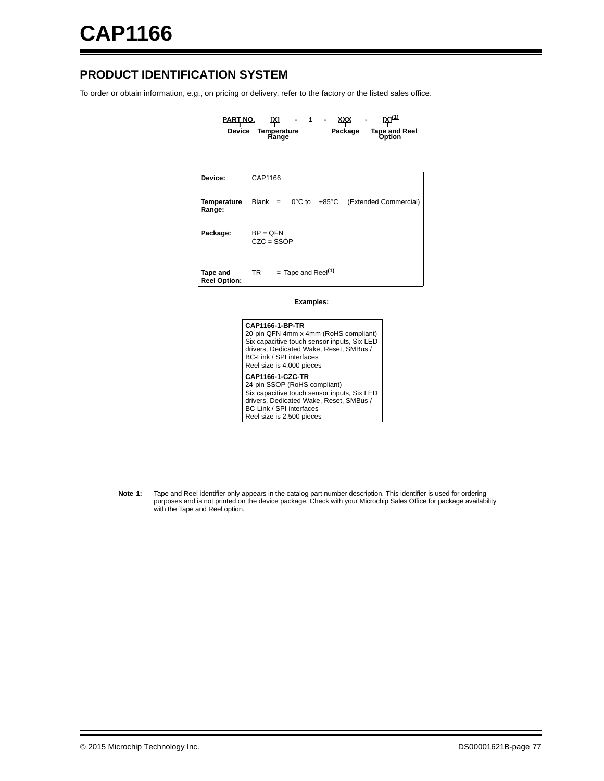### **PRODUCT IDENTIFICATION SYSTEM**

To order or obtain information, e.g., on pricing or delivery, refer to the factory or the listed sales office.

| PART NO.<br>Device              | <u>гхі<sup>(1)</sup></u><br>$\mathbf{1}$<br><b>XXX</b><br>[X]<br>$\sim$<br>Package<br>Tape and Reel<br>Option<br>Temperature<br>Range |
|---------------------------------|---------------------------------------------------------------------------------------------------------------------------------------|
| Device:                         | CAP1166                                                                                                                               |
| Range:                          | <b>Temperature</b> Blank = $0^{\circ}$ C to +85 $^{\circ}$ C (Extended Commercial)                                                    |
| Package:                        | $BP = QFN$<br>$CZC = SSOP$                                                                                                            |
| Tape and<br><b>Reel Option:</b> | $=$ Tape and Reel <sup>(1)</sup><br>TR <sub>1</sub>                                                                                   |

 **Examples:**

| CAP1166-1-BP-TR<br>20-pin QFN 4mm x 4mm (RoHS compliant)<br>Six capacitive touch sensor inputs, Six LED<br>drivers, Dedicated Wake, Reset, SMBus /<br>BC-Link / SPI interfaces<br>Reel size is 4,000 pieces |
|-------------------------------------------------------------------------------------------------------------------------------------------------------------------------------------------------------------|
| CAP1166-1-CZC-TR<br>24-pin SSOP (RoHS compliant)<br>Six capacitive touch sensor inputs, Six LED<br>drivers, Dedicated Wake, Reset, SMBus /<br>BC-Link / SPI interfaces<br>Reel size is 2,500 pieces         |

Note 1: Tape and Reel identifier only appears in the catalog part number description. This identifier is used for ordering<br>purposes and is not printed on the device package. Check with your Microchip Sales Office for packa with the Tape and Reel option.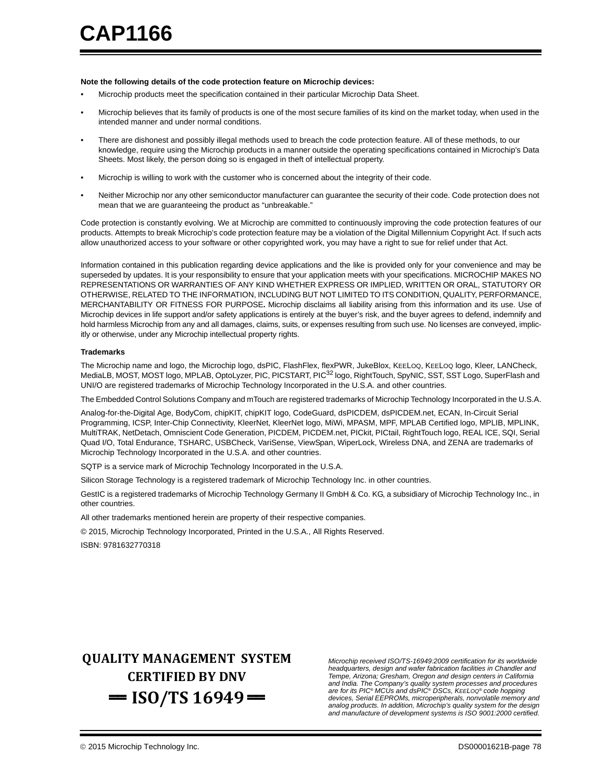**Note the following details of the code protection feature on Microchip devices:**

- Microchip products meet the specification contained in their particular Microchip Data Sheet.
- Microchip believes that its family of products is one of the most secure families of its kind on the market today, when used in the intended manner and under normal conditions.
- There are dishonest and possibly illegal methods used to breach the code protection feature. All of these methods, to our knowledge, require using the Microchip products in a manner outside the operating specifications contained in Microchip's Data Sheets. Most likely, the person doing so is engaged in theft of intellectual property.
- Microchip is willing to work with the customer who is concerned about the integrity of their code.
- Neither Microchip nor any other semiconductor manufacturer can guarantee the security of their code. Code protection does not mean that we are guaranteeing the product as "unbreakable."

Code protection is constantly evolving. We at Microchip are committed to continuously improving the code protection features of our products. Attempts to break Microchip's code protection feature may be a violation of the Digital Millennium Copyright Act. If such acts allow unauthorized access to your software or other copyrighted work, you may have a right to sue for relief under that Act.

Information contained in this publication regarding device applications and the like is provided only for your convenience and may be superseded by updates. It is your responsibility to ensure that your application meets with your specifications. MICROCHIP MAKES NO REPRESENTATIONS OR WARRANTIES OF ANY KIND WHETHER EXPRESS OR IMPLIED, WRITTEN OR ORAL, STATUTORY OR OTHERWISE, RELATED TO THE INFORMATION, INCLUDING BUT NOT LIMITED TO ITS CONDITION, QUALITY, PERFORMANCE, MERCHANTABILITY OR FITNESS FOR PURPOSE**.** Microchip disclaims all liability arising from this information and its use. Use of Microchip devices in life support and/or safety applications is entirely at the buyer's risk, and the buyer agrees to defend, indemnify and hold harmless Microchip from any and all damages, claims, suits, or expenses resulting from such use. No licenses are conveyed, implicitly or otherwise, under any Microchip intellectual property rights.

#### **Trademarks**

The Microchip name and logo, the Microchip logo, dsPIC, FlashFlex, flexPWR, JukeBlox, KEELOQ, KEELOQ logo, Kleer, LANCheck, MediaLB, MOST, MOST logo, MPLAB, OptoLyzer, PIC, PICSTART, PIC<sup>32</sup> logo, RightTouch, SpyNIC, SST, SST Logo, SuperFlash and UNI/O are registered trademarks of Microchip Technology Incorporated in the U.S.A. and other countries.

The Embedded Control Solutions Company and mTouch are registered trademarks of Microchip Technology Incorporated in the U.S.A.

Analog-for-the-Digital Age, BodyCom, chipKIT, chipKIT logo, CodeGuard, dsPICDEM, dsPICDEM.net, ECAN, In-Circuit Serial Programming, ICSP, Inter-Chip Connectivity, KleerNet, KleerNet logo, MiWi, MPASM, MPF, MPLAB Certified logo, MPLIB, MPLINK, MultiTRAK, NetDetach, Omniscient Code Generation, PICDEM, PICDEM.net, PICkit, PICtail, RightTouch logo, REAL ICE, SQI, Serial Quad I/O, Total Endurance, TSHARC, USBCheck, VariSense, ViewSpan, WiperLock, Wireless DNA, and ZENA are trademarks of Microchip Technology Incorporated in the U.S.A. and other countries.

SQTP is a service mark of Microchip Technology Incorporated in the U.S.A.

Silicon Storage Technology is a registered trademark of Microchip Technology Inc. in other countries.

GestIC is a registered trademarks of Microchip Technology Germany II GmbH & Co. KG, a subsidiary of Microchip Technology Inc., in other countries.

All other trademarks mentioned herein are property of their respective companies.

© 2015, Microchip Technology Incorporated, Printed in the U.S.A., All Rights Reserved.

ISBN: 9781632770318

# **QUALITY MANAGEMENT SYSTEM CERTIFIED BY DNV**   $=$  **ISO/TS 16949**  $=$

*Microchip received ISO/TS-16949:2009 certification for its worldwide headquarters, design and wafer fabrication facilities in Chandler and Tempe, Arizona; Gresham, Oregon and design centers in California and India. The Company's quality system processes and procedures are for its PIC® MCUs and dsPIC® DSCs, KEELOQ® code hopping devices, Serial EEPROMs, microperipherals, nonvolatile memory and analog products. In addition, Microchip's quality system for the design and manufacture of development systems is ISO 9001:2000 certified.*